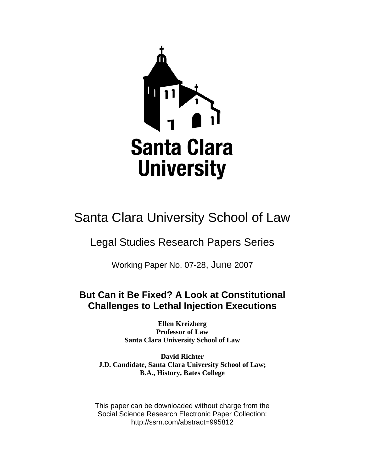

# Santa Clara University School of Law

# Legal Studies Research Papers Series

Working Paper No. 07-28, June 2007

# **But Can it Be Fixed? A Look at Constitutional Challenges to Lethal Injection Executions**

**Ellen Kreizberg Professor of Law Santa Clara University School of Law** 

**David Richter J.D. Candidate, Santa Clara University School of Law; B.A., History, Bates College** 

This paper can be downloaded without charge from the Social Science Research Electronic Paper Collection: http://ssrn.com/abstract=995812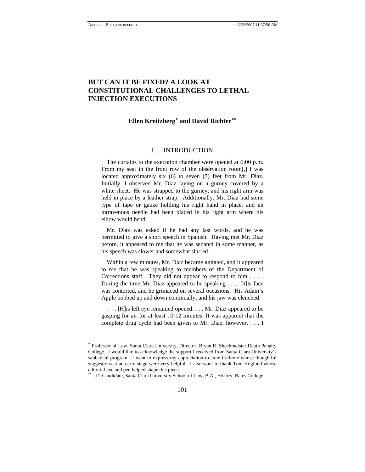# **BUT CAN IT BE FIXED? A LOOK AT CONSTITUTIONAL CHALLENGES TO LETHAL INJECTION EXECUTIONS**

# **Ellen Kreitzberg**[∗](#page-1-0)  **and David Richter**[∗∗](#page-1-1)

### I. INTRODUCTION

 The curtains to the execution chamber were opened at 6:00 p.m. From my seat in the front row of the observation room[,] I was located approximately six (6) to seven (7) feet from Mr. Diaz. Initially, I observed Mr. Diaz laying on a gurney covered by a white sheet. He was strapped to the gurney, and his right arm was held in place by a leather strap. Additionally, Mr. Diaz had some type of tape or gauze holding his right hand in place, and an intravenous needle had been placed in his right arm where his elbow would bend. . . .

 Mr. Diaz was asked if he had any last words, and he was permitted to give a short speech in Spanish. Having met Mr. Diaz before, it appeared to me that he was sedated in some manner, as his speech was slower and somewhat slurred.

 Within a few minutes, Mr. Diaz became agitated, and it appeared to me that he was speaking to members of the Department of Corrections staff. They did not appear to respond to him . . . . During the time Mr. Diaz appeared to be speaking . . . [h]is face was contorted, and he grimaced on several occasions. His Adam's Apple bobbed up and down continually, and his jaw was clenched.

 . . . [H]is left eye remained opened. . . . Mr. Diaz appeared to be gasping for air for at least 10-12 minutes. It was apparent that the complete drug cycle had been given to Mr. Diaz, however, . . . I

<span id="page-1-0"></span><sup>∗</sup> Professor of Law, Santa Clara University, Director, Bryan R. Shechmeister Death Penalty College. I would like to acknowledge the support I received from Santa Clara University's sabbatical program. I want to express my appreciation to June Carbone whose thoughtful suggestions at an early stage were very helpful. I also want to thank Tom Hoglund whose editorial eye and pen helped shape this piece.

<span id="page-1-1"></span><sup>∗∗</sup> J.D. Candidate, Santa Clara University School of Law; B.A., History, Bates College.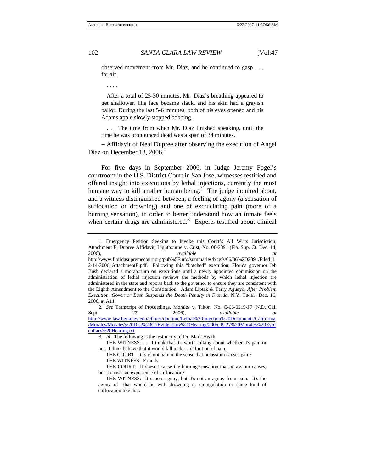observed movement from Mr. Diaz, and he continued to gasp . . . for air.

. . . .

 After a total of 25-30 minutes, Mr. Diaz's breathing appeared to get shallower. His face became slack, and his skin had a grayish pallor. During the last 5-6 minutes, both of his eyes opened and his Adams apple slowly stopped bobbing.

 . . . The time from when Mr. Diaz finished speaking, until the time he was pronounced dead was a span of 34 minutes.

− Affidavit of Neal Dupree after observing the execution of Angel Diaz on December [1](#page-2-0)3,  $2006<sup>1</sup>$ 

For five days in September 2006, in Judge Jeremy Fogel's courtroom in the U.S. District Court in San Jose, witnesses testified and offered insight into executions by lethal injections, currently the most humane way to kill another human being.<sup>[2](#page-2-1)</sup> The judge inquired about, and a witness distinguished between, a feeling of agony (a sensation of suffocation or drowning) and one of excruciating pain (more of a burning sensation), in order to better understand how an inmate feels when certain drugs are administered.<sup>[3](#page-2-2)</sup> Experts testified about clinical

<span id="page-2-0"></span><sup>1.</sup> Emergency Petition Seeking to Invoke this Court's All Writs Jurisdiction, Attachment E, Dupree Affidavit, Lightbourne v. Crist, No. 06-2391 (Fla. Sup. Ct. Dec. 14, 2006), *available at* 

http://www.floridasupremecourt.org/pub%5Finfo/summaries/briefs/06/06%2D2391/Filed\_1 2-14-2006\_AttachmentE.pdf. Following this "botched" execution, Florida governor Jeb Bush declared a moratorium on executions until a newly appointed commission on the administration of lethal injection reviews the methods by which lethal injection are administered in the state and reports back to the governor to ensure they are consistent with the Eighth Amendment to the Constitution. Adam Liptak & Terry Aguayo, *After Problem Execution, Governor Bush Suspends the Death Penalty in Florida*, N.Y. TIMES, Dec. 16, 2006, at A11.

<span id="page-2-2"></span><span id="page-2-1"></span><sup>2</sup>*. See* Transcript of Proceedings, Morales v. Tilton, No. C-06-0219-JF (N.D. Cal. Sept. 27, 2006), *available at* [http://www.law.berkeley.edu/clinics/dpclinic/Lethal%20Injection%20Documents/California](http://www.law.berkeley.edu/clinics/dpclinic/Lethal%20Injection%20Documents/California/Morales/Morales%20Dist%20Ct/Evidentiary%20Hearing/2006.09.27%20Morales%20Evidentiary%20Hearing.txt) [/Morales/Morales%20Dist%20Ct/Evidentiary%20Hearing/2006.09.27%20Morales%20Evid](http://www.law.berkeley.edu/clinics/dpclinic/Lethal%20Injection%20Documents/California/Morales/Morales%20Dist%20Ct/Evidentiary%20Hearing/2006.09.27%20Morales%20Evidentiary%20Hearing.txt) [entiary%20Hearing.txt.](http://www.law.berkeley.edu/clinics/dpclinic/Lethal%20Injection%20Documents/California/Morales/Morales%20Dist%20Ct/Evidentiary%20Hearing/2006.09.27%20Morales%20Evidentiary%20Hearing.txt)

<sup>3</sup>*. Id.* The following is the testimony of Dr. Mark Heath:

THE WITNESS: . . . I think that it's worth talking about whether it's pain or not. I don't believe that it would fall under a definition of pain.

THE COURT: It [sic] not pain in the sense that potassium causes pain? THE WITNESS: Exactly.

THE COURT: It doesn't cause the burning sensation that potassium causes, but it causes an experience of suffocation?

THE WITNESS: It causes agony, but it's not an agony from pain. It's the agony of—that would be with drowning or strangulation or some kind of suffocation like that.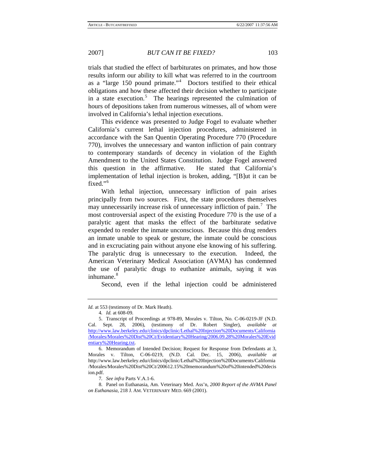trials that studied the effect of barbiturates on primates, and how those results inform our ability to kill what was referred to in the courtroom as a "large 150 pound primate."[4](#page-3-0) Doctors testified to their ethical obligations and how these affected their decision whether to participate in a state execution.<sup>[5](#page-3-1)</sup> The hearings represented the culmination of hours of depositions taken from numerous witnesses, all of whom were involved in California's lethal injection executions.

This evidence was presented to Judge Fogel to evaluate whether California's current lethal injection procedures, administered in accordance with the San Quentin Operating Procedure 770 (Procedure 770), involves the unnecessary and wanton infliction of pain contrary to contemporary standards of decency in violation of the Eighth Amendment to the United States Constitution. Judge Fogel answered this question in the affirmative. He stated that California's implementation of lethal injection is broken, adding, "[B]ut it can be fixed."<sup>[6](#page-3-2)</sup>

With lethal injection, unnecessary infliction of pain arises principally from two sources. First, the state procedures themselves may unnecessarily increase risk of unnecessary infliction of pain.<sup>[7](#page-3-3)</sup> The most controversial aspect of the existing Procedure 770 is the use of a paralytic agent that masks the effect of the barbiturate sedative expended to render the inmate unconscious. Because this drug renders an inmate unable to speak or gesture, the inmate could be conscious and in excruciating pain without anyone else knowing of his suffering. The paralytic drug is unnecessary to the execution. Indeed, the American Veterinary Medical Association (AVMA) has condemned the use of paralytic drugs to euthanize animals, saying it was inhumane.<sup>[8](#page-3-4)</sup>

Second, even if the lethal injection could be administered

*Id.* at 553 (testimony of Dr. Mark Heath).

<sup>4</sup>*. Id.* at 608-09.

<span id="page-3-1"></span><span id="page-3-0"></span><sup>5.</sup> Transcript of Proceedings at 978-89, Morales v. Tilton, No. C-06-0219-JF (N.D. Cal. Sept. 28, 2006), (testimony of Dr. Robert Singler), *available at* [http://www.law.berkeley.edu/clinics/dpclinic/Lethal%20Injection%20Documents/California](http://www.law.berkeley.edu/clinics/dpclinic/Lethal%20Injection%20Documents/California/Morales/Morales%20Dist%20Ct/Evidentiary%20Hearing/2006.09.28%20Morales%20Evidentiary%20Hearing.txt) [/Morales/Morales%20Dist%20Ct/Evidentiary%20Hearing/2006.09.28%20Morales%20Evid](http://www.law.berkeley.edu/clinics/dpclinic/Lethal%20Injection%20Documents/California/Morales/Morales%20Dist%20Ct/Evidentiary%20Hearing/2006.09.28%20Morales%20Evidentiary%20Hearing.txt) [entiary%20Hearing.txt.](http://www.law.berkeley.edu/clinics/dpclinic/Lethal%20Injection%20Documents/California/Morales/Morales%20Dist%20Ct/Evidentiary%20Hearing/2006.09.28%20Morales%20Evidentiary%20Hearing.txt)

<span id="page-3-2"></span><sup>6.</sup> Memorandum of Intended Decision; Request for Response from Defendants at 3, Morales v. Tilton, C-06-0219, (N.D. Cal. Dec. 15, 2006), *available at* http://www.law.berkeley.edu/clinics/dpclinic/Lethal%20Injection%20Documents/California /Morales/Morales%20Dist%20Ct/200612.15%20memorandum%20of%20intended%20decis ion.pdf.

<sup>7</sup>*. See infra* Parts V.A.1-6.

<span id="page-3-4"></span><span id="page-3-3"></span><sup>8.</sup> Panel on Euthanasia, Am. Veterinary Med. Ass'n, *2000 Report of the AVMA Panel on Euthanasia*, 218 J. AM. VETERINARY MED. 669 (2001).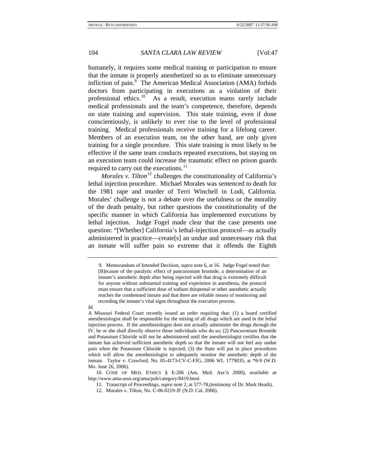humanely, it requires some medical training or participation to ensure that the inmate is properly anesthetized so as to eliminate unnecessary infliction of pain.<sup>[9](#page-4-0)</sup> The American Medical Association (AMA) forbids doctors from participating in executions as a violation of their professional ethics.<sup>[10](#page-4-1)</sup> As a result, execution teams rarely include medical professionals and the team's competence, therefore, depends on state training and supervision. This state training, even if done conscientiously, is unlikely to ever rise to the level of professional training. Medical professionals receive training for a lifelong career. Members of an execution team, on the other hand, are only given training for a single procedure. This state training is most likely to be effective if the same team conducts repeated executions, but staying on an execution team could increase the traumatic effect on prison guards required to carry out the executions.<sup>[11](#page-4-2)</sup>

*Morales v. Tilton*<sup>[12](#page-4-3)</sup> challenges the constitutionality of California's lethal injection procedure. Michael Morales was sentenced to death for the 1981 rape and murder of Terri Winchell in Lodi, California. Morales' challenge is not a debate over the usefulness or the morality of the death penalty, but rather questions the constitutionality of the specific manner in which California has implemented executions by lethal injection. Judge Fogel made clear that the case presents one question: "[Whether] California's lethal-injection protocol—as actually administered in practice—create[s] an undue and unnecessary risk that an inmate will suffer pain so extreme that it offends the Eighth

#### <span id="page-4-0"></span>*Id.*

<sup>9.</sup> Memorandum of Intended Decision, *supra* note 6, at 16. Judge Fogel noted that: [B]ecause of the paralytic effect of pancuronium bromide, a determination of an inmate's anesthetic depth after being injected with that drug is extremely difficult for anyone without substantial training and experience in anesthesia, the protocol must ensure that a sufficient dose of sodium thiopental or other anesthetic actually reaches the condemned inmate and that there are reliable means of monitoring and recording the inmate's vital signs throughout the execution process.

A Missouri Federal Court recently issued an order requiring that: (1) a board certified anesthesiologist shall be responsible for the mixing of all drugs which are used in the lethal injection process. If the anesthesiologist does not actually administer the drugs through the IV, he or she shall directly observe those individuals who do so; (2) Pancuronium Bromide and Potassium Chloride will not be administered until the anesthesiologist certifies that the inmate has achieved sufficient anesthetic depth so that the inmate will not feel any undue pain when the Potassium Chloride is injected; (3) the State will put in place procedures which will allow the anesthesiologist to adequately monitor the anesthetic depth of the inmate. Taylor v. Crawford, No. 05-4173-CV-C-FJG, 2006 WL 1779035, at \*8-9 (W.D. Mo. June 26, 2006).

<span id="page-4-3"></span><span id="page-4-2"></span><span id="page-4-1"></span><sup>10.</sup> CODE OF MED. ETHICS § E-206 (Am. Med. Ass'n 2000), *available at*  http://www.ama-assn.org/ama/pub/category/8419.html.

<sup>11.</sup> Transcript of Proceedings, *supra* note 2, at 577-78,(testimony of Dr. Mark Heath).

<sup>12.</sup> Morales v. Tilton, No. C-06-0219-JF (N.D. Cal. 2006).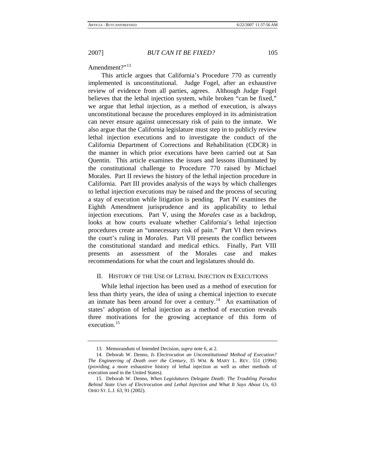Amendment?"<sup>[13](#page-5-0)</sup>

This article argues that California's Procedure 770 as currently implemented is unconstitutional. Judge Fogel, after an exhaustive review of evidence from all parties, agrees. Although Judge Fogel believes that the lethal injection system, while broken "can be fixed," we argue that lethal injection, as a method of execution, is always unconstitutional because the procedures employed in its administration can never ensure against unnecessary risk of pain to the inmate. We also argue that the California legislature must step in to publicly review lethal injection executions and to investigate the conduct of the California Department of Corrections and Rehabilitation (CDCR) in the manner in which prior executions have been carried out at San Quentin. This article examines the issues and lessons illuminated by the constitutional challenge to Procedure 770 raised by Michael Morales. Part II reviews the history of the lethal injection procedure in California. Part III provides analysis of the ways by which challenges to lethal injection executions may be raised and the process of securing a stay of execution while litigation is pending. Part IV examines the Eighth Amendment jurisprudence and its applicability to lethal injection executions. Part V, using the *Morales* case as a backdrop, looks at how courts evaluate whether California's lethal injection procedures create an "unnecessary risk of pain." Part VI then reviews the court's ruling in *Morales*. Part VII presents the conflict between the constitutional standard and medical ethics. Finally, Part VIII presents an assessment of the Morales case and makes recommendations for what the court and legislatures should do.

### II. HISTORY OF THE USE OF LETHAL INJECTION IN EXECUTIONS

While lethal injection has been used as a method of execution for less than thirty years, the idea of using a chemical injection to execute an inmate has been around for over a century.<sup>[14](#page-5-1)</sup> An examination of states' adoption of lethal injection as a method of execution reveals three motivations for the growing acceptance of this form of execution.<sup>[15](#page-5-2)</sup>

<sup>13.</sup> Memorandum of Intended Decision, *supra* note 6, at 2.

<span id="page-5-1"></span><span id="page-5-0"></span><sup>14.</sup> Deborah W. Denno, *Is Electrocution an Unconstitutional Method of Execution? The Engineering of Death over the Century*, 35 WM. & MARY L. REV. 551 (1994) (providing a more exhaustive history of lethal injection as well as other methods of execution used in the United States).

<span id="page-5-2"></span><sup>15.</sup> Deborah W. Denno, *When Legislatures Delegate Death: The Troubling Paradox Behind State Uses of Electrocution and Lethal Injection and What It Says About Us*, 63 OHIO ST. L.J. 63, 91 (2002).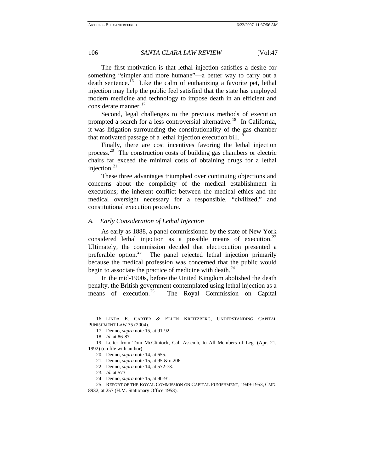The first motivation is that lethal injection satisfies a desire for something "simpler and more humane"—a better way to carry out a death sentence.<sup>[16](#page-6-0)</sup> Like the calm of euthanizing a favorite pet, lethal injection may help the public feel satisfied that the state has employed modern medicine and technology to impose death in an efficient and considerate manner.<sup>[17](#page-6-1)</sup>

Second, legal challenges to the previous methods of execution prompted a search for a less controversial alternative.<sup>[18](#page-6-2)</sup> In California, it was litigation surrounding the constitutionality of the gas chamber that motivated passage of a lethal injection execution bill.<sup>1</sup>

Finally, there are cost incentives favoring the lethal injection process.<sup>[20](#page-6-4)</sup> The construction costs of building gas chambers or electric chairs far exceed the minimal costs of obtaining drugs for a lethal injection. $^{21}$  $^{21}$  $^{21}$ 

These three advantages triumphed over continuing objections and concerns about the complicity of the medical establishment in executions; the inherent conflict between the medical ethics and the medical oversight necessary for a responsible, "civilized," and constitutional execution procedure.

#### *A. Early Consideration of Lethal Injection*

As early as 1888, a panel commissioned by the state of New York considered lethal injection as a possible means of execution. $^{22}$  $^{22}$  $^{22}$ Ultimately, the commission decided that electrocution presented a preferable option. $^{23}$  $^{23}$  $^{23}$  The panel rejected lethal injection primarily because the medical profession was concerned that the public would begin to associate the practice of medicine with death. $^{24}$  $^{24}$  $^{24}$ 

In the mid-1900s, before the United Kingdom abolished the death penalty, the British government contemplated using lethal injection as a means of execution.<sup>[25](#page-6-9)</sup> The Royal Commission on Capital

- 22. Denno, *supra* note 14, at 572-73.
- 23*. Id.* at 573.

<span id="page-6-1"></span><span id="page-6-0"></span><sup>16.</sup> LINDA E. CARTER & ELLEN KREITZBERG, UNDERSTANDING CAPITAL PUNISHMENT LAW 35 (2004).

<sup>17.</sup> Denno, *supra* note 15, at 91-92.

<sup>18</sup>*. Id.* at 86-87.

<span id="page-6-5"></span><span id="page-6-4"></span><span id="page-6-3"></span><span id="page-6-2"></span><sup>19.</sup> Letter from Tom McClintock, Cal. Assemb, to All Members of Leg. (Apr. 21, 1992) (on file with author).

<sup>20.</sup> Denno, *supra* note 14, at 655.

<sup>21.</sup> Denno, *supra* note 15, at 95 & n.206.

<sup>24.</sup> Denno, *supra* note 15, at 90-91.

<span id="page-6-9"></span><span id="page-6-8"></span><span id="page-6-7"></span><span id="page-6-6"></span><sup>25.</sup> REPORT OF THE ROYAL COMMISSION ON CAPITAL PUNISHMENT, 1949-1953, CMD. 8932, at 257 (H.M. Stationary Office 1953).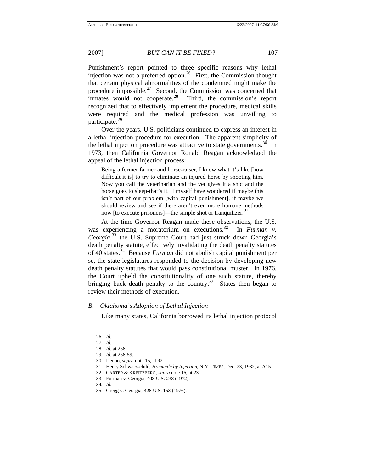Punishment's report pointed to three specific reasons why lethal injection was not a preferred option.<sup>[26](#page-7-0)</sup> First, the Commission thought that certain physical abnormalities of the condemned might make the procedure impossible.<sup>[27](#page-7-1)</sup> Second, the Commission was concerned that inmates would not cooperate. $28$  Third, the commission's report recognized that to effectively implement the procedure, medical skills were required and the medical profession was unwilling to participate.<sup>[29](#page-7-3)</sup>

Over the years, U.S. politicians continued to express an interest in a lethal injection procedure for execution. The apparent simplicity of the lethal injection procedure was attractive to state governments.<sup>[30](#page-7-4)</sup> In 1973, then California Governor Ronald Reagan acknowledged the appeal of the lethal injection process:

Being a former farmer and horse-raiser, I know what it's like [how difficult it is] to try to eliminate an injured horse by shooting him. Now you call the veterinarian and the vet gives it a shot and the horse goes to sleep-that's it. I myself have wondered if maybe this isn't part of our problem [with capital punishment], if maybe we should review and see if there aren't even more humane methods now [to execute prisoners]—the simple shot or tranquilizer.<sup>[31](#page-7-5)</sup>

At the time Governor Reagan made these observations, the U.S. was experiencing a moratorium on executions.<sup>[32](#page-7-6)</sup> In *Furman v*. *Georgia*, [33](#page-7-7) the U.S. Supreme Court had just struck down Georgia's death penalty statute, effectively invalidating the death penalty statutes of 40 states.[34](#page-7-8) Because *Furman* did not abolish capital punishment per se, the state legislatures responded to the decision by developing new death penalty statutes that would pass constitutional muster. In 1976, the Court upheld the constitutionality of one such statute, thereby bringing back death penalty to the country.<sup>[35](#page-7-9)</sup> States then began to review their methods of execution.

#### <span id="page-7-1"></span><span id="page-7-0"></span>*B. Oklahoma's Adoption of Lethal Injection*

Like many states, California borrowed its lethal injection protocol

<sup>26</sup>*. Id.*

<sup>27</sup>*. Id.*

<sup>28</sup>*. Id.* at 258.

<span id="page-7-2"></span><sup>29</sup>*. Id.* at 258-59.

<span id="page-7-6"></span><span id="page-7-5"></span><span id="page-7-4"></span><span id="page-7-3"></span><sup>30.</sup> Denno, *supra* note 15, at 92.

<sup>31.</sup> Henry Schwarzschild, *Homicide by Injection*, N.Y. TIMES, Dec. 23, 1982, at A15.

<sup>32.</sup> CARTER & KREITZBERG, *supra* note 16, at 23.

<span id="page-7-7"></span><sup>33.</sup> Furman v. Georgia, 408 U.S. 238 (1972).

<sup>34</sup>*. Id.*

<span id="page-7-9"></span><span id="page-7-8"></span><sup>35.</sup> Gregg v. Georgia, 428 U.S. 153 (1976).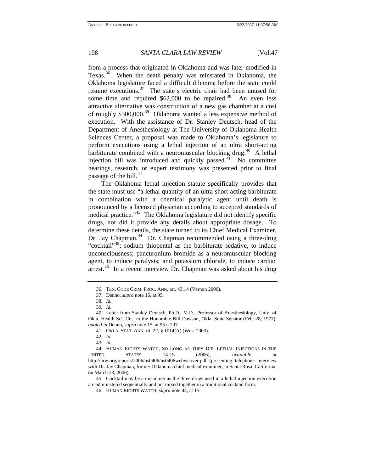from a process that originated in Oklahoma and was later modified in Texas.<sup>[36](#page-8-0)</sup> When the death penalty was reinstated in Oklahoma, the Oklahoma legislature faced a difficult dilemma before the state could resume executions.<sup>[37](#page-8-1)</sup> The state's electric chair had been unused for some time and required  $$62,000$  to be repaired.<sup>[38](#page-8-2)</sup> An even less attractive alternative was construction of a new gas chamber at a cost of roughly \$300,000.<sup>[39](#page-8-3)</sup> Oklahoma wanted a less expensive method of execution. With the assistance of Dr. Stanley Deutsch, head of the Department of Anesthesiology at The University of Oklahoma Health Sciences Center, a proposal was made to Oklahoma's legislature to perform executions using a lethal injection of an ultra short-acting barbiturate combined with a neuromuscular blocking drug.<sup>[40](#page-8-4)</sup> A lethal injection bill was introduced and quickly passed. $^{41}$  $^{41}$  $^{41}$  No committee hearings, research, or expert testimony was presented prior to final passage of the bill.<sup>[42](#page-8-6)</sup>

The Oklahoma lethal injection statute specifically provides that the state must use "a lethal quantity of an ultra short-acting barbiturate in combination with a chemical paralytic agent until death is pronounced by a licensed physician according to accepted standards of medical practice."<sup>[43](#page-8-7)</sup> The Oklahoma legislature did not identify specific drugs, nor did it provide any details about appropriate dosage. To determine these details, the state turned to its Chief Medical Examiner, Dr. Jay Chapman.<sup>[44](#page-8-8)</sup> Dr. Chapman recommended using a three-drug "cocktail"<sup>[45](#page-8-9)</sup>: sodium thiopental as the barbiturate sedative, to induce unconsciousness; pancuronium bromide as a neuromuscular blocking agent, to induce paralysis; and potassium chloride, to induce cardiac arrest.<sup>[46](#page-8-10)</sup> In a recent interview Dr. Chapman was asked about his drug

<span id="page-8-10"></span><span id="page-8-9"></span>45. Cocktail may be a misnomer as the three drugs used in a lethal injection execution are administered sequentially and not mixed together in a traditional cocktail form.

<sup>36.</sup> TEX. CODE CRIM. PROC. ANN. art. 43.14 (Vernon 2006).

<sup>37.</sup> Denno, *supra* note 15, at 95.

<sup>38</sup>*. Id.*

<sup>39</sup>*. Id.*

<span id="page-8-5"></span><span id="page-8-4"></span><span id="page-8-3"></span><span id="page-8-2"></span><span id="page-8-1"></span><span id="page-8-0"></span><sup>40.</sup> Letter from Stanley Deutsch, Ph.D., M.D., Professor of Anesthesiology, Univ. of Okla. Health Sci. Ctr., to the Honorable Bill Dawson, Okla. State Senator (Feb. 28, 1977), *quoted in* Denno, *supra* note 15, at 95 n.207.

<sup>41.</sup> OKLA. STAT. ANN. tit. 22, § 1014(A) (West 2003).

<sup>42</sup>*. Id.*

<sup>43</sup>*. Id.*

<span id="page-8-8"></span><span id="page-8-7"></span><span id="page-8-6"></span><sup>44.</sup> HUMAN RIGHTS WATCH, SO LONG AS THEY DIE: LETHAL INJECTIONS IN THE UNITED STATES 14-15 (2006), *available at* http://hrw.org/reports/2006/us0406/us0406webwcover.pdf (presenting telephone interview with Dr. Jay Chapman, former Oklahoma chief medical examiner, in Santa Rosa, California, on March 23, 2006).

<sup>46.</sup> HUMAN RIGHTS WATCH, *supra* note 44, at 15.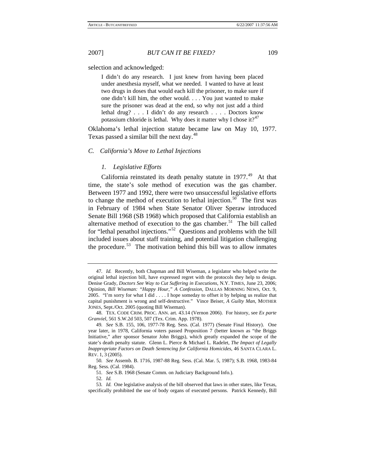selection and acknowledged:

I didn't do any research. I just knew from having been placed under anesthesia myself, what we needed. I wanted to have at least two drugs in doses that would each kill the prisoner, to make sure if one didn't kill him, the other would. . . . You just wanted to make sure the prisoner was dead at the end, so why not just add a third lethal drug? . . . I didn't do any research . . . . Doctors know potassium chloride is lethal. Why does it matter why I chose it?<sup>[47](#page-9-0)</sup>

Oklahoma's lethal injection statute became law on May 10, 1977. Texas passed a similar bill the next day.<sup>[48](#page-9-1)</sup>

### *C. California's Move to Lethal Injections*

#### *1. Legislative Efforts*

California reinstated its death penalty statute in  $1977<sup>49</sup>$  $1977<sup>49</sup>$  $1977<sup>49</sup>$  At that time, the state's sole method of execution was the gas chamber. Between 1977 and 1992, there were two unsuccessful legislative efforts to change the method of execution to lethal injection.<sup>[50](#page-9-3)</sup> The first was in February of 1984 when State Senator Oliver Speraw introduced Senate Bill 1968 (SB 1968) which proposed that California establish an alternative method of execution to the gas chamber.<sup>[51](#page-9-4)</sup> The bill called for "lethal penathol injections."[52](#page-9-5) Questions and problems with the bill included issues about staff training, and potential litigation challenging the procedure. $53$  The motivation behind this bill was to allow inmates

<span id="page-9-0"></span><sup>47</sup>*. Id.* Recently, both Chapman and Bill Wiseman, a legislator who helped write the original lethal injection bill, have expressed regret with the protocols they help to design. Denise Grady, *Doctors See Way to Cut Suffering in Executions*, N.Y. TIMES, June 23, 2006; Opinion, *Bill Wiseman: "Happy Hour," A Confession*, DALLAS MORNING NEWS, Oct. 9, 2005. "I'm sorry for what I did . . . . I hope someday to offset it by helping us realize that capital punishment is wrong and self-destructive." Vince Beiser, *A Guilty Man*, MOTHER JONES, Sept./Oct. 2005 (quoting Bill Wiseman).

<span id="page-9-1"></span><sup>48.</sup> TEX. CODE CRIM. PROC. ANN. art. 43.14 (Vernon 2006). For history, see *Ex parte Granviel*, 561 S.W.2d 503, 507 (Tex. Crim. App. 1978).

<span id="page-9-2"></span><sup>49</sup>*. See* S.B. 155, 106, 1977-78 Reg. Sess. (Cal. 1977) (Senate Final History). One year later, in 1978, California voters passed Proposition 7 (better known as "the Briggs Initiative," after sponsor Senator John Briggs), which greatly expanded the scope of the state's death penalty statute. Glenn L. Pierce & Michael L. Radelet, *The Impact of Legally Inappropriate Factors on Death Sentencing for California Homicides*, 46 SANTA CLARA L. REV. 1, 3 (2005).

<span id="page-9-4"></span><span id="page-9-3"></span><sup>50</sup>*. See* Assemb. B. 1716, 1987-88 Reg. Sess. (Cal. Mar. 5, 1987); S.B. 1968, 1983-84 Reg. Sess. (Cal. 1984).

<sup>51</sup>*. See* S.B. 1968 (Senate Comm. on Judiciary Background Info.).

<sup>52</sup>*. Id.*

<span id="page-9-6"></span><span id="page-9-5"></span><sup>53</sup>*. Id.* One legislative analysis of the bill observed that laws in other states, like Texas, specifically prohibited the use of body organs of executed persons. Patrick Kennedy, Bill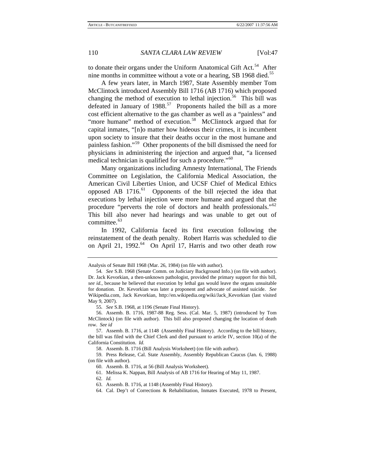to donate their organs under the Uniform Anatomical Gift Act.<sup>[54](#page-10-0)</sup> After nine months in committee without a vote or a hearing, SB 1968 died.<sup>[55](#page-10-1)</sup>

A few years later, in March 1987, State Assembly member Tom McClintock introduced Assembly Bill 1716 (AB 1716) which proposed changing the method of execution to lethal injection.<sup>[56](#page-10-2)</sup> This bill was defeated in January of  $1988<sup>57</sup>$  $1988<sup>57</sup>$  $1988<sup>57</sup>$  Proponents hailed the bill as a more cost efficient alternative to the gas chamber as well as a "painless" and "more humane" method of execution.<sup>[58](#page-10-4)</sup> McClintock argued that for capital inmates, "[n]o matter how hideous their crimes, it is incumbent upon society to insure that their deaths occur in the most humane and painless fashion."[59](#page-10-5) Other proponents of the bill dismissed the need for physicians in administering the injection and argued that, "a licensed medical technician is qualified for such a procedure."<sup>[60](#page-10-6)</sup>

Many organizations including Amnesty International, The Friends Committee on Legislation, the California Medical Association, the American Civil Liberties Union, and UCSF Chief of Medical Ethics opposed AB  $1716$ <sup> $61$ </sup> Opponents of the bill rejected the idea that executions by lethal injection were more humane and argued that the procedure "perverts the role of doctors and health professionals."<sup>[62](#page-10-8)</sup> This bill also never had hearings and was unable to get out of committee.<sup>[63](#page-10-9)</sup>

In 1992, California faced its first execution following the reinstatement of the death penalty. Robert Harris was scheduled to die on April 21, 1992.<sup>[64](#page-10-10)</sup> On April 17, Harris and two other death row

64. Cal. Dep't of Corrections & Rehabilitation, Inmates Executed, 1978 to Present,

Analysis of Senate Bill 1968 (Mar. 26, 1984) (on file with author).

<span id="page-10-0"></span><sup>54</sup>*. See* S.B. 1968 (Senate Comm. on Judiciary Background Info.) (on file with author). Dr. Jack Kevorkian, a then-unknown pathologist, provided the primary support for this bill, *see id.*, because he believed that execution by lethal gas would leave the organs unsuitable for donation. Dr. Kevorkian was later a proponent and advocate of assisted suicide. *See* Wikipedia.com, Jack Kevorkian, http://en.wikipedia.org/wiki/Jack\_Kevorkian (last visited May 9, 2007).

<sup>55</sup>*. See* S.B. 1968, at 1196 (Senate Final History).

<span id="page-10-2"></span><span id="page-10-1"></span><sup>56.</sup> Assemb. B. 1716, 1987-88 Reg. Sess. (Cal. Mar. 5, 1987) (introduced by Tom McClintock) (on file with author). This bill also proposed changing the location of death row. *See id* 

<span id="page-10-3"></span><sup>57.</sup> Assemb. B. 1716, at 1148 (Assembly Final History). According to the bill history, the bill was filed with the Chief Clerk and died pursuant to article IV, section 10(a) of the California Constitution. *Id.* 

<sup>58.</sup> Assemb. B. 1716 (Bill Analysis Worksheet) (on file with author).

<span id="page-10-10"></span><span id="page-10-9"></span><span id="page-10-8"></span><span id="page-10-7"></span><span id="page-10-6"></span><span id="page-10-5"></span><span id="page-10-4"></span><sup>59.</sup> Press Release, Cal. State Assembly, Assembly Republican Caucus (Jan. 6, 1988) (on file with author).

<sup>60.</sup> Assemb. B. 1716, at 56 (Bill Analysis Worksheet).

<sup>61.</sup> Melissa K. Nappan, Bill Analysis of AB 1716 for Hearing of May 11, 1987.

<sup>62</sup>*. Id.*

<sup>63.</sup> Assemb. B. 1716, at 1148 (Assembly Final History).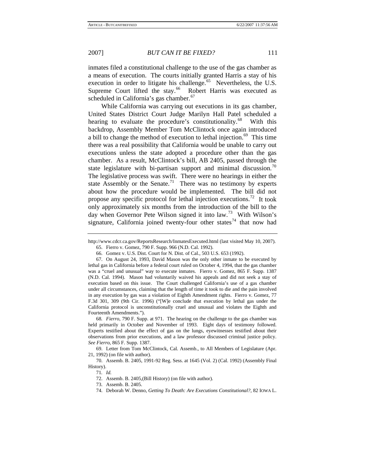inmates filed a constitutional challenge to the use of the gas chamber as a means of execution. The courts initially granted Harris a stay of his execution in order to litigate his challenge.<sup> $65$ </sup> Nevertheless, the U.S. Supreme Court lifted the stay.<sup>[66](#page-11-1)</sup> Robert Harris was executed as scheduled in California's gas chamber.<sup>[67](#page-11-2)</sup>

While California was carrying out executions in its gas chamber, United States District Court Judge Marilyn Hall Patel scheduled a hearing to evaluate the procedure's constitutionality.<sup>[68](#page-11-3)</sup> With this backdrop, Assembly Member Tom McClintock once again introduced a bill to change the method of execution to lethal injection.<sup>[69](#page-11-4)</sup> This time there was a real possibility that California would be unable to carry out executions unless the state adopted a procedure other than the gas chamber. As a result, McClintock's bill, AB 2405, passed through the state legislature with bi-partisan support and minimal discussion.<sup> $0$ </sup> The legislative process was swift. There were no hearings in either the state Assembly or the Senate.<sup>[71](#page-11-6)</sup> There was no testimony by experts about how the procedure would be implemented. The bill did not propose any specific protocol for lethal injection executions.<sup>[72](#page-11-7)</sup> It took only approximately six months from the introduction of the bill to the day when Governor Pete Wilson signed it into law.<sup>[73](#page-11-8)</sup> With Wilson's signature, California joined twenty-four other states<sup>[74](#page-11-9)</sup> that now had

<span id="page-11-0"></span>http://www.cdcr.ca.gov/ReportsResearch/InmatesExecuted.html (last visited May 10, 2007). 65. Fierro v. Gomez, 790 F. Supp. 966 (N.D. Cal. 1992).

<sup>66.</sup> Gomez v. U.S. Dist. Court for N. Dist. of Cal., 503 U.S. 653 (1992).

<span id="page-11-2"></span><span id="page-11-1"></span><sup>67.</sup> On August 24, 1993, David Mason was the only other inmate to be executed by lethal gas in California before a federal court ruled on October 4, 1994, that the gas chamber was a "cruel and unusual" way to execute inmates. Fierro v. Gomez, 865 F. Supp. 1387 (N.D. Cal. 1994). Mason had voluntarily waived his appeals and did not seek a stay of execution based on this issue. The Court challenged California's use of a gas chamber under all circumstances, claiming that the length of time it took to die and the pain involved in any execution by gas was a violation of Eighth Amendment rights. Fierro v. Gomez, 77 F.3d 301, 309 (9th Cir. 1996) ("[W]e conclude that execution by lethal gas under the California protocol is unconstitutionally cruel and unusual and violates the Eighth and Fourteenth Amendments.").

<span id="page-11-3"></span><sup>68</sup>*. Fierro*, 790 F. Supp. at 971. The hearing on the challenge to the gas chamber was held primarily in October and November of 1993. Eight days of testimony followed. Experts testified about the effect of gas on the lungs, eyewitnesses testified about their observations from prior executions, and a law professor discussed criminal justice policy. *See Fierro*, 865 F. Supp. 1387.

<span id="page-11-4"></span><sup>69.</sup> Letter from Tom McClintock, Cal. Assemb., to All Members of Legislature (Apr. 21, 1992) (on file with author).

<span id="page-11-9"></span><span id="page-11-8"></span><span id="page-11-7"></span><span id="page-11-6"></span><span id="page-11-5"></span><sup>70.</sup> Assemb. B. 2405, 1991-92 Reg. Sess. at 1645 (Vol. 2) (Cal. 1992) (Assembly Final History).

<sup>71</sup>*. Id.*

<sup>72.</sup> Assemb. B. 2405,(Bill History) (on file with author).

<sup>73.</sup> Assemb. B. 2405.

<sup>74.</sup> Deborah W. Denno, *Getting To Death: Are Executions Constitutional?*, 82 IOWA L.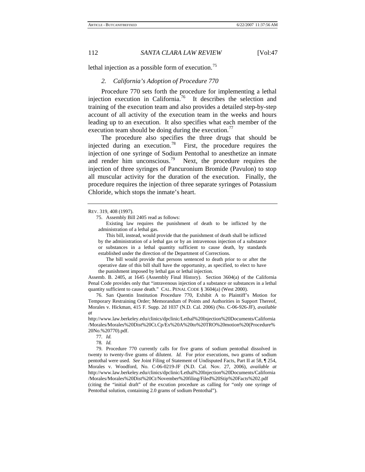lethal injection as a possible form of execution.<sup>[75](#page-12-0)</sup>

#### *2. California's Adoption of Procedure 770*

Procedure 770 sets forth the procedure for implementing a lethal injection execution in California.<sup>[76](#page-12-1)</sup> It describes the selection and training of the execution team and also provides a detailed step-by-step account of all activity of the execution team in the weeks and hours leading up to an execution. It also specifies what each member of the execution team should be doing during the execution.<sup>[77](#page-12-2)</sup>

The procedure also specifies the three drugs that should be injected during an execution.<sup>[78](#page-12-3)</sup> First, the procedure requires the injection of one syringe of Sodium Pentothal to anesthetize an inmate and render him unconscious.<sup>[79](#page-12-4)</sup> Next, the procedure requires the injection of three syringes of Pancuronium Bromide (Pavulon) to stop all muscular activity for the duration of the execution. Finally, the procedure requires the injection of three separate syringes of Potassium Chloride, which stops the inmate's heart.

 This bill, instead, would provide that the punishment of death shall be inflicted by the administration of a lethal gas or by an intravenous injection of a substance or substances in a lethal quantity sufficient to cause death, by standards established under the direction of the Department of Corrections.

 The bill would provide that persons sentenced to death prior to or after the operative date of this bill shall have the opportunity, as specified, to elect to have the punishment imposed by lethal gas or lethal injection.

Assemb. B. 2405, at 1645 (Assembly Final History). Section 3604(a) of the California Penal Code provides only that "intravenous injection of a substance or substances in a lethal quantity sufficient to cause death." CAL. PENAL CODE § 3604(a) (West 2000).

<span id="page-12-1"></span>76. San Quentin Institution Procedure 770, Exhibit A to Plaintiff's Motion for Temporary Restraining Order; Memorandum of Points and Authorities in Support Thereof, Morales v. Hickman, 415 F. Supp. 2d 1037 (N.D. Cal. 2006) (No. C-06-926-JF), *available at*

http://www.law.berkeley.edu/clinics/dpclinic/Lethal%20Injection%20Documents/California /Morales/Morales%20Dist%20Ct.Cp/Ex%20A%20to%20TRO%20motion%20(Procedure% 20No.%20770).pdf.

77*. Id.*

<span id="page-12-4"></span><span id="page-12-3"></span><span id="page-12-2"></span>79. Procedure 770 currently calls for five grams of sodium pentothal dissolved in twenty to twenty-five grams of dilutent. *Id.* For prior executions, two grams of sodium pentothal were used. *See* Joint Filing of Statement of Undisputed Facts, Part II at 58, ¶ 254, Morales v. Woodford, No. C-06-0219-JF (N.D. Cal. Nov. 27, 2006), *available at* http://www.law.berkeley.edu/clinics/dpclinic/Lethal%20Injection%20Documents/California /Morales/Morales%20Dist%20Ct/November%20filing/Filed%20Stip%20Facts%202.pdf

(citing the "initial draft" of the excution procedure as calling for "only one syringe of Pentothal solution, containing 2.0 grams of sodium Pentothal").

<span id="page-12-0"></span>REV. 319, 408 (1997).

<sup>75.</sup> Assembly Bill 2405 read as follows:

Existing law requires the punishment of death to be inflicted by the administration of a lethal gas.

<sup>78</sup>*. Id.*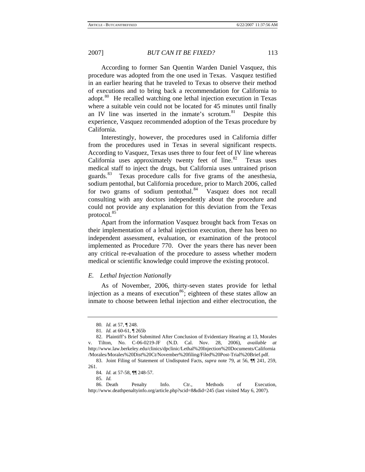According to former San Quentin Warden Daniel Vasquez, this procedure was adopted from the one used in Texas. Vasquez testified in an earlier hearing that he traveled to Texas to observe their method of executions and to bring back a recommendation for California to adopt.<sup>[80](#page-13-0)</sup> He recalled watching one lethal injection execution in Texas where a suitable vein could not be located for 45 minutes until finally an IV line was inserted in the inmate's scrotum. $81$  Despite this experience, Vasquez recommended adoption of the Texas procedure by California.

Interestingly, however, the procedures used in California differ from the procedures used in Texas in several significant respects. According to Vasquez, Texas uses three to four feet of IV line whereas California uses approximately twenty feet of line. $82$  Texas uses medical staff to inject the drugs, but California uses untrained prison guards.[83](#page-13-3) Texas procedure calls for five grams of the anesthesia, sodium pentothal, but California procedure, prior to March 2006, called for two grams of sodium pentothal. $84$  Vasquez does not recall consulting with any doctors independently about the procedure and could not provide any explanation for this deviation from the Texas protocol.<sup>[85](#page-13-5)</sup>

Apart from the information Vasquez brought back from Texas on their implementation of a lethal injection execution, there has been no independent assessment, evaluation, or examination of the protocol implemented as Procedure 770. Over the years there has never been any critical re-evaluation of the procedure to assess whether modern medical or scientific knowledge could improve the existing protocol.

#### *E. Lethal Injection Nationally*

As of November, 2006, thirty-seven states provide for lethal injection as a means of execution<sup>[86](#page-13-6)</sup>; eighteen of these states allow an inmate to choose between lethal injection and either electrocution, the

<sup>80</sup>*. Id.* at 57, ¶ 248.

<sup>81</sup>*. Id.* at 60-61, ¶ 265b

<span id="page-13-2"></span><span id="page-13-1"></span><span id="page-13-0"></span><sup>82.</sup> Plaintiff's Brief Submitted After Conclusion of Evidentiary Hearing at 13, Morales v. Tilton, No. C-06-0219-JF (N.D. Cal. Nov. 28, 2006), *available at* http://www.law.berkeley.edu/clinics/dpclinic/Lethal%20Injection%20Documents/California /Morales/Morales%20Dist%20Ct/November%20filing/Filed%20Post-Trial%20Brief.pdf.

<span id="page-13-3"></span><sup>83.</sup> Joint Filing of Statement of Undisputed Facts, *supra* note 79, at 56, ¶¶ 241, 259, 261.

<sup>84</sup>*. Id.* at 57-58, ¶¶ 248-57.

<sup>85</sup>*. Id.*

<span id="page-13-6"></span><span id="page-13-5"></span><span id="page-13-4"></span><sup>86.</sup> Death Penalty Info. Ctr., Methods of Execution, http://www.deathpenaltyinfo.org/article.php?scid=8&did=245 (last visited May 6, 2007).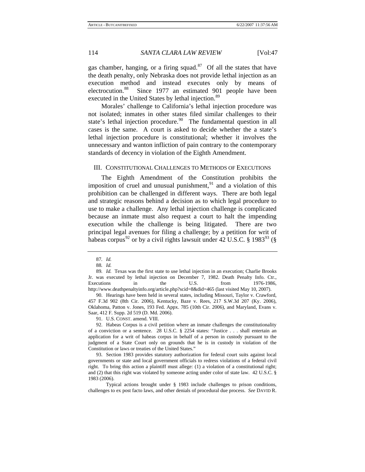gas chamber, hanging, or a firing squad.<sup>[87](#page-14-0)</sup> Of all the states that have the death penalty, only Nebraska does not provide lethal injection as an execution method and instead executes only by means of electrocution.<sup>[88](#page-14-1)</sup> Since 1977 an estimated 901 people have been executed in the United States by lethal injection.<sup>[89](#page-14-2)</sup>

Morales' challenge to California's lethal injection procedure was not isolated; inmates in other states filed similar challenges to their state's lethal injection procedure.<sup>[90](#page-14-3)</sup> The fundamental question in all cases is the same. A court is asked to decide whether the a state's lethal injection procedure is constitutional; whether it involves the unnecessary and wanton infliction of pain contrary to the contemporary standards of decency in violation of the Eighth Amendment.

#### III. CONSTITUTIONAL CHALLENGES TO METHODS OF EXECUTIONS

The Eighth Amendment of the Constitution prohibits the imposition of cruel and unusual punishment, $91$  and a violation of this prohibition can be challenged in different ways. There are both legal and strategic reasons behind a decision as to which legal procedure to use to make a challenge. Any lethal injection challenge is complicated because an inmate must also request a court to halt the impending execution while the challenge is being litigated. There are two principal legal avenues for filing a challenge; by a petition for writ of habeas corpus<sup>[92](#page-14-5)</sup> or by a civil rights lawsuit under 42 U.S.C. § 1983<sup>[93](#page-14-6)</sup> (§

<span id="page-14-3"></span>90. Hearings have been held in several states, including Missouri, Taylor v. Crawford, 457 F.3d 902 (8th Cir. 2006), Kentucky, Baze v. Rees, 217 S.W.3d 207 (Ky. 2006), Oklahoma, Patton v. Jones, 193 Fed. Appx. 785 (10th Cir. 2006), and Maryland, Evans v. Saar, 412 F. Supp. 2d 519 (D. Md. 2006).

91. U.S. CONST. amend. VIII.

<span id="page-14-5"></span><span id="page-14-4"></span>92. Habeas Corpus is a civil petition where an inmate challenges the constitutionality of a conviction or a sentence. 28 U.S.C. § 2254 states: "Justice . . . shall entertain an application for a writ of habeas corpus in behalf of a person in custody pursuant to the judgment of a State Court only on grounds that he is in custody in violation of the Constitution or laws or treaties of the United States."

<span id="page-14-6"></span>93. Section 1983 provides statutory authorization for federal court suits against local governments or state and local government officials to redress violations of a federal civil right. To bring this action a plaintiff must allege: (1) a violation of a constitutional right; and (2) that this right was violated by someone acting under color of state law. 42 U.S.C. § 1983 (2006).

 Typical actions brought under § 1983 include challenges to prison conditions, challenges to ex post facto laws, and other denials of procedural due process. *See* DAVID R.

<sup>87</sup>*. Id.*

<sup>88</sup>*. Id.*

<span id="page-14-2"></span><span id="page-14-1"></span><span id="page-14-0"></span><sup>89</sup>*. Id.* Texas was the first state to use lethal injection in an execution; Charlie Brooks Jr. was executed by lethal injection on December 7, 1982. Death Penalty Info. Ctr., Executions in the U.S. from 1976-1986, http://www.deathpenaltyinfo.org/article.php?scid=8&did=465 (last visited May 10, 2007).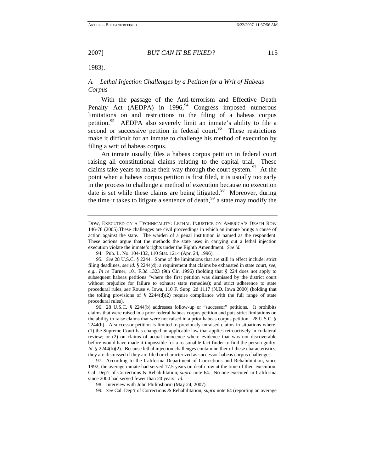1983).

# *A. Lethal Injection Challenges by a Petition for a Writ of Habeas Corpus*

With the passage of the Anti-terrorism and Effective Death Penalty Act (AEDPA) in  $1996<sup>94</sup>$  $1996<sup>94</sup>$  $1996<sup>94</sup>$  Congress imposed numerous limitations on and restrictions to the filing of a habeas corpus petition.<sup>[95](#page-15-1)</sup> AEDPA also severely limit an inmate's ability to file a second or successive petition in federal court. $96$  These restrictions make it difficult for an inmate to challenge his method of execution by filing a writ of habeas corpus.

An inmate usually files a habeas corpus petition in federal court raising all constitutional claims relating to the capital trial. These claims take years to make their way through the court system.<sup>[97](#page-15-3)</sup> At the point when a habeas corpus petition is first filed, it is usually too early in the process to challenge a method of execution because no execution date is set while these claims are being litigated.<sup>[98](#page-15-4)</sup> Moreover, during the time it takes to litigate a sentence of death,  $99$  a state may modify the

DOW, EXECUTED ON A TECHNICALITY: LETHAL INJUSTICE ON AMERICA'S DEATH ROW 146-78 (2005).These challenges are civil proceedings in which an inmate brings a cause of action against the state. The warden of a penal institution is named as the respondent. These actions argue that the methods the state uses in carrying out a lethal injection execution violate the inmate's rights under the Eighth Amendment. *See id.*

<sup>94.</sup> Pub. L. No. 104-132, 110 Stat. 1214 (Apr. 24, 1996).

<span id="page-15-1"></span><span id="page-15-0"></span><sup>95</sup>*. See* 28 U.S.C. § 2244. Some of the limitations that are still in effect include: strict filing deadlines, *see id.* § 2244(d); a requirement that claims be exhausted in state court, *see, e.g.*, *In re* Turner, 101 F.3d 1323 (9th Cir. 1996) (holding that § 224 does not apply to subsequent habeas petitions "where the first petition was dismissed by the district court without prejudice for failure to exhaust state remedies); and strict adherence to state procedural rules, *see* Rouse v. Iowa, 110 F. Supp. 2d 1117 (N.D. Iowa 2000) (holding that the tolling provisions of  $\S$  2244(d)(2) require compliance with the full range of state procedural rules).

<span id="page-15-2"></span><sup>96. 28</sup> U.S.C. § 2244(b) addresses follow-up or "successor" petitions. It prohibits claims that were raised in a prior federal habeas corpus petition and puts strict limitations on the ability to raise claims that were not raised in a prior habeas corpus petition. 28 U.S.C. § 2244(b). A successor petition is limited to previously unraised claims in situations where: (1) the Supreme Court has changed an applicable law that applies retroactively in collateral review; or (2) on claims of actual innocence where evidence that was not discoverable before would have made it impossible for a reasonable fact finder to find the person guilty. *Id.* § 2244(b)(2). Because lethal injection challenges contain neither of these characteristics, they are dismissed if they are filed or characterized as successor habeas corpus challenges.

<span id="page-15-5"></span><span id="page-15-4"></span><span id="page-15-3"></span><sup>97.</sup> According to the California Department of Corrections and Rehabilitation, since 1992, the average inmate had served 17.5 years on death row at the time of their execution. Cal. Dep't of Corrections & Rehabilitation, *supra* note 64. No one executed in California since 2000 had served fewer than 20 years. *Id.* 

<sup>98.</sup> Interview with John Philipsborm (May 24, 2007).

<sup>99</sup>*. See* Cal. Dep't of Corrections & Rehabilitation, *supra* note 64 (reporting an average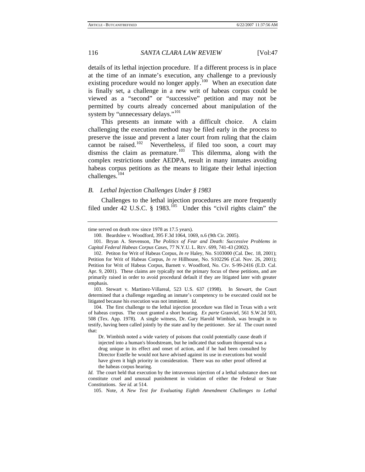details of its lethal injection procedure. If a different process is in place at the time of an inmate's execution, any challenge to a previously existing procedure would no longer apply. $100$  When an execution date is finally set, a challenge in a new writ of habeas corpus could be viewed as a "second" or "successive" petition and may not be permitted by courts already concerned about manipulation of the system by "unnecessary delays."<sup>[101](#page-16-1)</sup>

This presents an inmate with a difficult choice. A claim challenging the execution method may be filed early in the process to preserve the issue and prevent a later court from ruling that the claim cannot be raised.<sup>[102](#page-16-2)</sup> Nevertheless, if filed too soon, a court may dismiss the claim as premature.<sup>[103](#page-16-3)</sup> This dilemma, along with the complex restrictions under AEDPA, result in many inmates avoiding habeas corpus petitions as the means to litigate their lethal injection challenges.[104](#page-16-4)

### *B. Lethal Injection Challenges Under § 1983*

Challenges to the lethal injection procedures are more frequently filed under 42 U.S.C. § 1983.<sup>[105](#page-16-5)</sup> Under this "civil rights claim" the

<span id="page-16-3"></span>103. Stewart v. Martinez-Villareal, 523 U.S. 637 (1998). In *Stewart*, the Court determined that a challenge regarding an inmate's competency to be executed could not be litigated because his execution was not imminent. *Id.* 

<span id="page-16-0"></span>time served on death row since 1978 as 17.5 years).

<sup>100.</sup> Beardslee v. Woodford, 395 F.3d 1064, 1069, n.6 (9th Cir. 2005).

<span id="page-16-1"></span><sup>101.</sup> Bryan A. Stevenson, *The Politics of Fear and Death: Successive Problems in Capital Federal Habeas Corpus Cases*, 77 N.Y.U. L. REV. 699, 741-43 (2002).

<span id="page-16-2"></span><sup>102.</sup> Petiton for Writ of Habeas Corpus, *In re* Haley, No. S103000 (Cal. Dec. 18, 2001); Petition for Writ of Habeas Corpus, *In re* Hillhouse, No. S102296 (Cal. Nov. 26, 2001); Petition for Writ of Habeas Corpus, Barnett v. Woodford, No. Civ. S-99-2416 (E.D. Cal. Apr. 9, 2001). These claims are typically not the primary focus of these petitions, and are primarily raised in order to avoid procedural default if they are litigated later with greater emphasis.

<span id="page-16-4"></span><sup>104.</sup> The first challenge to the lethal injection procedure was filed in Texas with a writ of habeas corpus. The court granted a short hearing. *Ex parte* Granviel, 561 S.W.2d 503, 508 (Tex. App. 1978). A single witness, Dr. Gary Harold Wimbish, was brought in to testify, having been called jointly by the state and by the petitioner. *See id.* The court noted that:

Dr. Wimbish noted a wide variety of poisons that could potentially cause death if injected into a human's bloodstream, but he indicated that sodium thiopental was a drug unique in its effect and onset of action, and if he had been consulted by Director Estelle he would not have advised against its use in executions but would have given it high priority in consideration. There was no other proof offered at the habeas corpus hearing.

<span id="page-16-5"></span>*Id.* The court held that execution by the intravenous injection of a lethal substance does not constitute cruel and unusual punishment in violation of either the Federal or State Constitutions. *See id.* at 514.

<sup>105.</sup> Note, *A New Test for Evaluating Eighth Amendment Challenges to Lethal*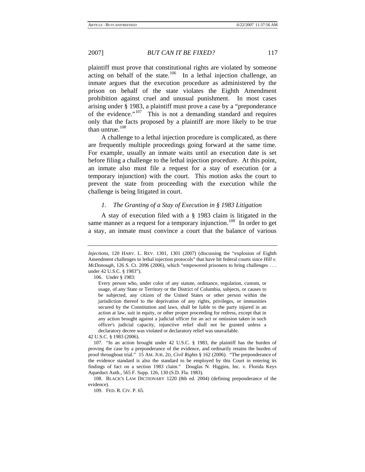plaintiff must prove that constitutional rights are violated by someone acting on behalf of the state.<sup>[106](#page-17-0)</sup> In a lethal injection challenge, an inmate argues that the execution procedure as administered by the prison on behalf of the state violates the Eighth Amendment prohibition against cruel and unusual punishment. In most cases arising under § 1983, a plaintiff must prove a case by a "preponderance of the evidence."[107](#page-17-1) This is not a demanding standard and requires only that the facts proposed by a plaintiff are more likely to be true than untrue.<sup>[108](#page-17-2)</sup>

A challenge to a lethal injection procedure is complicated, as there are frequently multiple proceedings going forward at the same time. For example, usually an inmate waits until an execution date is set before filing a challenge to the lethal injection procedure. At this point, an inmate also must file a request for a stay of execution (or a temporary injunction) with the court. This motion asks the court to prevent the state from proceeding with the execution while the challenge is being litigated in court.

### *1. The Granting of a Stay of Execution in § 1983 Litigation*

A stay of execution filed with a § 1983 claim is litigated in the same manner as a request for a temporary injunction.<sup>109</sup> In order to get a stay, an inmate must convince a court that the balance of various

106. Under § 1983:

42 U.S.C. § 1983 (2006).

<span id="page-17-1"></span>107. "In an action brought under 42 U.S.C. § 1983, the plaintiff has the burden of proving the case by a preponderance of the evidence, and ordinarily retains the burden of proof throughout trial." 15 AM. JUR. 2D, *Civil Rights* § 162 (2006). "The preponderance of the evidence standard is also the standard to be employed by this Court in entering its findings of fact on a section 1983 claim." Douglas N. Higgins, Inc. v. Florida Keys Aqueduct Auth., 565 F. Supp. 126, 130 (S.D. Fla. 1983).

<span id="page-17-3"></span><span id="page-17-2"></span>108. BLACK'S LAW DICTIONARY 1220 (8th ed. 2004) (defining preponderance of the evidence).

109. FED. R. CIV. P. 65.

<span id="page-17-0"></span>*Injections*, 120 HARV. L. REV. 1301, 1301 (2007) (discussing the "explosion of Eighth Amendment challenges to lethal injection protocols" that have hit federal courts since *Hill v. McDonough*, 126 S. Ct. 2096 (2006), which "empowered prisoners to bring challenges . . . under 42 U.S.C. § 1983").

Every person who, under color of any statute, ordinance, regulation, custom, or usage, of any State or Territory or the District of Columbia, subjects, or causes to be subjected, any citizen of the United States or other person within the jurisdiction thereof to the deprivation of any rights, privileges, or immunities secured by the Constitution and laws, shall be liable to the party injured in an action at law, suit in equity, or other proper proceeding for redress, except that in any action brought against a judicial officer for an act or omission taken in such officer's judicial capacity, injunctive relief shall not be granted unless a declaratory decree was violated or declaratory relief was unavailable.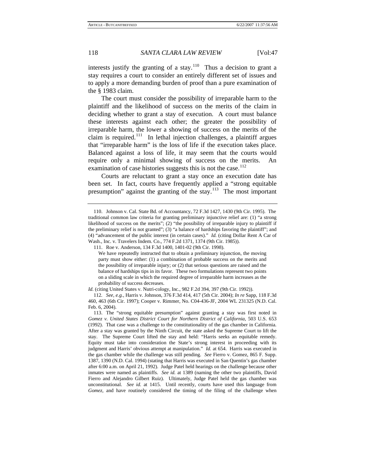interests justify the granting of a stay.<sup>[110](#page-18-0)</sup> Thus a decision to grant a stay requires a court to consider an entirely different set of issues and to apply a more demanding burden of proof than a pure examination of the § 1983 claim.

The court must consider the possibility of irreparable harm to the plaintiff and the likelihood of success on the merits of the claim in deciding whether to grant a stay of execution. A court must balance these interests against each other; the greater the possibility of irreparable harm, the lower a showing of success on the merits of the claim is required.<sup>[111](#page-18-1)</sup> In lethal injection challenges, a plaintiff argues that "irreparable harm" is the loss of life if the execution takes place. Balanced against a loss of life, it may seem that the courts would require only a minimal showing of success on the merits. An examination of case histories suggests this is not the case.<sup>[112](#page-18-2)</sup>

Courts are reluctant to grant a stay once an execution date has been set. In fact, courts have frequently applied a "strong equitable presumption" against the granting of the stay. $113$  The most important

*Id.* (citing United States v. Nutri-cology, Inc., 982 F.2d 394, 397 (9th Cir. 1992)).

<span id="page-18-0"></span><sup>110.</sup> Johnson v. Cal. State Bd. of Accountancy, 72 F.3d 1427, 1430 (9th Cir. 1995). The traditional common law criteria for granting preliminary injunctive relief are: (1) "a strong likelihood of success on the merits"; (2) "the possibility of irreparable injury to plaintiff if the preliminary relief is not granted"; (3) "a balance of hardships favoring the plaintiff"; and (4) "advancement of the public interest (in certain cases)." *Id.* (citing Dollar Rent A Car of Wash., Inc. v. Travelers Indem. Co., 774 F.2d 1371, 1374 (9th Cir. 1985)).

<span id="page-18-1"></span><sup>111.</sup> Roe v. Anderson, 134 F.3d 1400, 1401-02 (9th Cir. 1998).

We have repeatedly instructed that to obtain a preliminary injunction, the moving party must show either: (1) a combination of probable success on the merits and the possibility of irreparable injury; or (2) that serious questions are raised and the balance of hardships tips in its favor. These two formulations represent two points on a sliding scale in which the required degree of irreparable harm increases as the probability of success decreases.

<span id="page-18-2"></span><sup>112</sup>*. See, e.g.*, Harris v. Johnson, 376 F.3d 414, 417 (5th Cir. 2004); *In re* Sapp, 118 F.3d 460, 463 (6th Cir. 1997); Cooper v. Rimmer, No. C04-436-JF, 2004 WL 231325 (N.D. Cal. Feb. 6, 2004).

<span id="page-18-3"></span><sup>113.</sup> The "strong equitable presumption" against granting a stay was first noted in *Gomez v. United States District Court for Northern District of California*, 503 U.S. 653 (1992). That case was a challenge to the constitutionality of the gas chamber in California. After a stay was granted by the Ninth Circuit, the state asked the Supreme Court to lift the stay. The Supreme Court lifted the stay and held: "Harris seeks an equitable remedy. Equity must take into consideration the State's strong interest in proceeding with its judgment and Harris' obvious attempt at manipulation." *Id.* at 654. Harris was executed in the gas chamber while the challenge was still pending. *See* Fierro v. Gomez, 865 F. Supp. 1387, 1390 (N.D. Cal. 1994) (stating that Harris was executed in San Quentin's gas chamber after 6:00 a.m. on April 21, 1992). Judge Patel held hearings on the challenge because other inmates were named as plaintiffs. *See id.* at 1389 (naming the other two plaintiffs, David Fierro and Alejandro Gilbert Ruiz). Ultimately, Judge Patel held the gas chamber was unconstitutional. *See id.* at 1415. Until recently, courts have used this language from *Gomez*, and have routinely considered the timing of the filing of the challenge when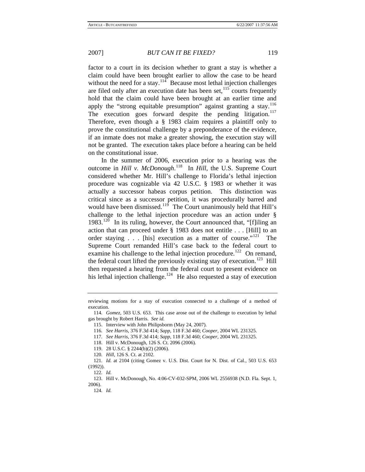factor to a court in its decision whether to grant a stay is whether a claim could have been brought earlier to allow the case to be heard without the need for a stay.  $114$  Because most lethal injection challenges are filed only after an execution date has been set, $115$  courts frequently hold that the claim could have been brought at an earlier time and apply the "strong equitable presumption" against granting a stay.<sup>[116](#page-19-2)</sup> The execution goes forward despite the pending litigation.<sup>[117](#page-19-3)</sup> Therefore, even though a § 1983 claim requires a plaintiff only to prove the constitutional challenge by a preponderance of the evidence, if an inmate does not make a greater showing, the execution stay will not be granted. The execution takes place before a hearing can be held on the constitutional issue.

In the summer of 2006, execution prior to a hearing was the outcome in *Hill v. McDonough*.<sup>[118](#page-19-4)</sup> In *Hill*, the U.S. Supreme Court considered whether Mr. Hill's challenge to Florida's lethal injection procedure was cognizable via 42 U.S.C. § 1983 or whether it was actually a successor habeas corpus petition. This distinction was critical since as a successor petition, it was procedurally barred and would have been dismissed.<sup>[119](#page-19-5)</sup> The Court unanimously held that Hill's challenge to the lethal injection procedure was an action under § 1983.<sup>[120](#page-19-6)</sup> In its ruling, however, the Court announced that, "[f]iling an action that can proceed under § 1983 does not entitle . . . [Hill] to an order staying  $\ldots$  [his] execution as a matter of course."<sup>[121](#page-19-7)</sup> The Supreme Court remanded Hill's case back to the federal court to examine his challenge to the lethal injection procedure.<sup>[122](#page-19-8)</sup> On remand, the federal court lifted the previously existing stay of execution.<sup>[123](#page-19-9)</sup> Hill then requested a hearing from the federal court to present evidence on his lethal injection challenge.<sup>[124](#page-19-10)</sup> He also requested a stay of execution

reviewing motions for a stay of execution connected to a challenge of a method of execution.

<span id="page-19-2"></span><span id="page-19-1"></span><span id="page-19-0"></span><sup>114</sup>*. Gomez*, 503 U.S. 653. This case arose out of the challenge to execution by lethal gas brought by Robert Harris. *See id.* 

<sup>115.</sup> Interview with John Philipsborm (May 24, 2007).

<sup>116</sup>*. See Harris*, 376 F.3d 414; *Sapp*, 118 F.3d 460; *Cooper*, 2004 WL 231325.

<sup>117</sup>*. See Harris*, 376 F.3d 414; *Sapp*, 118 F.3d 460; *Cooper*, 2004 WL 231325.

<sup>118.</sup> Hill v. McDonough, 126 S. Ct. 2096 (2006).

<sup>119. 28</sup> U.S.C. § 2244(b)(2) (2006).

<sup>120</sup>*. Hill*, 126 S. Ct. at 2102.

<span id="page-19-7"></span><span id="page-19-6"></span><span id="page-19-5"></span><span id="page-19-4"></span><span id="page-19-3"></span><sup>121</sup>*. Id.* at 2104 (citing Gomez v. U.S. Dist. Court for N. Dist. of Cal., 503 U.S. 653 (1992)).

<sup>122</sup>*. Id.*

<span id="page-19-10"></span><span id="page-19-9"></span><span id="page-19-8"></span><sup>123.</sup> Hill v. McDonough, No. 4:06-CV-032-SPM, 2006 WL 2556938 (N.D. Fla. Sept. 1, 2006).

<sup>124</sup>*. Id.*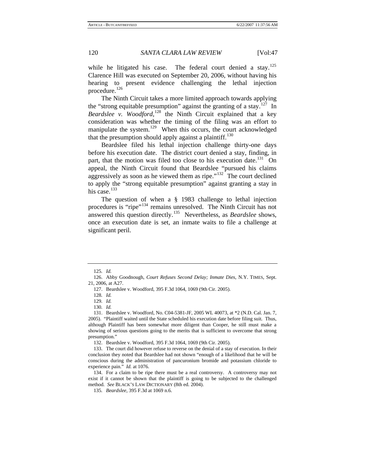while he litigated his case. The federal court denied a stay.<sup>[125](#page-20-0)</sup> Clarence Hill was executed on September 20, 2006, without having his hearing to present evidence challenging the lethal injection procedure.<sup>[126](#page-20-1)</sup>

The Ninth Circuit takes a more limited approach towards applying the "strong equitable presumption" against the granting of a stay.<sup>[127](#page-20-2)</sup> In Beardslee v. Woodford,<sup>[128](#page-20-3)</sup> the Ninth Circuit explained that a key consideration was whether the timing of the filing was an effort to manipulate the system.<sup>[129](#page-20-4)</sup> When this occurs, the court acknowledged that the presumption should apply against a plaintiff.<sup>[130](#page-20-5)</sup>

Beardslee filed his lethal injection challenge thirty-one days before his execution date. The district court denied a stay, finding, in part, that the motion was filed too close to his execution date.<sup>[131](#page-20-6)</sup> On appeal, the Ninth Circuit found that Beardslee "pursued his claims aggressively as soon as he viewed them as ripe."<sup>[132](#page-20-7)</sup> The court declined to apply the "strong equitable presumption" against granting a stay in his case.<sup>[133](#page-20-8)</sup>

The question of when a § 1983 challenge to lethal injection procedures is "ripe"[134](#page-20-9) remains unresolved. The Ninth Circuit has not answered this question directly.[135](#page-20-10) Nevertheless, as *Beardslee* shows, once an execution date is set, an inmate waits to file a challenge at significant peril.

<sup>125</sup>*. Id.*

<span id="page-20-3"></span><span id="page-20-2"></span><span id="page-20-1"></span><span id="page-20-0"></span><sup>126.</sup> Abby Goodnough, *Court Refuses Second Delay; Inmate Dies*, N.Y. TIMES, Sept. 21, 2006, at A27.

<sup>127.</sup> Beardslee v. Woodford, 395 F.3d 1064, 1069 (9th Cir. 2005).

<sup>128</sup>*. Id.*

<sup>129</sup>*. Id.*

<sup>130</sup>*. Id.*

<span id="page-20-6"></span><span id="page-20-5"></span><span id="page-20-4"></span><sup>131.</sup> Beardslee v. Woodford, No. C04-5381-JF, 2005 WL 40073, at \*2 (N.D. Cal. Jan. 7, 2005). "Plaintiff waited until the State scheduled his execution date before filing suit. Thus, although Plaintiff has been somewhat more diligent than Cooper, he still must make a showing of serious questions going to the merits that is sufficient to overcome that strong presumption."

<sup>132.</sup> Beardslee v. Woodford, 395 F.3d 1064, 1069 (9th Cir. 2005).

<span id="page-20-8"></span><span id="page-20-7"></span><sup>133.</sup> The court did however refuse to reverse on the denial of a stay of execution. In their conclusion they noted that Beardslee had not shown "enough of a likelihood that he will be conscious during the administration of pancuronium bromide and potassium chloride to experience pain." *Id.* at 1076.

<span id="page-20-10"></span><span id="page-20-9"></span><sup>134.</sup> For a claim to be ripe there must be a real controversy. A controversy may not exist if it cannot be shown that the plaintiff is going to be subjected to the challenged method. *See* BLACK'S LAW DICTIONARY (8th ed. 2004).

<sup>135</sup>*. Beardslee*, 395 F.3d at 1069 n.6.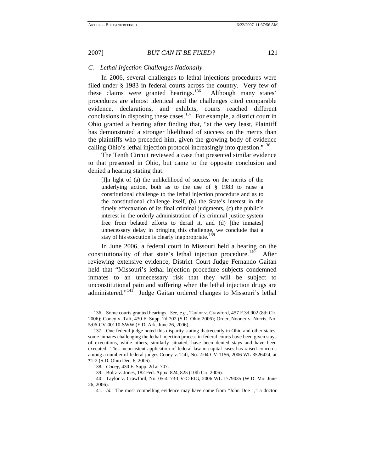#### *C. Lethal Injection Challenges Nationally*

In 2006, several challenges to lethal injections procedures were filed under § 1983 in federal courts across the country. Very few of these claims were granted hearings.<sup>[136](#page-21-0)</sup> Although many states' procedures are almost identical and the challenges cited comparable evidence, declarations, and exhibits, courts reached different conclusions in disposing these cases.<sup>[137](#page-21-1)</sup> For example, a district court in Ohio granted a hearing after finding that, "at the very least, Plaintiff has demonstrated a stronger likelihood of success on the merits than the plaintiffs who preceded him, given the growing body of evidence calling Ohio's lethal injection protocol increasingly into question."[138](#page-21-2)

The Tenth Circuit reviewed a case that presented similar evidence to that presented in Ohio, but came to the opposite conclusion and denied a hearing stating that:

[I]n light of (a) the unlikelihood of success on the merits of the underlying action, both as to the use of § 1983 to raise a constitutional challenge to the lethal injection procedure and as to the constitutional challenge itself, (b) the State's interest in the timely effectuation of its final criminal judgments, (c) the public's interest in the orderly administration of its criminal justice system free from belated efforts to derail it, and (d) [the inmates] unnecessary delay in bringing this challenge, we conclude that a stay of his execution is clearly inappropriate.<sup>1</sup>

In June 2006, a federal court in Missouri held a hearing on the constitutionality of that state's lethal injection procedure.<sup>[140](#page-21-4)</sup> After reviewing extensive evidence, District Court Judge Fernando Gaitan held that "Missouri's lethal injection procedure subjects condemned inmates to an unnecessary risk that they will be subject to unconstitutional pain and suffering when the lethal injection drugs are administered."<sup>[141](#page-21-5)</sup> Judge Gaitan ordered changes to Missouri's lethal

<span id="page-21-0"></span><sup>136.</sup> Some courts granted hearings. *See, e.g.*, Taylor v. Crawford, 457 F.3d 902 (8th Cir. 2006); Cooey v. Taft, 430 F. Supp. 2d 702 (S.D. Ohio 2006); Order, Nooner v. Norris, No. 5:06-CV-00110-SWW (E.D. Ark. June 26, 2006).

<span id="page-21-1"></span><sup>137.</sup> One federal judge noted this disparity stating thatrecently in Ohio and other states, some inmates challenging the lethal injection process in federal courts have been given stays of executions, while others, similarly situated, have been denied stays and have been executed. This inconsistent application of federal law in capital cases has raised concerns among a number of federal judges.Cooey v. Taft, No. 2:04-CV-1156, 2006 WL 3526424, at \*1-2 (S.D. Ohio Dec. 6, 2006).

<sup>138</sup>*. Cooey*, 430 F. Supp. 2d at 707.

<sup>139.</sup> Boltz v. Jones, 182 Fed. Appx. 824, 825 (10th Cir. 2006).

<span id="page-21-5"></span><span id="page-21-4"></span><span id="page-21-3"></span><span id="page-21-2"></span><sup>140.</sup> Taylor v. Crawford, No. 05-4173-CV-C-FJG, 2006 WL 1779035 (W.D. Mo. June 26, 2006).

<sup>141</sup>*. Id.* The most compelling evidence may have come from "John Doe 1," a doctor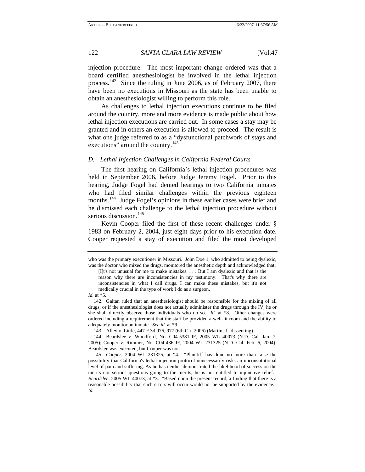injection procedure. The most important change ordered was that a board certified anesthesiologist be involved in the lethal injection process.[142](#page-22-0) Since the ruling in June 2006, as of February 2007, there have been no executions in Missouri as the state has been unable to obtain an anesthesiologist willing to perform this role.

As challenges to lethal injection executions continue to be filed around the country, more and more evidence is made public about how lethal injection executions are carried out. In some cases a stay may be granted and in others an execution is allowed to proceed. The result is what one judge referred to as a "dysfunctional patchwork of stays and executions" around the country.<sup>[143](#page-22-1)</sup>

#### *D. Lethal Injection Challenges in California Federal Courts*

The first hearing on California's lethal injection procedures was held in September 2006, before Judge Jeremy Fogel. Prior to this hearing, Judge Fogel had denied hearings to two California inmates who had filed similar challenges within the previous eighteen months.<sup>[144](#page-22-2)</sup> Judge Fogel's opinions in these earlier cases were brief and he dismissed each challenge to the lethal injection procedure without serious discussion.<sup>[145](#page-22-3)</sup>

Kevin Cooper filed the first of these recent challenges under § 1983 on February 2, 2004, just eight days prior to his execution date. Cooper requested a stay of execution and filed the most developed

*Id.* at \*5.

143. Alley v. Little, 447 F.3d 976, 977 (6th Cir. 2006) (Martin, J., dissenting).

<span id="page-22-2"></span><span id="page-22-1"></span>144. Beardslee v. Woodford, No. C04-5381-JF, 2005 WL 40073 (N.D. Cal. Jan. 7, 2005); Cooper v. Rimmer, No. C04-436-JF, 2004 WL 231325 (N.D. Cal. Feb. 6, 2004). Beardslee was executed, but Cooper was not.

who was the primary executioner in Missouri. John Doe 1, who admitted to being dyslexic, was the doctor who mixed the drugs, monitored the anesthetic depth and acknowledged that:

<sup>[</sup>I]t's not unusual for me to make mistakes. . . . But I am dyslexic and that is the reason why there are inconsistencies in my testimony. That's why there are inconsistencies in what I call drugs. I can make these mistakes, but it's not medically crucial in the type of work I do as a surgeon.

<span id="page-22-0"></span><sup>142.</sup> Gaitan ruled that an anesthesiologist should be responsible for the mixing of all drugs, or if the anesthesiologist does not actually administer the drugs through the IV, he or she shall directly observe those individuals who do so. *Id.* at \*8. Other changes were ordered including a requirement that the staff be provided a well-lit room and the ability to adequately monitor an inmate. *See id.* at \*9.

<span id="page-22-3"></span><sup>145</sup>*. Cooper*, 2004 WL 231325, at \*4. "Plaintiff has done no more than raise the possibility that California's lethal-injection protocol unnecessarily risks an unconstitutional level of pain and suffering. As he has neither demonstrated the likelihood of success on the merits nor serious questions going to the merits, he is not entitled to injunctive relief." *Beardslee*, 2005 WL 40073, at \*3. "Based upon the present record, a finding that there is a reasonable possibility that such errors will occur would not be supported by the evidence." *Id.*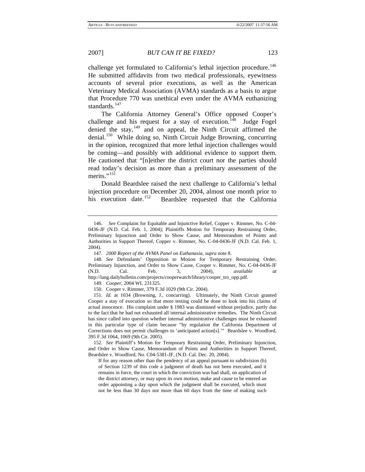standards.<sup>[147](#page-23-1)</sup>

2007] *BUT CAN IT BE FIXED?* 123

that Procedure 770 was unethical even under the AVMA euthanizing

challenge yet formulated to California's lethal injection procedure.<sup>[146](#page-23-0)</sup> He submitted affidavits from two medical professionals, eyewitness accounts of several prior executions, as well as the American Veterinary Medical Association (AVMA) standards as a basis to argue

The California Attorney General's Office opposed Cooper's challenge and his request for a stay of execution.<sup>[148](#page-23-2)</sup> Judge Fogel denied the stay,<sup>[149](#page-23-3)</sup> and on appeal, the Ninth Circuit affirmed the denial.<sup>[150](#page-23-4)</sup> While doing so, Ninth Circuit Judge Browning, concurring in the opinion, recognized that more lethal injection challenges would be coming—and possibly with additional evidence to support them. He cautioned that "[n]either the district court nor the parties should read today's decision as more than a preliminary assessment of the merits."<sup>[151](#page-23-5)</sup>

Donald Beardslee raised the next challenge to California's lethal injection procedure on December 20, 2004, almost one month prior to his execution date.<sup>[152](#page-23-6)</sup> Beardslee requested that the California

<span id="page-23-6"></span>152*. See* Plaintiff's Motion for Temporary Restraining Order, Preliminary Injunction, and Order to Show Cause, Memorandum of Points and Authorities in Support Thereof, Beardslee v. Woodford, No. C04-5381-JF, (N.D. Cal. Dec. 20, 2004).

If for any reason other than the pendency of an appeal pursuant to subdivision (b) of Section 1239 of this code a judgment of death has not been executed, and it remains in force, the court in which the conviction was had shall, on application of the district attorney, or may upon its own motion, make and cause to be entered an order appointing a day upon which the judgment shall be executed, which must not be less than 30 days nor more than 60 days from the time of making such

<span id="page-23-0"></span><sup>146.</sup> *See* Complaint for Equitable and Injunctive Relief, Copper v. Rimmer, No. C-04- 0436-JF (N.D. Cal. Feb. 1, 2004); Plaintiffs Motion for Temporary Restraining Order, Preliminary Injunction and Order to Show Cause, and Memorandum of Points and Authorities in Support Thereof, Copper v. Rimmer, No. C-04-0436-JF (N.D. Cal. Feb. 1, 2004).

<sup>147</sup>*. 2000 Report of the AVMA Panel on Euthanasia*, *supra* note 8.

<span id="page-23-2"></span><span id="page-23-1"></span><sup>148</sup>*. See* Defendants' Opposition to Motion for Temporary Restraining Order, Preliminary Injunction, and Order to Show Cause, Cooper v. Rimmer, No. C-04-0436-JF (N.D. Cal. Feb. 3, 2004), *available at* http://lang.dailybulletin.com/projects/cooperwatch/library/cooper\_tro\_opp.pdf.

<sup>149</sup>*. Cooper*, 2004 WL 231325.

<sup>150.</sup> Cooper v. Rimmer, 379 F.3d 1029 (9th Cir. 2004).

<span id="page-23-5"></span><span id="page-23-4"></span><span id="page-23-3"></span><sup>151</sup>*. Id.* at 1034 (Browning, J., concurring). Ultimately, the Ninth Circuit granted Cooper a stay of execution so that more testing could be done to look into his claims of actual innocence. His complaint under § 1983 was dismissed without prejudice, partly due to the fact that he had not exhausted all internal administrative remedies. The Ninth Circuit has since called into question whether internal administrative challenges must be exhausted in this particular type of claim because "by regulation the California Department of Corrections does not permit challenges to 'anticipated action[s].'" Beardslee v. Woodford, 395 F.3d 1064, 1069 (9th Cir. 2005).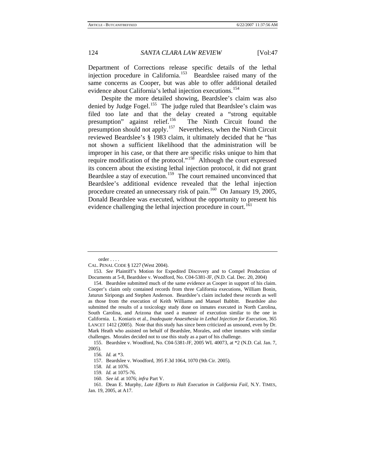Department of Corrections release specific details of the lethal injection procedure in California.<sup>[153](#page-24-0)</sup> Beardslee raised many of the same concerns as Cooper, but was able to offer additional detailed evidence about California's lethal injection executions.<sup>[154](#page-24-1)</sup>

Despite the more detailed showing, Beardslee's claim was also denied by Judge Fogel.<sup>[155](#page-24-2)</sup> The judge ruled that Beardslee's claim was filed too late and that the delay created a "strong equitable presumption" against relief.<sup>[156](#page-24-3)</sup> The Ninth Circuit found the presumption should not apply.<sup>[157](#page-24-4)</sup> Nevertheless, when the Ninth Circuit reviewed Beardslee's § 1983 claim, it ultimately decided that he "has not shown a sufficient likelihood that the administration will be improper in his case, or that there are specific risks unique to him that require modification of the protocol."<sup>[158](#page-24-5)</sup> Although the court expressed its concern about the existing lethal injection protocol, it did not grant Beardslee a stay of execution.<sup>[159](#page-24-6)</sup> The court remained unconvinced that Beardslee's additional evidence revealed that the lethal injection procedure created an unnecessary risk of pain.<sup>[160](#page-24-7)</sup> On January 19, 2005, Donald Beardslee was executed, without the opportunity to present his evidence challenging the lethal injection procedure in court.<sup>[161](#page-24-8)</sup>

order . . . .

<span id="page-24-0"></span>CAL. PENAL CODE § 1227 (West 2004).

<sup>153</sup>*. See* Plaintiff's Motion for Expedited Discovery and to Compel Production of Documents at 5-8, Beardslee v. Woodford, No. C04-5381-JF, (N.D. Cal. Dec. 20, 2004)

<span id="page-24-1"></span><sup>154.</sup> Beardslee submitted much of the same evidence as Cooper in support of his claim. Cooper's claim only contained records from three California executions, William Bonin, Jaturun Siripongs and Stephen Anderson. Beardslee's claim included these records as well as those from the execution of Keith Williams and Manuel Babbitt. Beardslee also submitted the results of a toxicology study done on inmates executed in North Carolina, South Carolina, and Arizona that used a manner of execution similar to the one in California. L. Koniaris et al., *Inadequate Anaesthesia in Lethal Injection for Execution*, 365 LANCET 1412 (2005). Note that this study has since been criticized as unsound, even by Dr. Mark Heath who assisted on behalf of Beardslee, Morales, and other inmates with similar challenges. Morales decided not to use this study as a part of his challenge.

<span id="page-24-4"></span><span id="page-24-3"></span><span id="page-24-2"></span><sup>155.</sup> Beardslee v. Woodford, No. C04-5381-JF, 2005 WL 40073, at \*2 (N.D. Cal. Jan. 7, 2005).

<sup>156</sup>*. Id.* at \*3.

<sup>157.</sup> Beardslee v. Woodford, 395 F.3d 1064, 1070 (9th Cir. 2005).

<sup>158</sup>*. Id.* at 1076.

<sup>159</sup>*. Id.* at 1075-76.

<sup>160</sup>*. See id.* at 1076; *infra* Part V.

<span id="page-24-8"></span><span id="page-24-7"></span><span id="page-24-6"></span><span id="page-24-5"></span><sup>161.</sup> Dean E. Murphy, *Late Efforts to Halt Execution in California Fail*, N.Y. TIMES, Jan. 19, 2005, at A17.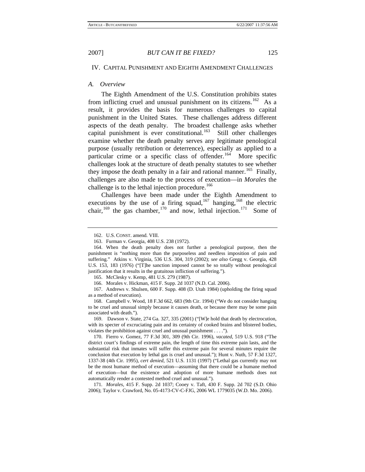# IV. CAPITAL PUNISHMENT AND EIGHTH AMENDMENT CHALLENGES

#### *A. Overview*

The Eighth Amendment of the U.S. Constitution prohibits states from inflicting cruel and unusual punishment on its citizens.<sup>[162](#page-25-0)</sup> As a result, it provides the basis for numerous challenges to capital punishment in the United States. These challenges address different aspects of the death penalty. The broadest challenge asks whether capital punishment is ever constitutional.<sup>[163](#page-25-1)</sup> Still other challenges examine whether the death penalty serves any legitimate penological purpose (usually retribution or deterrence), especially as applied to a particular crime or a specific class of offender.<sup>[164](#page-25-2)</sup> More specific challenges look at the structure of death penalty statutes to see whether they impose the death penalty in a fair and rational manner.<sup>[165](#page-25-3)</sup> Finally, challenges are also made to the process of execution—in *Morales* the challenge is to the lethal injection procedure.<sup>[166](#page-25-4)</sup>

Challenges have been made under the Eighth Amendment to executions by the use of a firing squad,<sup>[167](#page-25-5)</sup> hanging,<sup>[168](#page-25-6)</sup> the electric chair,<sup>[169](#page-25-7)</sup> the gas chamber,<sup>[170](#page-25-8)</sup> and now, lethal injection.<sup>[171](#page-25-9)</sup> Some of

<sup>162.</sup> U.S. CONST. amend. VIII.

<sup>163.</sup> Furman v. Georgia, 408 U.S. 238 (1972).

<span id="page-25-2"></span><span id="page-25-1"></span><span id="page-25-0"></span><sup>164.</sup> When the death penalty does not further a penological purpose, then the punishment is "nothing more than the purposeless and needless imposition of pain and suffering." Atkins v. Virginia, 536 U.S. 304, 319 (2002); *see also* Gregg v. Georgia, 428 U.S. 153, 183 (1976) ("[T]he sanction imposed cannot be so totally without penological justification that it results in the gratuitous infliction of suffering.").

<sup>165.</sup> McClesky v. Kemp, 481 U.S. 279 (1987).

<sup>166.</sup> Morales v. Hickman, 415 F. Supp. 2d 1037 (N.D. Cal. 2006).

<span id="page-25-5"></span><span id="page-25-4"></span><span id="page-25-3"></span><sup>167.</sup> Andrews v. Shulsen, 600 F. Supp. 408 (D. Utah 1984) (upholding the firing squad as a method of execution).

<span id="page-25-6"></span><sup>168.</sup> Campbell v. Wood, 18 F.3d 662, 683 (9th Cir. 1994) ("We do not consider hanging to be cruel and unusual simply because it causes death, or because there may be some pain associated with death.").

<span id="page-25-7"></span><sup>169.</sup> Dawson v. State, 274 Ga. 327, 335 (2001) ("[W]e hold that death by electrocution, with its specter of excruciating pain and its certainty of cooked brains and blistered bodies, violates the prohibition against cruel and unusual punishment . . . .").

<span id="page-25-8"></span><sup>170.</sup> Fierro v. Gomez, 77 F.3d 301, 309 (9th Cir. 1996), *vacated*, 519 U.S. 918 ("The district court's findings of extreme pain, the length of time this extreme pain lasts, and the substantial risk that inmates will suffer this extreme pain for several minutes require the conclusion that execution by lethal gas is cruel and unusual."); Hunt v. Nuth, 57 F.3d 1327, 1337-38 (4th Cir. 1995), *cert denied*, 521 U.S. 1131 (1997) ("Lethal gas currently may not be the most humane method of execution—assuming that there could be a humane method of execution—but the existence and adoption of more humane methods does not automatically render a contested method cruel and unusual.").

<span id="page-25-9"></span><sup>171</sup>*. Morales*, 415 F. Supp. 2d 1037; Cooey v. Taft, 430 F. Supp. 2d 702 (S.D. Ohio 2006); Taylor v. Crawford, No. 05-4173-CV-C-FJG, 2006 WL 1779035 (W.D. Mo. 2006).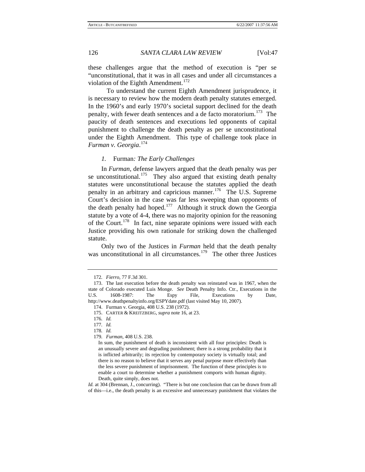these challenges argue that the method of execution is "per se "unconstitutional, that it was in all cases and under all circumstances a violation of the Eighth Amendment.<sup>[172](#page-26-0)</sup>

 To understand the current Eighth Amendment jurisprudence, it is necessary to review how the modern death penalty statutes emerged. In the 1960's and early 1970's societal support declined for the death penalty, with fewer death sentences and a de facto moratorium.<sup>[173](#page-26-1)</sup> The paucity of death sentences and executions led opponents of capital punishment to challenge the death penalty as per se unconstitutional under the Eighth Amendment. This type of challenge took place in *Furman v. Georgia*. [174](#page-26-2)

#### *1.* Furman*: The Early Challenges*

In *Furman*, defense lawyers argued that the death penalty was per se unconstitutional.<sup>[175](#page-26-3)</sup> They also argued that existing death penalty statutes were unconstitutional because the statutes applied the death penalty in an arbitrary and capricious manner.<sup>[176](#page-26-4)</sup> The U.S. Supreme Court's decision in the case was far less sweeping than opponents of the death penalty had hoped.<sup>[177](#page-26-5)</sup> Although it struck down the Georgia statute by a vote of 4-4, there was no majority opinion for the reasoning of the Court.<sup>[178](#page-26-6)</sup> In fact, nine separate opinions were issued with each Justice providing his own rationale for striking down the challenged statute.

Only two of the Justices in *Furman* held that the death penalty was unconstitutional in all circumstances.<sup>[179](#page-26-7)</sup> The other three Justices

<span id="page-26-5"></span><span id="page-26-4"></span>177*. Id.*

179*. Furman*, 408 U.S. 238.

<sup>172</sup>*. Fierro*, 77 F.3d 301.

<span id="page-26-3"></span><span id="page-26-2"></span><span id="page-26-1"></span><span id="page-26-0"></span><sup>173.</sup> The last execution before the death penalty was reinstated was in 1967, when the state of Colorado executed Luis Monge. *See* Death Penalty Info. Ctr., Executions in the U.S. 1608-1987: The Espy File, Executions by Date, http://www.deathpenaltyinfo.org/ESPYdate.pdf (last visited May 10, 2007).

<sup>174.</sup> Furman v. Georgia, 408 U.S. 238 (1972).

<sup>175.</sup> CARTER & KREITZBERG, *supra* note 16, at 23.

<sup>176</sup>*. Id.*

<span id="page-26-7"></span><span id="page-26-6"></span><sup>178</sup>*. Id.*

In sum, the punishment of death is inconsistent with all four principles: Death is an unusually severe and degrading punishment; there is a strong probability that it is inflicted arbitrarily; its rejection by contemporary society is virtually total; and there is no reason to believe that it serves any penal purpose more effectively than the less severe punishment of imprisonment. The function of these principles is to enable a court to determine whether a punishment comports with human dignity. Death, quite simply, does not.

*Id.* at 304 (Brennan, J., concurring)."There is but one conclusion that can be drawn from all of this—i.e., the death penalty is an excessive and unnecessary punishment that violates the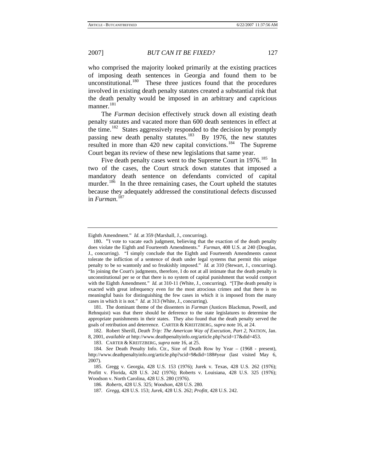who comprised the majority looked primarily at the existing practices of imposing death sentences in Georgia and found them to be unconstitutional.<sup>[180](#page-27-0)</sup> These three justices found that the procedures involved in existing death penalty statutes created a substantial risk that the death penalty would be imposed in an arbitrary and capricious manner.<sup>[181](#page-27-1)</sup>

The *Furman* decision effectively struck down all existing death penalty statutes and vacated more than 600 death sentences in effect at the time.<sup>[182](#page-27-2)</sup> States aggressively responded to the decision by promptly passing new death penalty statutes.<sup>[183](#page-27-3)</sup> By 1976, the new statutes resulted in more than 420 new capital convictions.<sup>[184](#page-27-4)</sup> The Supreme Court began its review of these new legislations that same year.

Five death penalty cases went to the Supreme Court in 1976.<sup>[185](#page-27-5)</sup> In two of the cases, the Court struck down statutes that imposed a mandatory death sentence on defendants convicted of capital murder.<sup>[186](#page-27-6)</sup> In the three remaining cases, the Court upheld the statutes because they adequately addressed the constitutional defects discussed in *Furman*. [187](#page-27-7)

<span id="page-27-1"></span>181. The dominant theme of the dissenters in *Furman* (Justices Blackmun, Powell, and Rehnquist) was that there should be deference to the state legislatures to determine the appropriate punishments in their states. They also found that the death penalty served the goals of retribution and deterrence. CARTER & KREITZBERG, *supra* note 16, at 24.

<span id="page-27-2"></span>182. Robert Sherill, *Death Trip: The American Way of Execution, Part 2*, NATION, Jan. 8, 2001, *available at* http://www.deathpenaltyinfo.org/article.php?scid=17&did=453.

Eighth Amendment." *Id.* at 359 (Marshall, J., concurring).

<span id="page-27-0"></span><sup>180. &</sup>quot;I vote to vacate each judgment, believing that the exaction of the death penalty does violate the Eighth and Fourteenth Amendments." *Furman*, 408 U.S. at 240 (Douglas, J., concurring). "I simply conclude that the Eighth and Fourteenth Amendments cannot tolerate the infliction of a sentence of death under legal systems that permit this unique penalty to be so wantonly and so freakishly imposed." *Id.* at 310 (Stewart, J., concurring). "In joining the Court's judgments, therefore, I do not at all intimate that the death penalty is unconstitutional per se or that there is no system of capital punishment that would comport with the Eighth Amendment." *Id.* at 310-11 (White, J., concurring). "[T]he death penalty is exacted with great infrequency even for the most atrocious crimes and that there is no meaningful basis for distinguishing the few cases in which it is imposed from the many cases in which it is not." *Id.* at 313 (White, J., concurring).

<sup>183.</sup> CARTER & KREITZBERG, *supra* note 16, at 25.

<span id="page-27-4"></span><span id="page-27-3"></span><sup>184</sup>*. See* Death Penalty Info. Ctr., Size of Death Row by Year – (1968 - present), http://www.deathpenaltyinfo.org/article.php?scid=9&did=188#year (last visited May 6, 2007).

<span id="page-27-7"></span><span id="page-27-6"></span><span id="page-27-5"></span><sup>185.</sup> Gregg v. Georgia, 428 U.S. 153 (1976); Jurek v. Texas, 428 U.S. 262 (1976); Profitt v. Florida, 428 U.S. 242 (1976); Roberts v. Louisiana, 428 U.S. 325 (1976); Woodson v. North Carolina, 428 U.S. 280 (1976).

<sup>186</sup>*. Roberts*, 428 U.S. 325; *Woodson*, 428 U.S. 280.

<sup>187</sup>*. Gregg*, 428 U.S. 153; *Jurek*, 428 U.S. 262; *Profitt*, 428 U.S. 242.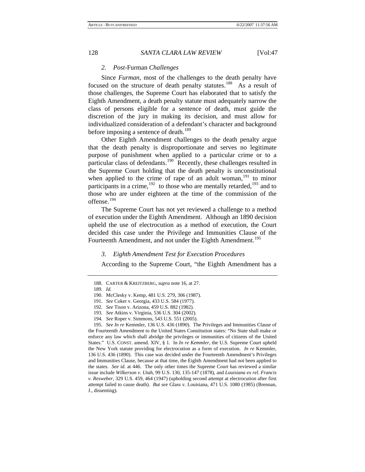#### *2. Post-*Furman *Challenges*

Since *Furman*, most of the challenges to the death penalty have focused on the structure of death penalty statutes.<sup>[188](#page-28-0)</sup> As a result of those challenges, the Supreme Court has elaborated that to satisfy the Eighth Amendment, a death penalty statute must adequately narrow the class of persons eligible for a sentence of death, must guide the discretion of the jury in making its decision, and must allow for individualized consideration of a defendant's character and background before imposing a sentence of death.<sup>[189](#page-28-1)</sup>

Other Eighth Amendment challenges to the death penalty argue that the death penalty is disproportionate and serves no legitimate purpose of punishment when applied to a particular crime or to a particular class of defendants.<sup>[190](#page-28-2)</sup> Recently, these challenges resulted in the Supreme Court holding that the death penalty is unconstitutional when applied to the crime of rape of an adult woman,<sup>[191](#page-28-3)</sup> to minor participants in a crime,  $192$  to those who are mentally retarded,  $193$  and to those who are under eighteen at the time of the commission of the offense.[194](#page-28-6)

The Supreme Court has not yet reviewed a challenge to a method of execution under the Eighth Amendment. Although an 1890 decision upheld the use of electrocution as a method of execution, the Court decided this case under the Privilege and Immunities Clause of the Fourteenth Amendment, and not under the Eighth Amendment.<sup>[195](#page-28-7)</sup>

#### *3. Eighth Amendment Test for Execution Procedures*

According to the Supreme Court, "the Eighth Amendment has a

<span id="page-28-0"></span><sup>188.</sup> CARTER & KREITZBERG, *supra* note 16, at 27.

<span id="page-28-1"></span><sup>189</sup>*. Id.*

<sup>190.</sup> McClesky v. Kemp, 481 U.S. 279, 306 (1987).

<sup>191</sup>*. See* Coker v. Georgia, 433 U.S. 584 (1977).

<sup>192</sup>*. See* Tison v. Arizona, 459 U.S. 882 (1982).

<sup>193</sup>*. See* Atkins v. Virginia, 536 U.S. 304 (2002).

<sup>194</sup>*. See* Roper v. Simmons, 543 U.S. 551 (2005).

<span id="page-28-7"></span><span id="page-28-6"></span><span id="page-28-5"></span><span id="page-28-4"></span><span id="page-28-3"></span><span id="page-28-2"></span><sup>195</sup>*. See In re* Kemmler, 136 U.S. 436 (1890). The Privileges and Immunities Clause of the Fourteenth Amendment to the United States Constitution states: "No State shall make or enforce any law which shall abridge the privileges or immunities of citizens of the United States." U.S. CONST. amend. XIV, § 1. In *In re Kemmler*, the U.S. Supreme Court upheld the New York statute providing for electrocution as a form of execution. *In re* Kemmler, 136 U.S. 436 (1890). This case was decided under the Fourteenth Amendment's Privileges and Immunities Clause, because at that time, the Eighth Amendment had not been applied to the states. *See id.* at 446. The only other times the Supreme Court has reviewed a similar issue include *Wilkerson v. Utah*, 99 U.S. 130, 135-147 (1878), and *Louisiana ex rel. Francis v. Resweber*, 329 U.S. 459, 464 (1947) (upholding second attempt at electrocution after first attempt failed to cause death). *But see* Glass v. Louisiana, 471 U.S. 1080 (1985) (Brennan, J., dissenting).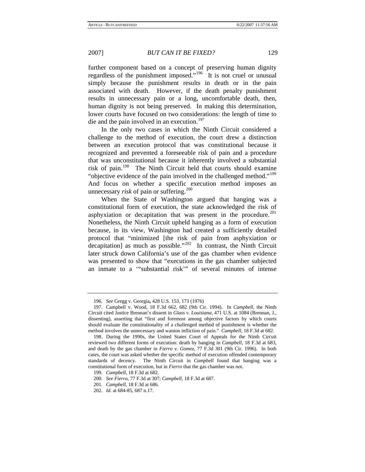further component based on a concept of preserving human dignity regardless of the punishment imposed."[196](#page-29-0) It is not cruel or unusual simply because the punishment results in death or in the pain associated with death. However, if the death penalty punishment results in unnecessary pain or a long, uncomfortable death, then, human dignity is not being preserved. In making this determination, lower courts have focused on two considerations: the length of time to die and the pain involved in an execution.<sup>[197](#page-29-1)</sup>

In the only two cases in which the Ninth Circuit considered a challenge to the method of execution, the court drew a distinction between an execution protocol that was constitutional because it recognized and prevented a foreseeable risk of pain and a procedure that was unconstitutional because it inherently involved a substantial risk of pain.[198](#page-29-2) The Ninth Circuit held that courts should examine "objective evidence of the pain involved in the challenged method."<sup>[199](#page-29-3)</sup> And focus on whether a specific execution method imposes an unnecessary *risk* of pain or suffering.<sup>[200](#page-29-4)</sup>

When the State of Washington argued that hanging was a constitutional form of execution, the state acknowledged the risk of asphyxiation or decapitation that was present in the procedure.<sup>[201](#page-29-5)</sup> Nonetheless, the Ninth Circuit upheld hanging as a form of execution because, in its view, Washington had created a sufficiently detailed protocol that "minimized [the risk of pain from asphyxiation or decapitation] as much as possible."<sup>[202](#page-29-6)</sup> In contrast, the Ninth Circuit later struck down California's use of the gas chamber when evidence was presented to show that "executions in the gas chamber subjected an inmate to a '"substantial risk'" of several minutes of intense

<sup>196</sup>*. See* Gregg v. Georgia**,** 428 U.S. 153, 173 (1976)

<span id="page-29-1"></span><span id="page-29-0"></span><sup>197.</sup> Campbell v. Wood, 18 F.3d 662, 682 (9th Cir. 1994). In *Campbell*, the Ninth Circuit cited Justice Brennan's dissent in *Glass v. Louisiana*, 471 U.S. at 1084 (Brennan, J., dissenting), asserting that "first and foremost among objective factors by which courts should evaluate the constitutionality of a challenged method of punishment is whether the method involves the unnecessary and wanton infliction of pain." *Campbell*, 18 F.3d at 682.

<span id="page-29-2"></span><sup>198.</sup> During the 1990s, the United States Court of Appeals for the Ninth Circuit reviewed two different forms of execution: death by hanging in *Campbell*, 18 F.3d at 683, and death by the gas chamber in *Fierro v. Gomez*, 77 F.3d 301 (9th Cir. 1996). In both cases, the court was asked whether the specific method of execution offended contemporary standards of decency. The Ninth Circuit in *Campbell* found that hanging was a constitutional form of execution, but in *Fierro* that the gas chamber was not.

<sup>199</sup>*. Campbell*, 18 F.3d at 682.

<span id="page-29-5"></span><span id="page-29-4"></span><span id="page-29-3"></span><sup>200</sup>*. See Fierro*, 77 F.3d at 307; *Campbell*, 18 F.3d at 687.

<sup>201</sup>*. Campbell*, 18 F.3d at 686.

<span id="page-29-6"></span><sup>202</sup>*. Id.* at 684-85, 687 n.17.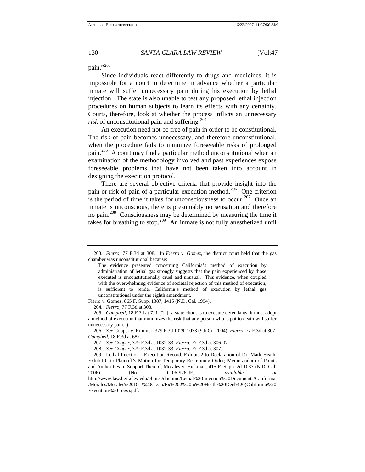pain."[203](#page-30-0)

Since individuals react differently to drugs and medicines, it is impossible for a court to determine in advance whether a particular inmate will suffer unnecessary pain during his execution by lethal injection. The state is also unable to test any proposed lethal injection procedures on human subjects to learn its effects with any certainty. Courts, therefore, look at whether the process inflicts an unnecessary *risk* of unconstitutional pain and suffering.<sup>[204](#page-30-1)</sup>

An execution need not be free of pain in order to be constitutional. The risk of pain becomes unnecessary, and therefore unconstitutional, when the procedure fails to minimize foreseeable risks of prolonged pain.<sup>[205](#page-30-2)</sup> A court may find a particular method unconstitutional when an examination of the methodology involved and past experiences expose foreseeable problems that have not been taken into account in designing the execution protocol.

 There are several objective criteria that provide insight into the pain or risk of pain of a particular execution method.<sup>[206](#page-30-3)</sup> One criterion is the period of time it takes for unconsciousness to occur.<sup>[207](#page-30-4)</sup> Once an inmate is unconscious, there is presumably no sensation and therefore no pain.<sup>[208](#page-30-5)</sup> Consciousness may be determined by measuring the time it takes for breathing to stop.<sup>[209](#page-30-6)</sup> An inmate is not fully anesthetized until

<span id="page-30-1"></span>Fierro v. Gomez, 865 F. Supp. 1387, 1415 (N.D. Cal. 1994).

204*. Fierro*, 77 F.3d at 308.

<span id="page-30-0"></span><sup>203</sup>*. Fierro*, 77 F.3d at 308. In *Fierro v. Gomez*, the district court held that the gas chamber was unconstitutional because:

The evidence presented concerning California's method of execution by administration of lethal gas strongly suggests that the pain experienced by those executed is unconstitutionally cruel and unusual. This evidence, when coupled with the overwhelming evidence of societal rejection of this method of execution, is sufficient to render California's method of execution by lethal gas unconstitutional under the eighth amendment.

<span id="page-30-2"></span><sup>205</sup>*. Campbell*, 18 F.3d at 711 ("[I]f a state chooses to execute defendants, it must adopt a method of execution that minimizes the risk that any person who is put to death will suffer unnecessary pain.").

<span id="page-30-3"></span><sup>206</sup>*. See* Cooper v. Rimmer, 379 F.3d 1029, 1033 (9th Cir 2004); *Fierro*, 77 F.3d at 307; *Campbell*, 18 F.3d at 687.

<sup>207</sup>*. See Cooper*, 379 F.3d at 1032-33; *Fierro*, 77 F.3d at 306-07.

<sup>208</sup>*. See Cooper*, 379 F.3d at 1032-33; *Fierro*, 77 F.3d at 307.

<span id="page-30-6"></span><span id="page-30-5"></span><span id="page-30-4"></span><sup>209.</sup> Lethal Injection - Execution Record, Exhibit 2 to Declaration of Dr. Mark Heath, Exhibit C to Plaintiff's Motion for Temporary Restraining Order; Memorandum of Points and Authorities in Support Thereof, Morales v. Hickman, 415 F. Supp. 2d 1037 (N.D. Cal. 2006) (No. C-06-926-JF), *available at* http://www.law.berkeley.edu/clinics/dpclinic/Lethal%20Injection%20Documents/California /Morales/Morales%20Dist%20Ct.Cp/Ex%202%20to%20Heath%20Decl%20(California%20 Execution%20Logs).pdf.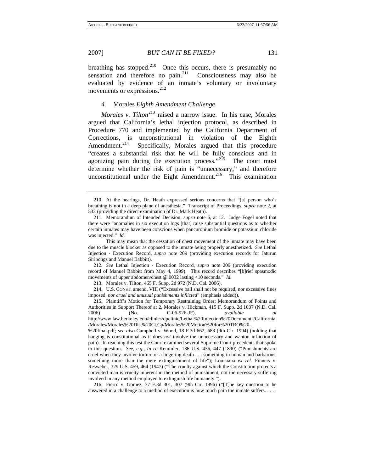breathing has stopped.<sup>[210](#page-31-0)</sup> Once this occurs, there is presumably no sensation and therefore no pain.<sup>[211](#page-31-1)</sup> Consciousness may also be evaluated by evidence of an inmate's voluntary or involuntary movements or expressions.<sup>[212](#page-31-2)</sup>

# *4.* Morales *Eighth Amendment Challenge*

*Morales v. Tilton*<sup>[213](#page-31-3)</sup> raised a narrow issue. In his case, Morales argued that California's lethal injection protocol, as described in Procedure 770 and implemented by the California Department of Corrections, is unconstitutional in violation of the Eighth Amendment.<sup>[214](#page-31-4)</sup> Specifically, Morales argued that this procedure "creates a substantial risk that he will be fully conscious and in agonizing pain during the execution process."<sup>[215](#page-31-5)</sup> The court must determine whether the risk of pain is "unnecessary," and therefore unconstitutional under the Eight Amendment.<sup>[216](#page-31-6)</sup> This examination

<span id="page-31-2"></span>212*. See* Lethal Injection - Execution Record, *supra* note 209 (providing execution record of Manuel Babbitt from May 4, 1999). This record describes "[b]rief spasmodic movements of upper abdomen/chest @ 0032 lasting <10 seconds." *Id.*

213. Morales v. Tilton, 465 F. Supp. 2d 972 (N.D. Cal. 2006).

<span id="page-31-4"></span><span id="page-31-3"></span>214. U.S. CONST. amend. VIII ("Excessive bail shall not be required, nor excessive fines imposed, *nor cruel and unusual punishments inflicted*" (emphasis added)).

<span id="page-31-5"></span>215. Plaintiff's Motion for Temporary Restraining Order; Memorandum of Points and Authorities in Support Thereof at 2, Morales v. Hickman, 415 F. Supp. 2d 1037 (N.D. Cal. 2006) (No. C-06-926-JF), *available at* http://www.law.berkeley.edu/clinics/dpclinic/Lethal%20Injection%20Documents/California

<span id="page-31-0"></span><sup>210.</sup> At the hearings, Dr. Heath expressed serious concerns that "[a] person who's breathing is not in a deep plane of anesthesia." Transcript of Proceedings, *supra* note 2, at 532 (providing the direct examination of Dr. Mark Heath).

<span id="page-31-1"></span><sup>211.</sup> Memorandum of Intended Decision, *supra* note 6, at 12. Judge Fogel noted that there were "anomalies in six execution logs [that] raise substantial questions as to whether certain inmates may have been conscious when pancuronium bromide or potassium chloride was injected." *Id.* 

This may mean that the cessation of chest movement of the inmate may have been due to the muscle blocker as opposed to the inmate being properly anesthetized. *See* Lethal Injection - Execution Record, *supra* note 209 (providing execution records for Jaturun Siripongs and Manuel Babbitt).

<sup>/</sup>Morales/Morales%20Dist%20Ct.Cp/Morales%20Motion%20for%20TRO%20-

<sup>%20</sup>final.pdf; *see also* Campbell v. Wood, 18 F.3d 662, 683 (9th Cir. 1994) (holding that hanging is constitutional as it does *not* involve the unnecessary and wanton infliction of pain). In reaching this test the Court examined several Supreme Court precedents that spoke to this question. *See, e.g.*, *In re* Kemmler, 136 U.S. 436, 447 (1890) ("Punishments are cruel when they involve torture or a lingering death . . . something in human and barbarous, something more than the mere extinguishment of life"); Louisiana *ex rel.* Francis v. Resweber, 329 U.S. 459, 464 (1947) ("The cruelty against which the Constitution protects a convicted man is cruelty inherent in the method of punishment, not the necessary suffering involved in any method employed to extinguish life humanely.").

<span id="page-31-6"></span><sup>216.</sup> Fierro v. Gomez, 77 F.3d 301, 307 (9th Cir. 1996) ("[T]he key question to be answered in a challenge to a method of execution is how much pain the inmate suffers. . . . .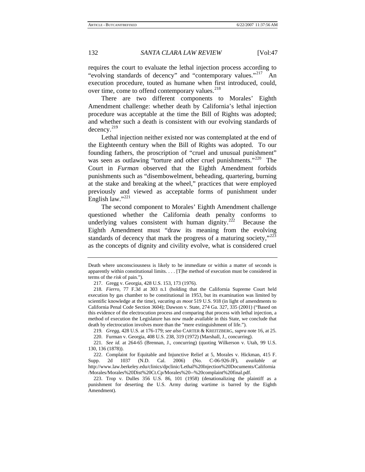requires the court to evaluate the lethal injection process according to "evolving standards of decency" and "contemporary values."<sup>[217](#page-32-0)</sup> An execution procedure, touted as humane when first introduced, could, over time, come to offend contemporary values.<sup>[218](#page-32-1)</sup>

There are two different components to Morales' Eighth Amendment challenge: whether death by California's lethal injection procedure was acceptable at the time the Bill of Rights was adopted; and whether such a death is consistent with our evolving standards of decency.<sup>[219](#page-32-2)</sup>

Lethal injection neither existed nor was contemplated at the end of the Eighteenth century when the Bill of Rights was adopted. To our founding fathers, the proscription of "cruel and unusual punishment" was seen as outlawing "torture and other cruel punishments."<sup>[220](#page-32-3)</sup> The Court in *Furman* observed that the Eighth Amendment forbids punishments such as "disembowelment, beheading, quartering, burning at the stake and breaking at the wheel," practices that were employed previously and viewed as acceptable forms of punishment under English law."<sup>[221](#page-32-4)</sup>

The second component to Morales' Eighth Amendment challenge questioned whether the California death penalty conforms to underlying values consistent with human dignity. $222$  Because the Eighth Amendment must "draw its meaning from the evolving standards of decency that mark the progress of a maturing society," $223$ as the concepts of dignity and civility evolve, what is considered cruel

Death where unconsciousness is likely to be immediate or within a matter of seconds is apparently within constitutional limits. . . . [T]he method of execution must be considered in terms of the *risk* of pain.").

<sup>217.</sup> Gregg v. Georgia, 428 U.S. 153, 173 (1976).

<span id="page-32-1"></span><span id="page-32-0"></span><sup>218</sup>*. Fierro*, 77 F.3d at 303 n.1 (holding that the California Supreme Court held execution by gas chamber to be constitutional in 1953, but its examination was limited by scientific knowledge at the time), *vacating as moot* 519 U.S. 918 (in light of amendments to California Penal Code Section 3604); Dawson v. State, 274 Ga. 327, 335 (2001) ("Based on this evidence of the electrocution process and comparing that process with lethal injection, a method of execution the Legislature has now made available in this State, we conclude that death by electrocution involves more than the "mere extinguishment of life.").

<sup>219</sup>*. Gregg*, 428 U.S. at 176-179; *see also* CARTER & KREITZBERG, *supra* note 16, at 25.

<sup>220.</sup> Furman v. Georgia, 408 U.S. 238, 319 (1972) (Marshall, J., concurring).

<span id="page-32-4"></span><span id="page-32-3"></span><span id="page-32-2"></span><sup>221</sup>*. See id.* at 264-65 (Brennan, J., concurring) (quoting Wilkerson v. Utah, 99 U.S. 130, 136 (1878)).

<span id="page-32-5"></span><sup>222.</sup> Complaint for Equitable and Injunctive Relief at 5, Morales v. Hickman, 415 F. Supp. 2d 1037 (N.D. Cal. 2006) (No. C-06-926-JF), *available at* http://www.law.berkeley.edu/clinics/dpclinic/Lethal%20Injection%20Documents/California /Morales/Morales%20Dist%20Ct.Cp/Morales%20--%20complaint%20final.pdf.

<span id="page-32-6"></span><sup>223.</sup> Trop v. Dulles 356 U.S. 86, 101 (1958) (denationalizing the plaintiff as a punishment for deserting the U.S. Army during wartime is barred by the Eighth Amendment).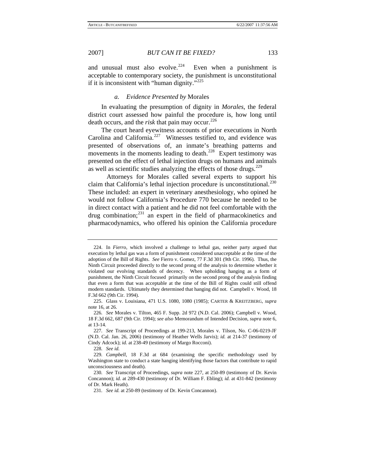and unusual must also evolve. $224$  Even when a punishment is acceptable to contemporary society, the punishment is unconstitutional if it is inconsistent with "human dignity."[225](#page-33-1)

#### *a. Evidence Presented by* Morales

In evaluating the presumption of dignity in *Morales*, the federal district court assessed how painful the procedure is, how long until death occurs, and the *risk* that pain may occur.<sup>[226](#page-33-2)</sup>

The court heard eyewitness accounts of prior executions in North Carolina and California.<sup>[227](#page-33-3)</sup> Witnesses testified to, and evidence was presented of observations of, an inmate's breathing patterns and movements in the moments leading to death.<sup>[228](#page-33-4)</sup> Expert testimony was presented on the effect of lethal injection drugs on humans and animals as well as scientific studies analyzing the effects of those drugs. $^{229}$  $^{229}$  $^{229}$ 

 Attorneys for Morales called several experts to support his claim that California's lethal injection procedure is unconstitutional. $^{230}$  $^{230}$  $^{230}$ These included: an expert in veterinary anesthesiology, who opined he would not follow California's Procedure 770 because he needed to be in direct contact with a patient and he did not feel comfortable with the drug combination; $^{231}$  $^{231}$  $^{231}$  an expert in the field of pharmacokinetics and pharmacodynamics, who offered his opinion the California procedure

228*. See id.*

<span id="page-33-0"></span><sup>224.</sup> In *Fierro*, which involved a challenge to lethal gas, neither party argued that execution by lethal gas was a form of punishment considered unacceptable at the time of the adoption of the Bill of Rights. *See* Fierro v. Gomez, 77 F.3d 301 (9th Cir. 1996). Thus, the Ninth Circuit proceeded directly to the second prong of the analysis to determine whether it violated our evolving standards of decency. When upholding hanging as a form of punishment, the Ninth Circuit focused primarily on the second prong of the analysis finding that even a form that was acceptable at the time of the Bill of Rights could still offend modern standards. Ultimately they determined that hanging did not. Campbell v. Wood, 18 F.3d 662 (9th Cir. 1994).

<span id="page-33-1"></span><sup>225.</sup> Glass v. Louisiana, 471 U.S. 1080, 1080 (1985); CARTER & KREITZBERG, *supra*  note 16, at 26.

<span id="page-33-2"></span><sup>226</sup>*. See* Morales v. Tilton, 465 F. Supp. 2d 972 (N.D. Cal. 2006); Campbell v. Wood, 18 F.3d 662, 687 (9th Cir. 1994); *see also* Memorandum of Intended Decision, *supra* note 6, at 13-14.

<span id="page-33-3"></span><sup>227</sup>*. See* Transcript of Proceedings at 199-213, Morales v. Tilson, No. C-06-0219-JF (N.D. Cal. Jan. 26, 2006) (testimony of Heather Wells Jarvis); *id.* at 214-37 (testimony of Cindy Adcock); *id.* at 238-49 (testimony of Margo Rocconi).

<span id="page-33-5"></span><span id="page-33-4"></span><sup>229</sup>*. Campbell*, 18 F.3d at 684 (examining the specific methodology used by Washington state to conduct a state hanging identifying those factors that contribute to rapid unconsciousness and death).

<span id="page-33-7"></span><span id="page-33-6"></span><sup>230</sup>*. See* Transcript of Proceedings, *supra* note 227, at 250-89 (testimony of Dr. Kevin Concannon); *id.* at 289-430 (testimony of Dr. William F. Ebling); *id.* at 431-842 (testimony of Dr. Mark Heath).

<sup>231</sup>*. See id.* at 250-89 (testimony of Dr. Kevin Concannon).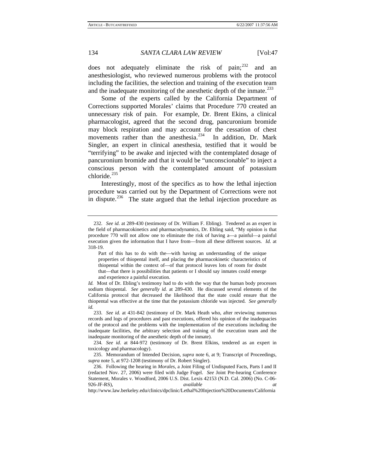does not adequately eliminate the risk of pain; $^{232}$  $^{232}$  $^{232}$  and an anesthesiologist, who reviewed numerous problems with the protocol including the facilities, the selection and training of the execution team and the inadequate monitoring of the anesthetic depth of the inmate.<sup>[233](#page-34-1)</sup>

Some of the experts called by the California Department of Corrections supported Morales' claims that Procedure 770 created an unnecessary risk of pain. For example, Dr. Brent Ekins, a clinical pharmacologist, agreed that the second drug, pancuronium bromide may block respiration and may account for the cessation of chest movements rather than the anesthesia. $2^{34}$  In addition, Dr. Mark Singler, an expert in clinical anesthesia, testified that it would be "terrifying" to be awake and injected with the contemplated dosage of pancuronium bromide and that it would be "unconscionable" to inject a conscious person with the contemplated amount of potassium chloride.<sup>[235](#page-34-3)</sup>

Interestingly, most of the specifics as to how the lethal injection procedure was carried out by the Department of Corrections were not in dispute.<sup>[236](#page-34-4)</sup> The state argued that the lethal injection procedure as

<span id="page-34-0"></span><sup>232</sup>*. See id.* at 289-430 (testimony of Dr. William F. Ebling). Tendered as an expert in the field of pharmacokinetics and pharmacodynamics, Dr. Ebling said, "My opinion is that procedure 770 will not allow one to eliminate the risk of having a—a painful—a painful execution given the information that I have from—from all these different sources. *Id.* at 318-19.

Part of this has to do with the—with having an understanding of the unique properties of thiopental itself, and placing the pharmacokinetic characteristics of thiopental within the context of—of that protocol leaves lots of room for doubt that—that there is possibilities that patients or I should say inmates could emerge and experience a painful execution.

*Id.* Most of Dr. Ebling's testimony had to do with the way that the human body processes sodium thiopental. *See generally id.* at 289-430. He discussed several elements of the California protocol that decreased the likelihood that the state could ensure that the thiopental was effective at the time that the potassium chloride was injected. *See generally id.* 

<span id="page-34-1"></span><sup>233</sup>*. See id.* at 431-842 (testimony of Dr. Mark Heath who, after reviewing numerous records and logs of procedures and past executions, offered his opinion of the inadequacies of the protocol and the problems with the implementation of the executions including the inadequate facilities, the arbitrary selection and training of the execution team and the inadequate monitoring of the anesthetic depth of the inmate).

<span id="page-34-2"></span><sup>234</sup>*. See id.* at 844-972 (testimony of Dr. Brent Elkins, tendered as an expert in toxicology and pharmacology).

<span id="page-34-3"></span><sup>235.</sup> Memorandum of Intended Decision, *supra* note 6, at 9; Transcript of Proceedings, *supra* note 5, at 972-1208 (testimony of Dr. Robert Singler).

<span id="page-34-4"></span><sup>236.</sup> Following the hearing in *Morales*, a Joint Filing of Undisputed Facts, Parts I and II (redacted Nov. 27, 2006) were filed with Judge Fogel. *See* Joint Pre-hearing Conference Statement, Morales v. Woodford, 2006 U.S. Dist. Lexis 42153 (N.D. Cal. 2006) (No. C-06- 926-JF-RS), *available at*

http://www.law.berkeley.edu/clinics/dpclinic/Lethal%20Injection%20Documents/California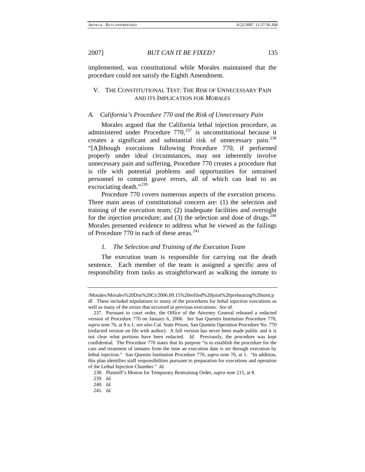implemented, was constitutional while Morales maintained that the procedure could not satisfy the Eighth Amendment.

# V. THE CONSTITUTIONAL TEST: THE *RISK* OF UNNECESSARY PAIN AND ITS IMPLICATION FOR *MORALES*

#### *A. California's Procedure 770 and the Risk of Unnecessary Pain*

Morales argued that the California lethal injection procedure, as administered under Procedure  $770$ ,  $^{237}$  $^{237}$  $^{237}$  is unconstitutional because it creates a significant and substantial risk of unnecessary pain.[238](#page-35-1) "[A]lthough executions following Procedure 770, if performed properly under ideal circumstances, may not inherently involve unnecessary pain and suffering, Procedure 770 creates a procedure that is rife with potential problems and opportunities for untrained personnel to commit grave errors, all of which can lead to an excruciating death."<sup>[239](#page-35-2)</sup>

Procedure 770 covers numerous aspects of the execution process. Three main areas of constitutional concern are: (1) the selection and training of the execution team; (2) inadequate facilities and oversight for the injection procedure; and  $(3)$  the selection and dose of drugs.<sup>[240](#page-35-3)</sup> Morales presented evidence to address what he viewed as the failings of Procedure 770 in each of these areas. $241$ 

## *1. The Selection and Training of the Execution Team*

The execution team is responsible for carrying out the death sentence. Each member of the team is assigned a specific area of responsibility from tasks as straightforward as walking the inmate to

<sup>/</sup>Morales/Morales%20Dist%20Ct/2006.09.15%20refiled%20joint%20prehearing%20stmt.p df. These included stipulations to many of the procedures for lethal injection executions as well as many of the errors that occurred in previous executions. *See id.* 

<span id="page-35-0"></span><sup>237.</sup> Pursuant to court order, the Office of the Attorney General released a redacted version of Procedure 770 on January 6, 2006. *See* San Quentin Institution Procedure 770, *supra* note 76, at 8 n.1; *see also* Cal. State Prison, San Quentin Operation Procedure No. 770 (redacted version on file with author). A full version has never been made public and it is not clear what portions have been redacted. *Id.* Previously, the procedure was kept confidential. The Procedure 770 states that its purpose "is to establish the procedure for the care and treatment of inmates from the time an execution date is set through execution by lethal injection." San Quentin Institution Procedure 770, *supra* note 76, at 1. "In addition, this plan identifies staff responsibilities pursuant to preparation for executions and operation of the Lethal Injection Chamber." *Id.* 

<sup>238.</sup> Plaintiff's Motion for Temporary Restraining Order, *supra* note 215, at 8.

<span id="page-35-2"></span><span id="page-35-1"></span><sup>239</sup>*. Id.*

<span id="page-35-4"></span><span id="page-35-3"></span><sup>240</sup>*. Id.*

<sup>241</sup>*. Id.*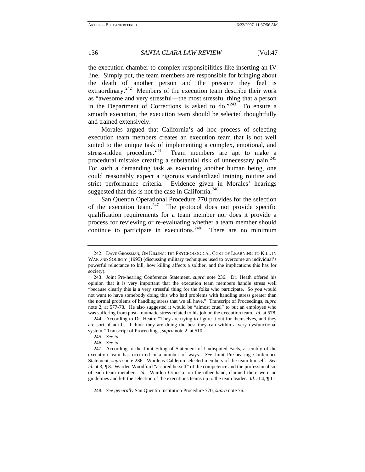the execution chamber to complex responsibilities like inserting an IV line. Simply put, the team members are responsible for bringing about the death of another person and the pressure they feel is extraordinary.<sup>[242](#page-36-0)</sup> Members of the execution team describe their work as "awesome and very stressful—the most stressful thing that a person in the Department of Corrections is asked to do."<sup>[243](#page-36-1)</sup> To ensure a smooth execution, the execution team should be selected thoughtfully and trained extensively.

Morales argued that California's ad hoc process of selecting execution team members creates an execution team that is not well suited to the unique task of implementing a complex, emotional, and stress-ridden procedure.<sup>[244](#page-36-2)</sup> Team members are apt to make a procedural mistake creating a substantial risk of unnecessary pain.<sup>[245](#page-36-3)</sup> For such a demanding task as executing another human being, one could reasonably expect a rigorous standardized training routine and strict performance criteria. Evidence given in Morales' hearings suggested that this is not the case in California.<sup>[246](#page-36-4)</sup>

San Quentin Operational Procedure 770 provides for the selection of the execution team. $247$  The protocol does not provide specific qualification requirements for a team member nor does it provide a process for reviewing or re-evaluating whether a team member should continue to participate in executions. $248$  There are no minimum

<span id="page-36-0"></span><sup>242.</sup> DAVE GROSSMAN, ON KILLING: THE PSYCHOLOGICAL COST OF LEARNING TO KILL IN WAR AND SOCIETY (1995) (discussing military techniques used to overcome an individual's powerful reluctance to kill, how killing affects a soldier, and the implications this has for society).

<span id="page-36-1"></span><sup>243.</sup> Joint Pre-hearing Conference Statement, *supra* note 236. Dr. Heath offered his opinion that it is very important that the execution team members handle stress well "because clearly this is a very stressful thing for the folks who participate. So you would not want to have somebody doing this who had problems with handling stress greater than the normal problems of handling stress that we all have." Transcript of Proceedings, *supra*  note 2, at 577-78. He also suggested it would be "almost cruel" to put an employee who was suffering from post- traumatic stress related to his job on the execution team. *Id.* at 578.

<span id="page-36-2"></span><sup>244.</sup> According to Dr. Heath: "They are trying to figure it out for themselves, and they are sort of adrift. I think they are doing the best they can within a very dysfunctional system." Transcript of Proceedings, *supra* note 2, at 510.

<sup>245</sup>*. See id.*

<sup>246</sup>*. See id*.

<span id="page-36-5"></span><span id="page-36-4"></span><span id="page-36-3"></span><sup>247.</sup> According to the Joint Filing of Statement of Undisputed Facts, assembly of the execution team has occurred in a number of ways. *See* Joint Pre-hearing Conference Statement, *supra* note 236. Wardens Calderon selected members of the team himself. *See id.* at 3,  $\P$  8. Warden Woodford "assured herself" of the competence and the professionalism of each team member. *Id.* Warden Ornoski, on the other hand, claimed there were no guidelines and left the selection of the executions teams up to the team leader. *Id.* at 4, ¶ 11.

<span id="page-36-6"></span><sup>248</sup>*. See generally* San Quentin Institution Procedure 770, *supra* note 76.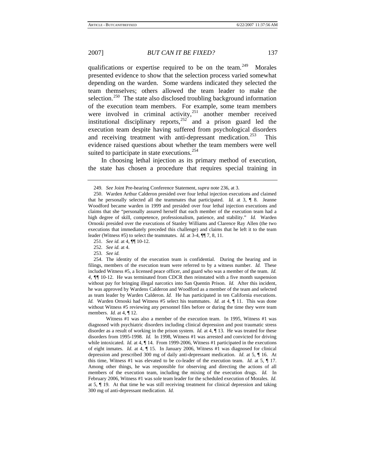qualifications or expertise required to be on the team.<sup>[249](#page-37-0)</sup> Morales presented evidence to show that the selection process varied somewhat depending on the warden. Some wardens indicated they selected the team themselves; others allowed the team leader to make the selection.<sup>[250](#page-37-1)</sup> The state also disclosed troubling background information of the execution team members. For example, some team members were involved in criminal activity, $251$  another member received institutional disciplinary reports,  $252 \text{ rad}$  $252 \text{ rad}$  a prison guard led the execution team despite having suffered from psychological disorders and receiving treatment with anti-depressant medication.<sup>[253](#page-37-4)</sup> This evidence raised questions about whether the team members were well suited to participate in state executions.<sup>[254](#page-37-5)</sup>

In choosing lethal injection as its primary method of execution, the state has chosen a procedure that requires special training in

252*. See id.* at 4.

<span id="page-37-5"></span><span id="page-37-4"></span><span id="page-37-3"></span><span id="page-37-2"></span>254. The identity of the execution team is confidential. During the hearing and in filings, members of the execution team were referred to by a witness number. *Id.* These included Witness #5, a licensed peace officer, and guard who was a member of the team. *Id. 4, ¶¶* 10-12. He was terminated from CDCR then reinstated with a five month suspension without pay for bringing illegal narcotics into San Quentin Prison. *Id.* After this incident, he was approved by Wardens Calderon and Woodford as a member of the team and selected as team leader by Warden Calderon. *Id.* He has participated in ten California executions. *Id.* Warden Ornoski had Witness #5 select his teammates. *Id.* at 4,  $\P$  11. This was done without Witness #5 reviewing any personnel files before or during the time they were team members. *Id.* at 4, ¶ 12.

 Witness #1 was also a member of the execution team. In 1995, Witness #1 was diagnosed with psychiatric disorders including clinical depression and post traumatic stress disorder as a result of working in the prison system. *Id.* at 4, ¶ 13. He was treated for these disorders from 1995-1998. *Id.* In 1998, Witness #1 was arrested and convicted for driving while intoxicated. *Id.* at 4,  $\P$  14. From 1999-2006, Witness #1 participated in the executions of eight inmates. *Id.* at 4, ¶ 15. In January 2006, Witness #1 was diagnosed for clinical depression and prescribed 300 mg of daily anti-depressant medication. *Id.* at 5, ¶ 16. At this time, Witness #1 was elevated to be co-leader of the execution team. *Id.* at 5, ¶ 17. Among other things, he was responsible for observing and directing the actions of all members of the execution team, including the mixing of the execution drugs. *Id.* In February 2006, Witness #1 was sole team leader for the scheduled execution of Morales. *Id.*  at 5, ¶ 19. At that time he was still receiving treatment for clinical depression and taking 300 mg of anti-depressant medication. *Id.* 

<sup>249</sup>*. See* Joint Pre-hearing Conference Statement, *supra* note 236, at 3.

<span id="page-37-1"></span><span id="page-37-0"></span><sup>250.</sup> Warden Arthur Calderon presided over four lethal injection executions and claimed that he personally selected all the teammates that participated. *Id.* at 3, ¶ 8. Jeanne Woodford became warden in 1999 and presided over four lethal injection executions and claims that she "personally assured herself that each member of the execution team had a high degree of skill, competence, professionalism, patience, and stability." *Id.* Warden Ornoski presided over the executions of Stanley Williams and Clarence Ray Allen (the two executions that immediately preceded this challenge) and claims that he left it to the team leader (Witness #5) to select the teammates. *Id.* at 3-4, ¶¶ 7, 8, 11.

<sup>251</sup>*. See id.* at 4, ¶¶ 10-12.

<sup>253</sup>*. See id.*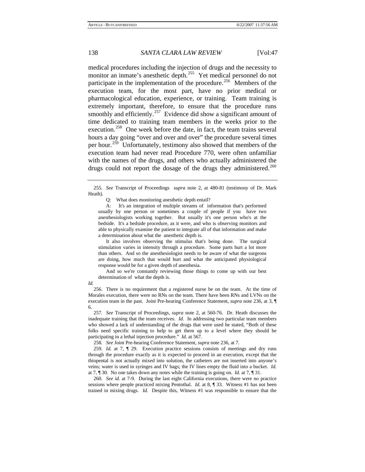medical procedures including the injection of drugs and the necessity to monitor an inmate's anesthetic depth.<sup>[255](#page-38-0)</sup> Yet medical personnel do not participate in the implementation of the procedure.<sup>[256](#page-38-1)</sup> Members of the execution team, for the most part, have no prior medical or pharmacological education, experience, or training. Team training is extremely important, therefore, to ensure that the procedure runs smoothly and efficiently.<sup>[257](#page-38-2)</sup> Evidence did show a significant amount of time dedicated to training team members in the weeks prior to the execution.<sup>[258](#page-38-3)</sup> One week before the date, in fact, the team trains several hours a day going "over and over and over" the procedure several times per hour.<sup>[259](#page-38-4)</sup> Unfortunately, testimony also showed that members of the execution team had never read Procedure 770, were often unfamiliar with the names of the drugs, and others who actually administered the drugs could not report the dosage of the drugs they administered.<sup>[260](#page-38-5)</sup>

Q: What does monitoring anesthetic depth entail?

 A: It's an integration of multiple streams of information that's performed usually by one person or sometimes a couple of people if you have two anesthesiologists working together. But usually it's one person who's at the bedside. It's a bedside procedure, as it were, and who is observing monitors and able to physically examine the patient to integrate all of that information and make a determination about what the anesthetic depth is.

 It also involves observing the stimulus that's being done. The surgical stimulation varies in intensity through a procedure. Some parts hurt a lot more than others. And so the anesthesiologist needs to be aware of what the surgeons are doing, how much that would hurt and what the anticipated physiological response would be for a given depth of anesthesia.

 And so we're constantly reviewing those things to come up with our best determination of what the depth is.

*Id.*

<span id="page-38-1"></span>256. There is no requirement that a registered nurse be on the team. At the time of Morales execution, there were no RNs on the team. There have been RNs and LVNs on the execution team in the past. Joint Pre-hearing Conference Statement, *supra* note 236, at 3, ¶ 6.

<span id="page-38-2"></span>257*. See* Transcript of Proceedings, *supra* note 2, at 560-76. Dr. Heath discusses the inadequate training that the team receives. *Id.* In addressing two particular team members who showed a lack of understanding of the drugs that were used he stated, "Both of these folks need specific training to help to get them up to a level where they should be participating in a lethal injection procedure." *Id.* at 567.

258*. See* Joint Pre-hearing Conference Statement, *supra* note 236, at 7.

<span id="page-38-4"></span><span id="page-38-3"></span>259*. Id.* at 7, ¶ 29. Execution practice sessions consists of meetings and dry runs through the procedure exactly as it is expected to proceed in an execution, except that the thiopental is not actually mixed into solution, the catheters are not inserted into anyone's veins; water is used in syringes and IV bags; the IV lines empty the fluid into a bucket. *Id.* at 7, ¶ 30. No one takes down any notes while the training is going on. *Id.* at 7, ¶ 31.

<span id="page-38-5"></span>260*. See id.* at 7-9. During the last eight California executions, there were no practice sessions where people practiced mixing Pentothal. *Id.* at 8, ¶ 33. Witness #1 has not been trained in mixing drugs. *Id.* Despite this, Witness #1 was responsible to ensure that the

<span id="page-38-0"></span><sup>255</sup>*. See* Transcript of Proceedings *supra* note 2, at 480-81 (testimony of Dr. Mark Heath).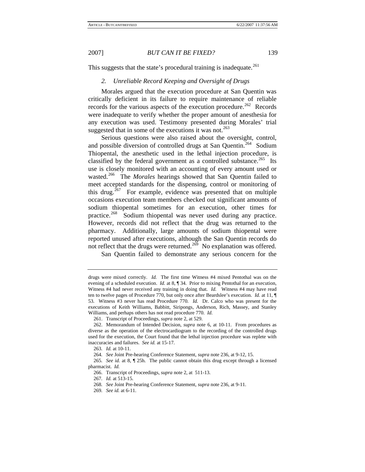This suggests that the state's procedural training is inadequate.<sup>[261](#page-39-0)</sup>

## *2. Unreliable Record Keeping and Oversight of Drugs*

Morales argued that the execution procedure at San Quentin was critically deficient in its failure to require maintenance of reliable records for the various aspects of the execution procedure.<sup>[262](#page-39-1)</sup> Records were inadequate to verify whether the proper amount of anesthesia for any execution was used. Testimony presented during Morales' trial suggested that in some of the executions it was not.<sup>[263](#page-39-2)</sup>

Serious questions were also raised about the oversight, control, and possible diversion of controlled drugs at San Quentin.<sup>[264](#page-39-3)</sup> Sodium Thiopental, the anesthetic used in the lethal injection procedure, is classified by the federal government as a controlled substance.<sup>[265](#page-39-4)</sup> Its use is closely monitored with an accounting of every amount used or wasted.<sup>[266](#page-39-5)</sup> The *Morales* hearings showed that San Quentin failed to meet accepted standards for the dispensing, control or monitoring of this drug.<sup>[267](#page-39-6)</sup> For example, evidence was presented that on multiple occasions execution team members checked out significant amounts of sodium thiopental sometimes for an execution, other times for practice.<sup>[268](#page-39-7)</sup> Sodium thiopental was never used during any practice. However, records did not reflect that the drug was returned to the pharmacy. Additionally, large amounts of sodium thiopental were reported unused after executions, although the San Quentin records do not reflect that the drugs were returned.<sup>[269](#page-39-8)</sup> No explanation was offered.

San Quentin failed to demonstrate any serious concern for the

drugs were mixed correctly. *Id.* The first time Witness #4 mixed Pentothal was on the evening of a scheduled execution. *Id.* at 8, ¶ 34. Prior to mixing Pentothal for an execution, Witness #4 had never received any training in doing that. *Id.* Witness #4 may have read ten to twelve pages of Procedure 770, but only once after Beardslee's execution. *Id.* at 11, ¶ 53. Witness #3 never has read Procedure 770. *Id.* Dr. Calco who was present for the executions of Keith Williams, Babbitt, Siripongs, Anderson, Rich, Massey, and Stanley Williams, and perhaps others has not read procedure 770. *Id.* 

<sup>261.</sup> Transcript of Proceedings, *supra* note 2, at 529.

<span id="page-39-1"></span><span id="page-39-0"></span><sup>262.</sup> Memorandum of Intended Decision, *supra* note 6, at 10-11. From procedures as diverse as the operation of the electrocardiogram to the recording of the controlled drugs used for the execution, the Court found that the lethal injection procedure was replete with inaccuracies and failures. *See id.* at 15-17.

<sup>263</sup>*. Id.* at 10-11.

<sup>264</sup>*. See* Joint Pre-hearing Conference Statement, *supra* note 236, at 9-12, 15.

<span id="page-39-8"></span><span id="page-39-7"></span><span id="page-39-6"></span><span id="page-39-5"></span><span id="page-39-4"></span><span id="page-39-3"></span><span id="page-39-2"></span><sup>265</sup>*. See id.* at 8, ¶ 25h. The public cannot obtain this drug except through a licensed pharmacist. *Id.* 

<sup>266.</sup> Transcript of Proceedings, *supra* note 2, at 511-13.

<sup>267</sup>*. Id.* at 513-15.

<sup>268</sup>*. See* Joint Pre-hearing Conference Statement, *supra* note 236, at 9-11.

<sup>269</sup>*. See id.* at 6-11.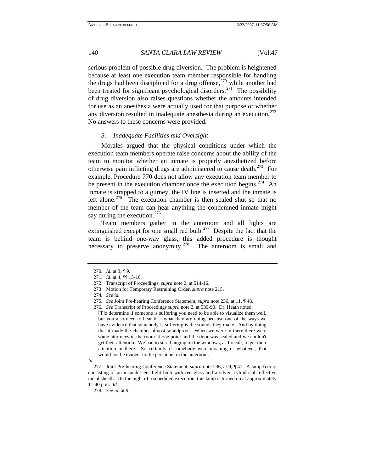serious problem of possible drug diversion. The problem is heightened because at least one execution team member responsible for handling the drugs had been disciplined for a drug offense, $270$  while another had been treated for significant psychological disorders.<sup>[271](#page-40-1)</sup> The possibility of drug diversion also raises questions whether the amounts intended for use as an anesthesia were actually used for that purpose or whether any diversion resulted in inadequate anesthesia during an execution.<sup>[272](#page-40-2)</sup> No answers to these concerns were provided.

#### *3. Inadequate Facilities and Oversight*

Morales argued that the physical conditions under which the execution team members operate raise concerns about the ability of the team to monitor whether an inmate is properly anesthetized before otherwise pain inflicting drugs are administered to cause death.<sup>[273](#page-40-3)</sup> For example, Procedure 770 does not allow any execution team member to be present in the execution chamber once the execution begins. $274$  An inmate is strapped to a gurney, the IV line is inserted and the inmate is left alone.<sup>[275](#page-40-5)</sup> The execution chamber is then sealed shut so that no member of the team can hear anything the condemned inmate might say during the execution.<sup>[276](#page-40-6)</sup>

Team members gather in the anteroom and all lights are extinguished except for one small red bulb.<sup>[277](#page-40-7)</sup> Despite the fact that the team is behind one-way glass, this added procedure is thought necessary to preserve anonymity.<sup>[278](#page-40-8)</sup> The anteroom is small and

<span id="page-40-3"></span>272. Transcript of Proceedings, *supra* note 2, at 514-16.

<sup>270</sup>*. Id.* at 3, ¶ 9.

<span id="page-40-2"></span><span id="page-40-1"></span><span id="page-40-0"></span><sup>271</sup>*. Id*. at 4, ¶¶ 13-16.

<sup>273.</sup> Motion for Temporary Restraining Order, *supra* note 215.

<span id="page-40-4"></span><sup>274</sup>*. See id.*

<span id="page-40-5"></span><sup>275</sup>*. See* Joint Pre-hearing Conference Statement, *supra* note 236, at 11, ¶ 48.

<span id="page-40-6"></span><sup>276</sup>*. See* Transcript of Proceedings *supra* note 2, at 589-90. Dr. Heath noted: [T]o determine if someone is suffering you need to be able to visualize them well, but you also need to hear if -- what they are doing because one of the ways we have evidence that somebody is suffering is the sounds they make. And by doing that it made the chamber almost soundproof. When we were in there there were some attorneys in the room at one point and the door was sealed and we couldn't get their attention. We had to start banging on the windows, as I recall, to get their attention in there. So certainly if somebody were moaning or whatever, that would not be evident to the personnel in the anteroom.

*Id.* 

<span id="page-40-8"></span><span id="page-40-7"></span><sup>277.</sup> Joint Pre-hearing Conference Statement, *supra* note 236, at 9, ¶ 41. A lamp fixture consisting of an incandescent light bulb with red glass and a silver, cylindrical reflective metal sheath. On the night of a scheduled execution, this lamp is turned on at approximately 11:40 p.m. *Id.*

<sup>278</sup>*. See id.* at 9.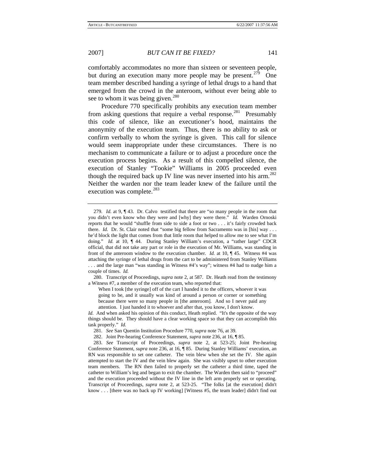comfortably accommodates no more than sixteen or seventeen people, but during an execution many more people may be present.<sup>[279](#page-41-0)</sup> One team member described handing a syringe of lethal drugs to a hand that emerged from the crowd in the anteroom, without ever being able to see to whom it was being given.<sup>[280](#page-41-1)</sup>

Procedure 770 specifically prohibits any execution team member from asking questions that require a verbal response.<sup>[281](#page-41-2)</sup> Presumably this code of silence, like an executioner's hood, maintains the anonymity of the execution team. Thus, there is no ability to ask or confirm verbally to whom the syringe is given. This call for silence would seem inappropriate under these circumstances. There is no mechanism to communicate a failure or to adjust a procedure once the execution process begins. As a result of this compelled silence, the execution of Stanley "Tookie" Williams in 2005 proceeded even though the required back up IV line was never inserted into his arm.<sup>[282](#page-41-3)</sup> Neither the warden nor the team leader knew of the failure until the execution was complete.<sup>[283](#page-41-4)</sup>

<span id="page-41-0"></span><sup>279</sup>*. Id.* at 9, ¶ 43. Dr. Calvo testified that there are "so many people in the room that you didn't even know who they were and [why] they were there." *Id.* Warden Ornoski reports that he would "shuffle from side to side a foot or two . . . it's fairly crowded back there. *Id.* Dr. St. Clair noted that "some big fellow from Sacramento was in [his] way . . . he'd block the light that comes from that little room that helped to allow me to see what I'm doing." *Id.* at 10,  $\P$  44. During Stanley William's execution, a "rather large" CDCR official, that did not take any part or role in the execution of Mr. Williams, was standing in front of the anteroom window to the execution chamber. *Id.* at 10, ¶ 45. Witness #4 was attaching the syringe of lethal drugs from the cart to be administered from Stanley Williams . . . and the large man "was standing in Witness #4's way"; witness #4 had to nudge him a couple of times. *Id.*

<span id="page-41-1"></span><sup>280.</sup> Transcript of Proceedings, *supra* note 2, at 587. Dr. Heath read from the testimony a Witness #7, a member of the execution team, who reported that:

When I took [the syringe] off of the cart I handed it to the officers, whoever it was going to be, and it usually was kind of around a person or corner or something because there were so many people in [the anteroom]. And so I never paid any attention. I just handed it to whoever and after that, you know, I don't know.

*Id.* And when asked his opinion of this conduct, Heath replied. "It's the opposite of the way things should be. They should have a clear working space so that they can accomplish this task properly." *Id.*

<sup>281</sup>*. See* San Quentin Institution Procedure 770, *supra* note 76, at 39.

<sup>282.</sup> Joint Pre-hearing Conference Statement, *supra* note 236, at 16, ¶ 85.

<span id="page-41-4"></span><span id="page-41-3"></span><span id="page-41-2"></span><sup>283.</sup> *See* Transcript of Proceedings, *supra* note 2, at 523-25; Joint Pre-hearing Conference Statement, *supra* note 236, at 16, ¶ 85. During Stanley Williams' execution, an RN was responsible to set one catheter. The vein blew when she set the IV. She again attempted to start the IV and the vein blew again. She was visibly upset to other execution team members. The RN then failed to properly set the catheter a third time, taped the catheter to William's leg and began to exit the chamber. The Warden then said to "proceed" and the execution proceeded without the IV line in the left arm properly set or operating. Transcript of Proceedings, *supra* note 2, at 523-25. "The folks [at the execution] didn't know . . . [there was no back up IV working] [Witness #5, the team leader] didn't find out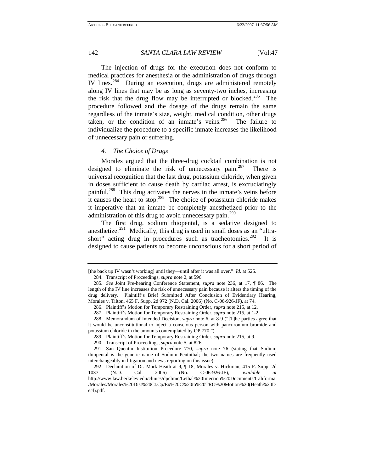The injection of drugs for the execution does not conform to medical practices for anesthesia or the administration of drugs through IV lines.<sup>[284](#page-42-0)</sup> During an execution, drugs are administered remotely along IV lines that may be as long as seventy-two inches, increasing the risk that the drug flow may be interrupted or blocked.<sup>[285](#page-42-1)</sup> The procedure followed and the dosage of the drugs remain the same regardless of the inmate's size, weight, medical condition, other drugs taken, or the condition of an inmate's veins. <sup>[286](#page-42-2)</sup> The failure to individualize the procedure to a specific inmate increases the likelihood of unnecessary pain or suffering.

#### *4. The Choice of Drugs*

Morales argued that the three-drug cocktail combination is not designed to eliminate the risk of unnecessary pain.<sup>[287](#page-42-3)</sup> There is universal recognition that the last drug, potassium chloride, when given in doses sufficient to cause death by cardiac arrest, is excruciatingly painful.<sup>[288](#page-42-4)</sup> This drug activates the nerves in the inmate's veins before it causes the heart to stop.<sup>[289](#page-42-5)</sup> The choice of potassium chloride makes it imperative that an inmate be completely anesthetized prior to the administration of this drug to avoid unnecessary pain.<sup>[290](#page-42-6)</sup>

The first drug, sodium thiopental, is a sedative designed to anesthetize.<sup>[291](#page-42-7)</sup> Medically, this drug is used in small doses as an "ultra-short" acting drug in procedures such as tracheotomies.<sup>[292](#page-42-8)</sup> It is designed to cause patients to become unconscious for a short period of

<span id="page-42-0"></span><sup>[</sup>the back up IV wasn't working] until they—until after it was all over." *Id.* at 525.

<sup>284.</sup> Transcript of Proceedings, *supra* note 2, at 596.

<span id="page-42-1"></span><sup>285</sup>*. See* Joint Pre-hearing Conference Statement, *supra* note 236, at 17, ¶ 86. The length of the IV line increases the risk of unnecessary pain because it alters the timing of the drug delivery. Plaintiff's Brief Submitted After Conclusion of Evidentiary Hearing, Morales v. Tilton, 465 F. Supp. 2d 972 (N.D. Cal. 2006) (No. C-06-926-JF), at 74.

<sup>286.</sup> Plaintiff's Motion for Temporary Restraining Order, *supra* note 215, at 12.

<sup>287.</sup> Plaintiff's Motion for Temporary Restraining Order, *supra* note 215, at 1-2.

<span id="page-42-4"></span><span id="page-42-3"></span><span id="page-42-2"></span><sup>288.</sup> Memorandum of Intended Decision, *supra* note 6, at 8-9 ("[T]he parties agree that it would be unconstitutional to inject a conscious person with pancuronium bromide and potassium chloride in the amounts contemplated by OP 770.").

<sup>289.</sup> Plaintiff's Motion for Temporary Restraining Order, *supra* note 215, at 9.

<sup>290.</sup> Transcript of Proceedings, *supra* note 5, at 826.

<span id="page-42-7"></span><span id="page-42-6"></span><span id="page-42-5"></span><sup>291.</sup> San Quentin Institution Procedure 770, *supra* note 76 (stating that Sodium thiopental is the generic name of Sodium Pentothal; the two names are frequently used interchangeably in litigation and news reporting on this issue).

<span id="page-42-8"></span><sup>292.</sup> Declaration of Dr. Mark Heath at 9, ¶ 18, Morales v. Hickman, 415 F. Supp. 2d 1037 (N.D. Cal. 2006) (No. C-06-926-JF), *available at* http://www.law.berkeley.edu/clinics/dpclinic/Lethal%20Injection%20Documents/California /Morales/Morales%20Dist%20Ct.Cp/Ex%20C%20to%20TRO%20Motion%20(Heath%20D ecl).pdf.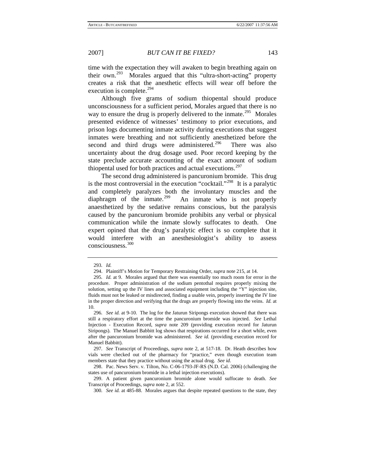time with the expectation they will awaken to begin breathing again on their own.[293](#page-43-0) Morales argued that this "ultra-short-acting" property creates a risk that the anesthetic effects will wear off before the execution is complete.<sup>[294](#page-43-1)</sup>

Although five grams of sodium thiopental should produce unconsciousness for a sufficient period, Morales argued that there is no way to ensure the drug is properly delivered to the inmate.<sup>[295](#page-43-2)</sup> Morales presented evidence of witnesses' testimony to prior executions, and prison logs documenting inmate activity during executions that suggest inmates were breathing and not sufficiently anesthetized before the second and third drugs were administered.<sup>[296](#page-43-3)</sup> There was also uncertainty about the drug dosage used. Poor record keeping by the state preclude accurate accounting of the exact amount of sodium thiopental used for both practices and actual executions. $297$ 

The second drug administered is pancuronium bromide. This drug is the most controversial in the execution "cocktail."<sup>[298](#page-43-5)</sup> It is a paralytic and completely paralyzes both the involuntary muscles and the diaphragm of the inmate.<sup>[299](#page-43-6)</sup> An inmate who is not properly anaesthetized by the sedative remains conscious, but the paralysis caused by the pancuronium bromide prohibits any verbal or physical communication while the inmate slowly suffocates to death. One expert opined that the drug's paralytic effect is so complete that it would interfere with an anesthesiologist's ability to assess consciousness.[300](#page-43-7)

<sup>293</sup>*. Id.*

<sup>294.</sup> Plaintiff's Motion for Temporary Restraining Order, *supra* note 215, at 14.

<span id="page-43-2"></span><span id="page-43-1"></span><span id="page-43-0"></span><sup>295</sup>*. Id.* at 9. Morales argued that there was essentially too much room for error in the procedure. Proper administration of the sodium pentothal requires properly mixing the solution, setting up the IV lines and associated equipment including the "Y" injection site, fluids must not be leaked or misdirected, finding a usable vein, properly inserting the IV line in the proper direction and verifying that the drugs are properly flowing into the veins. *Id.* at 10.

<span id="page-43-3"></span><sup>296</sup>*. See id.* at 9-10. The log for the Jaturun Siripongs execution showed that there was still a respiratory effort at the time the pancuronium bromide was injected. *See* Lethal Injection - Execution Record, *supra* note 209 (providing execution record for Jaturun Siripongs). The Manuel Babbitt log shows that respirations occurred for a short while, even after the pancuronium bromide was administered. *See id.* (providing execution record for Manuel Babbitt).

<span id="page-43-4"></span><sup>297</sup>*. See* Transcript of Proceedings, *supra* note 2, at 517-18. Dr. Heath describes how vials were checked out of the pharmacy for "practice," even though execution team members state that they practice without using the actual drug. *See id.* 

<span id="page-43-5"></span><sup>298.</sup> Pac. News Serv. v. Tilton, No. C-06-1793-JF-RS (N.D. Cal. 2006) (challenging the states use of pancuronium bromide in a lethal injection executions).

<span id="page-43-7"></span><span id="page-43-6"></span><sup>299.</sup> A patient given pancuronium bromide alone would suffocate to death. *See* Transcript of Proceedings, *supra* note 2, at 552.

<sup>300</sup>*. See id.* at 485-88. Morales argues that despite repeated questions to the state, they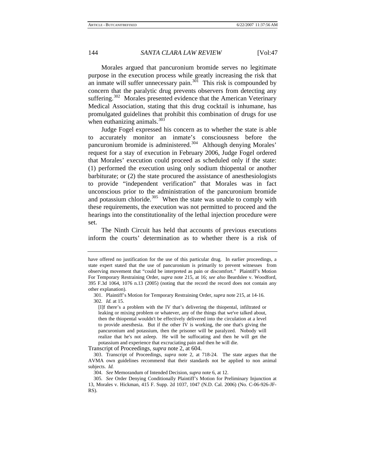Morales argued that pancuronium bromide serves no legitimate purpose in the execution process while greatly increasing the risk that an inmate will suffer unnecessary pain.<sup>[301](#page-44-0)</sup> This risk is compounded by concern that the paralytic drug prevents observers from detecting any suffering.<sup>[302](#page-44-1)</sup> Morales presented evidence that the American Veterinary Medical Association, stating that this drug cocktail is inhumane, has promulgated guidelines that prohibit this combination of drugs for use when euthanizing animals. $303$ 

Judge Fogel expressed his concern as to whether the state is able to accurately monitor an inmate's consciousness before the pancuronium bromide is administered.<sup>[304](#page-44-3)</sup> Although denying Morales' request for a stay of execution in February 2006, Judge Fogel ordered that Morales' execution could proceed as scheduled only if the state: (1) performed the execution using only sodium thiopental or another barbiturate; or (2) the state procured the assistance of anesthesiologists to provide "independent verification" that Morales was in fact unconscious prior to the administration of the pancuronium bromide and potassium chloride. $305$  When the state was unable to comply with these requirements, the execution was not permitted to proceed and the hearings into the constitutionality of the lethal injection procedure were set.

The Ninth Circuit has held that accounts of previous executions inform the courts' determination as to whether there is a risk of

Transcript of Proceedings, *supra* note 2, at 604.

have offered no justification for the use of this particular drug. In earlier proceedings, a state expert stated that the use of pancuronium is primarily to prevent witnesses from observing movement that "could be interpreted as pain or discomfort." Plaintiff's Motion For Temporary Restraining Order, *supra* note 215, at 16; *see also* Beardslee v. Woodford, 395 F.3d 1064, 1076 n.13 (2005) (noting that the record the record does not contain any other explanation).

<span id="page-44-1"></span><span id="page-44-0"></span><sup>301.</sup> Plaintiff's Motion for Temporary Restraining Order, *supra* note 215, at 14-16. 302*. Id.* at 15.

<sup>[</sup>I]f there's a problem with the IV that's delivering the thiopental, infiltrated or leaking or mixing problem or whatever, any of the things that we've talked about, then the thiopental wouldn't be effectively delivered into the circulation at a level to provide anesthesia. But if the other IV is working, the one that's giving the pancuronium and potassium, then the prisoner will be paralyzed. Nobody will realize that he's not asleep. He will be suffocating and then he will get the potassium and experience that excruciating pain and then he will die.

<span id="page-44-2"></span><sup>303.</sup> Transcript of Proceedings, *supra* note 2, at 718-24. The state argues that the AVMA own guidelines recommend that their standards not be applied to non animal subjects. *Id.* 

<sup>304.</sup> *See* Memorandum of Intended Decision, *supra* note 6, at 12.

<span id="page-44-4"></span><span id="page-44-3"></span><sup>305</sup>*. See* Order Denying Conditionally Plaintiff's Motion for Preliminary Injunction at 13, Morales v. Hickman, 415 F. Supp. 2d 1037, 1047 (N.D. Cal. 2006) (No. C-06-926-JF-RS).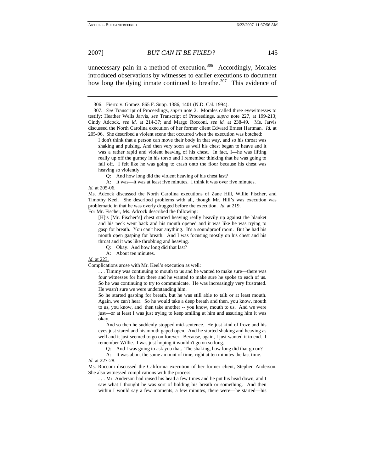unnecessary pain in a method of execution.<sup>[306](#page-45-0)</sup> Accordingly, Morales introduced observations by witnesses to earlier executions to document how long the dying inmate continued to breathe.<sup>[307](#page-45-1)</sup> This evidence of

Q: And how long did the violent heaving of his chest last?

Q: Okay. And how long did that last?

A: About ten minutes.

*Id.* at 223.

Complications arose with Mr. Keel's execution as well:

. . . Timmy was continuing to mouth to us and he wanted to make sure—there was four witnesses for him there and he wanted to make sure he spoke to each of us. So he was continuing to try to communicate. He was increasingly very frustrated. He wasn't sure we were understanding him.

So he started gasping for breath, but he was still able to talk or at least mouth. Again, we can't hear. So he would take a deep breath and then, you know, mouth to us, you know, and then take another -- you know, mouth to us. And we were just—or at least I was just trying to keep smiling at him and assuring him it was okay.

 And so then he suddenly stopped mid-sentence. He just kind of froze and his eyes just stared and his mouth gaped open. And he started shaking and heaving as well and it just seemed to go on forever. Because, again, I just wanted it to end. I remember Willie. I was just hoping it wouldn't go on so long.

And I was going to ask you that. The shaking, how long did that go on?

 A: It was about the same amount of time, right at ten minutes the last time. *Id.* at 227-28.

Ms. Rocconi discussed the California execution of her former client, Stephen Anderson. She also witnessed complications with the process:

. . . Mr. Anderson had raised his head a few times and he put his head down, and I saw what I thought he was sort of holding his breath or something. And then within I would say a few moments, a few minutes, there were—he started—his

<sup>306.</sup> Fierro v. Gomez, 865 F. Supp. 1386, 1401 (N.D. Cal. 1994).

<span id="page-45-1"></span><span id="page-45-0"></span><sup>307</sup>*. See* Transcript of Proceedings, *supra* note 2. Morales called three eyewitnesses to testify: Heather Wells Jarvis, *see* Transcript of Proceedings, *supra* note 227, at 199-213; Cindy Adcock, *see id.* at 214-37; and Margo Rocconi, *see id.* at 238-49. Ms. Jarvis discussed the North Carolina execution of her former client Edward Ernest Hartman. *Id.* at 205-96. She described a violent scene that occurred when the execution was botched:

I don't think that a person can move their body in that way, and so his throat was shaking and pulsing. And then very soon as well his chest began to heave and it was a rather rapid and violent heaving of his chest. In fact, I—he was lifting really up off the gurney in his torso and I remember thinking that he was going to fall off. I felt like he was going to crash onto the floor because his chest was heaving so violently.

A: It was—it was at least five minutes. I think it was over five minutes. *Id.* at 205-06.

Ms. Adcock discussed the North Carolina executions of Zane Hill, Willie Fischer, and Timothy Keel. She described problems with all, though Mr. Hill's was execution was problematic in that he was overly drugged before the execution. *Id.* at 219. For Mr. Fischer, Ms. Adcock described the following:

<sup>[</sup>H]is [Mr. Fischer's] chest started heaving really heavily up against the blanket and his neck went back and his mouth opened and it was like he was trying to gasp for breath. You can't hear anything. It's a soundproof room. But he had his mouth open gasping for breath. And I was focusing mostly on his chest and his throat and it was like throbbing and heaving.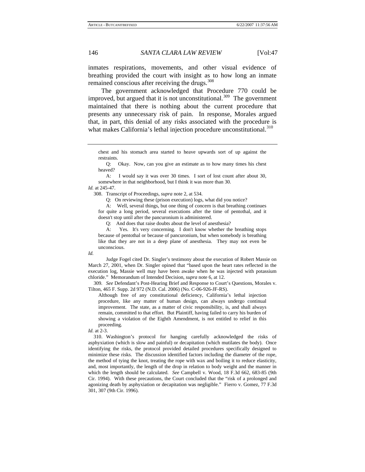inmates respirations, movements, and other visual evidence of breathing provided the court with insight as to how long an inmate remained conscious after receiving the drugs.<sup>[308](#page-46-0)</sup>

The government acknowledged that Procedure 770 could be improved, but argued that it is not unconstitutional.<sup>309</sup> The government maintained that there is nothing about the current procedure that presents any unnecessary risk of pain. In response, Morales argued that, in part, this denial of any risks associated with the procedure is what makes California's lethal injection procedure unconstitutional.<sup>[310](#page-46-2)</sup>

 Q: Okay. Now, can you give an estimate as to how many times his chest heaved?

 A: I would say it was over 30 times. I sort of lost count after about 30, somewhere in that neighborhood, but I think it was more than 30.

<span id="page-46-0"></span>*Id.* at 245-47.

308. Transcript of Proceedings, *supra* note 2, at 534.

Q: On reviewing these (prison execution) logs, what did you notice?

 A: Well, several things, but one thing of concern is that breathing continues for quite a long period, several executions after the time of pentothal, and it doesn't stop until after the pancuronium is administered.

Q: And does that raise doubts about the level of anesthesia?

 A: Yes. It's very concerning. I don't know whether the breathing stops because of pentothal or because of pancuronium, but when somebody is breathing like that they are not in a deep plane of anesthesia. They may not even be unconscious.

*Id.* 

 Judge Fogel cited Dr. Singler's testimony about the execution of Robert Massie on March 27, 2001, when Dr. Singler opined that "based upon the heart rates reflected in the execution log, Massie well may have been awake when he was injected with potassium chloride." Memorandum of Intended Decision, *supra* note 6, at 12.

<span id="page-46-1"></span>309*. See* Defendant's Post-Hearing Brief and Response to Court's Questions, Morales v. Tilton, 465 F. Supp. 2d 972 (N.D. Cal. 2006) (No. C-06-926-JF-RS).

Although free of any constitutional deficiency, California's lethal injection procedure, like any matter of human design, can always undergo continual improvement. The state, as a matter of civic responsibility, is, and shall always remain, committed to that effort. But Plaintiff, having failed to carry his burden of showing a violation of the Eighth Amendment, is not entitled to relief in this proceeding.

<span id="page-46-2"></span>310. Washington's protocol for hanging carefully acknowledged the risks of asphyxiation (which is slow and painful) or decapitation (which mutilates the body). Once identifying the risks, the protocol provided detailed procedures specifically designed to minimize these risks. The discussion identified factors including the diameter of the rope, the method of tying the knot, treating the rope with wax and boiling it to reduce elasticity, and, most importantly, the length of the drop in relation to body weight and the manner in which the length should be calculated. *See* Campbell v. Wood, 18 F.3d 662, 683-85 (9th Cir. 1994). With these precautions, the Court concluded that the "risk of a prolonged and agonizing death by asphyxiation or decapitation was negligible." Fierro v. Gomez, 77 F.3d 301, 307 (9th Cir. 1996).

chest and his stomach area started to heave upwards sort of up against the restraints.

*Id.* at 2-3.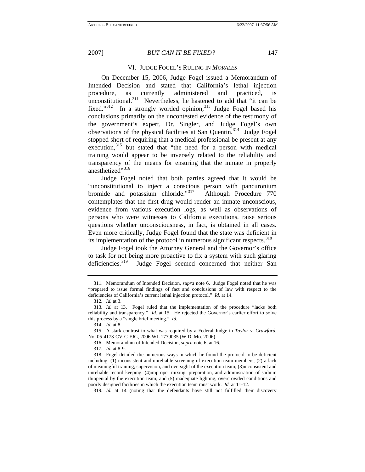#### VI. JUDGE FOGEL'S RULING IN *MORALES*

On December 15, 2006, Judge Fogel issued a Memorandum of Intended Decision and stated that California's lethal injection procedure, as currently administered and practiced, is unconstitutional.<sup>[311](#page-47-0)</sup> Nevertheless, he hastened to add that "it can be fixed." $312$  In a strongly worded opinion,  $313$  Judge Fogel based his conclusions primarily on the uncontested evidence of the testimony of the government's expert, Dr. Singler, and Judge Fogel's own observations of the physical facilities at San Quentin.<sup>[314](#page-47-3)</sup> Judge Fogel stopped short of requiring that a medical professional be present at any execution,<sup>[315](#page-47-4)</sup> but stated that "the need for a person with medical training would appear to be inversely related to the reliability and transparency of the means for ensuring that the inmate in properly anesthetized"<sup>[316](#page-47-5)</sup>

Judge Fogel noted that both parties agreed that it would be "unconstitutional to inject a conscious person with pancuronium bromide and potassium chloride."[317](#page-47-6) Although Procedure 770 contemplates that the first drug would render an inmate unconscious, evidence from various execution logs, as well as observations of persons who were witnesses to California executions, raise serious questions whether unconsciousness, in fact, is obtained in all cases. Even more critically, Judge Fogel found that the state was deficient in its implementation of the protocol in numerous significant respects.<sup>[318](#page-47-7)</sup>

Judge Fogel took the Attorney General and the Governor's office to task for not being more proactive to fix a system with such glaring deficiencies.<sup>[319](#page-47-8)</sup> Judge Fogel seemed concerned that neither San

317*. Id.* at 8-9.

<span id="page-47-0"></span><sup>311.</sup> Memorandum of Intended Decision, *supra* note 6. Judge Fogel noted that he was "prepared to issue formal findings of fact and conclusions of law with respect to the deficiencies of California's current lethal injection protocol." *Id.* at 14.

<sup>312</sup>*. Id.* at 3.

<span id="page-47-2"></span><span id="page-47-1"></span><sup>313</sup>*. Id.* at 13. Fogel ruled that the implementation of the procedure "lacks both reliability and transparency." *Id.* at 15. He rejected the Governor's earlier effort to solve this process by a "single brief meeting." *Id.* 

<sup>314</sup>*. Id.* at 8.

<span id="page-47-5"></span><span id="page-47-4"></span><span id="page-47-3"></span><sup>315.</sup> A stark contrast to what was required by a Federal Judge in *Taylor v. Crawford*, No. 05-4173-CV-C-FJG, 2006 WL 1779035 (W.D. Mo. 2006).

<sup>316.</sup> Memorandum of Intended Decision, *supra* note 6, at 16.

<span id="page-47-7"></span><span id="page-47-6"></span><sup>318.</sup> Fogel detailed the numerous ways in which he found the protocol to be deficient including: (1) inconsistent and unreliable screening of execution team members; (2) a lack of meaningful training, supervision, and oversight of the execution team; (3)inconsistent and unreliable record keeping; (4)improper mixing, preparation, and administration of sodium thiopental by the execution team; and (5) inadequate lighting, overcrowded conditions and poorly designed facilities in which the execution team must work. *Id.* at 11-12.

<span id="page-47-8"></span><sup>319</sup>*. Id.* at 14 (noting that the defendants have still not fulfilled their discovery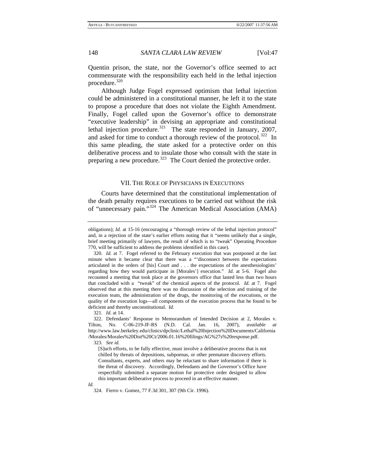Quentin prison, the state, nor the Governor's office seemed to act commensurate with the responsibility each held in the lethal injection procedure.[320](#page-48-0)

Although Judge Fogel expressed optimism that lethal injection could be administered in a constitutional manner, he left it to the state to propose a procedure that does not violate the Eighth Amendment. Finally, Fogel called upon the Governor's office to demonstrate "executive leadership" in devising an appropriate and constitutional lethal injection procedure.<sup>[321](#page-48-1)</sup> The state responded in January, 2007, and asked for time to conduct a thorough review of the protocol.<sup>[322](#page-48-2)</sup> In this same pleading, the state asked for a protective order on this deliberative process and to insulate those who consult with the state in preparing a new procedure.<sup>[323](#page-48-3)</sup> The Court denied the protective order.

### VII. THE ROLE OF PHYSICIANS IN EXECUTIONS

Courts have determined that the constitutional implementation of the death penalty requires executions to be carried out without the risk of "unnecessary pain."[324](#page-48-4) The American Medical Association (AMA)

321*. Id.* at 14.

323*. See id.* 

[S]uch efforts, to be fully effective, must involve a deliberative process that is not chilled by threats of depositions, subpoenas, or other premature discovery efforts. Consultants, experts, and others may be reluctant to share information if there is the threat of discovery. Accordingly, Defendants and the Governor's Office have respectfully submitted a separate motion for protective order designed to allow this important deliberative process to proceed in an effective manner.

obligations); *Id.* at 15-16 (encouraging a "thorough review of the lethal injection protocol" and, in a rejection of the state's earlier efforts noting that it "seems unlikely that a single, brief meeting primarily of lawyers, the result of which is to "tweak" Operating Procedure 770, will be sufficient to address the problems identified in this case).

<span id="page-48-0"></span><sup>320</sup>*. Id.* at 7. Fogel referred to the February execution that was postponed at the last minute when it became clear that there was a "'disconnect between the expectations articulated in the orders of [his] Court and . . . the expectations of the anesthesiologists' regarding how they would participate in [Morales'] execution." *Id.* at 5-6. Fogel also recounted a meeting that took place at the governors office that lasted less than two hours that concluded with a "tweak" of the chemical aspects of the protocol. *Id.* at 7. Fogel observed that at this meeting there was no discussion of the selection and training of the execution team, the administration of the drugs, the monitoring of the executions, or the quality of the execution logs—all components of the execution process that he found to be deficient and thereby unconstitutional. *Id.*

<span id="page-48-3"></span><span id="page-48-2"></span><span id="page-48-1"></span><sup>322.</sup> Defendants' Response to Memorandum of Intended Decision at 2, Morales v. Tilton, No. C-06-219-JF-RS (N.D. Cal. Jan. 16, 2007), *available at* http://www.law.berkeley.edu/clinics/dpclinic/Lethal%20Injection%20Documents/California /Morales/Morales%20Dist%20Ct/2006.01.16%20filings/AG%27s%20response.pdf.

<span id="page-48-4"></span>*Id.* 

<sup>324.</sup> Fierro v. Gomez, 77 F.3d 301, 307 (9th Cir. 1996).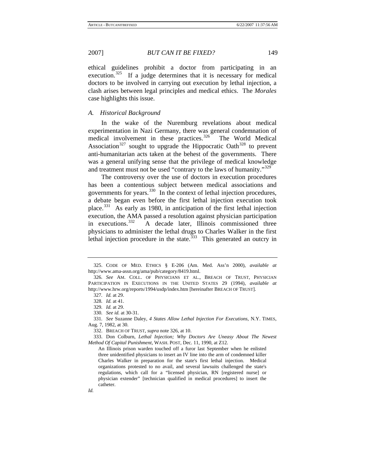ethical guidelines prohibit a doctor from participating in an execution.<sup>[325](#page-49-0)</sup> If a judge determines that it is necessary for medical doctors to be involved in carrying out execution by lethal injection, a clash arises between legal principles and medical ethics. The *Morales* case highlights this issue.

# *A. Historical Background*

In the wake of the Nuremburg revelations about medical experimentation in Nazi Germany, there was general condemnation of medical involvement in these practices.<sup>[326](#page-49-1)</sup> The World Medical Association<sup>[327](#page-49-2)</sup> sought to upgrade the Hippocratic Oath<sup>[328](#page-49-3)</sup> to prevent anti-humanitarian acts taken at the behest of the governments. There was a general unifying sense that the privilege of medical knowledge and treatment must not be used "contrary to the laws of humanity."<sup>[329](#page-49-4)</sup>

The controversy over the use of doctors in execution procedures has been a contentious subject between medical associations and governments for years.<sup>[330](#page-49-5)</sup> In the context of lethal injection procedures, a debate began even before the first lethal injection execution took place.[331](#page-49-6) As early as 1980, in anticipation of the first lethal injection execution, the AMA passed a resolution against physician participation in executions.<sup>[332](#page-49-7)</sup> A decade later, Illinois commissioned three physicians to administer the lethal drugs to Charles Walker in the first lethal injection procedure in the state.  $333$  This generated an outcry in

<span id="page-49-0"></span><sup>325.</sup> CODE OF MED. ETHICS § E-206 (Am. Med. Ass'n 2000), *available at*  http://www.ama-assn.org/ama/pub/category/8419.html.

<span id="page-49-2"></span><span id="page-49-1"></span><sup>326</sup>*. See* AM. COLL. OF PHYSICIANS ET AL., BREACH OF TRUST, PHYSICIAN PARTICIPATION IN EXECUTIONS IN THE UNITED STATES 29 (1994), *available at*  http://www.hrw.org/reports/1994/usdp/index.htm [hereinafter BREACH OF TRUST].

<sup>327</sup>*. Id.* at 29.

<sup>328</sup>*. Id.* at 41.

<sup>329</sup>*. Id.* at 29.

<sup>330</sup>*. See id.* at 30-31.

<span id="page-49-6"></span><span id="page-49-5"></span><span id="page-49-4"></span><span id="page-49-3"></span><sup>331</sup>*. See* Suzanne Daley, *4 States Allow Lethal Injection For Executions*, N.Y. TIMES, Aug. 7, 1982, at 30.

<sup>332.</sup> BREACH OF TRUST, *supra* note 326, at 10.

<span id="page-49-8"></span><span id="page-49-7"></span><sup>333.</sup> Don Colburn, *Lethal Injection; Why Doctors Are Uneasy About The Newest Method Of Capital Punishment*, WASH. POST, Dec. 11, 1990, at Z12.

An Illinois prison warden touched off a furor last September when he enlisted three unidentified physicians to insert an IV line into the arm of condemned killer Charles Walker in preparation for the state's first lethal injection. Medical organizations protested to no avail, and several lawsuits challenged the state's regulations, which call for a "licensed physician, RN [registered nurse] or physician extender" [technician qualified in medical procedures] to insert the catheter.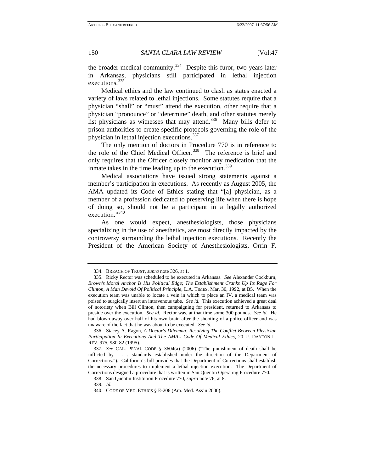the broader medical community.<sup>[334](#page-50-0)</sup> Despite this furor, two years later in Arkansas, physicians still participated in lethal injection executions.<sup>[335](#page-50-1)</sup>

Medical ethics and the law continued to clash as states enacted a variety of laws related to lethal injections. Some statutes require that a physician "shall" or "must" attend the execution, other require that a physician "pronounce" or "determine" death, and other statutes merely list physicians as witnesses that may attend.<sup>[336](#page-50-2)</sup> Many bills defer to prison authorities to create specific protocols governing the role of the physician in lethal injection executions.<sup>[337](#page-50-3)</sup>

The only mention of doctors in Procedure 770 is in reference to the role of the Chief Medical Officer.<sup>[338](#page-50-4)</sup> The reference is brief and only requires that the Officer closely monitor any medication that the inmate takes in the time leading up to the execution.<sup>[339](#page-50-5)</sup>

Medical associations have issued strong statements against a member's participation in executions. As recently as August 2005, the AMA updated its Code of Ethics stating that "[a] physician, as a member of a profession dedicated to preserving life when there is hope of doing so, should not be a participant in a legally authorized execution."<sup>[340](#page-50-6)</sup>

As one would expect, anesthesiologists, those physicians specializing in the use of anesthetics, are most directly impacted by the controversy surrounding the lethal injection executions. Recently the President of the American Society of Anesthesiologists, Orrin F.

<sup>334.</sup> BREACH OF TRUST, *supra* note 326, at 1.

<span id="page-50-1"></span><span id="page-50-0"></span><sup>335.</sup> Ricky Rector was scheduled to be executed in Arkansas. *See* Alexander Cockburn, *Brown's Moral Anchor Is His Political Edge; The Establishment Cranks Up Its Rage For Clinton, A Man Devoid Of Political Principle*, L.A. TIMES, Mar. 30, 1992, at B5. When the execution team was unable to locate a vein in which to place an IV, a medical team was poised to surgically insert an intravenous tube. *See id.* This execution achieved a great deal of notoriety when Bill Clinton, then campaigning for president, returned to Arkansas to preside over the execution. *See id.* Rector was, at that time some 300 pounds. *See id.* He had blown away over half of his own brain after the shooting of a police officer and was unaware of the fact that he was about to be executed. *See id.*

<span id="page-50-2"></span><sup>336.</sup> Stacey A. Ragon, *A Doctor's Dilemma: Resolving The Conflict Between Physician Participation In Executions And The AMA's Code Of Medical Ethics*, 20 U. DAYTON L. REV. 975, 980-82 (1995).

<span id="page-50-4"></span><span id="page-50-3"></span><sup>337</sup>*. See* CAL. PENAL CODE § 3604(a) (2006) ("The punishment of death shall be inflicted by . . . standards established under the direction of the Department of Corrections."). California's bill provides that the Department of Corrections shall establish the necessary procedures to implement a lethal injection execution. The Department of Corrections designed a procedure that is written in San Quentin Operating Procedure 770.

<sup>338.</sup> San Quentin Institution Procedure 770, *supra* note 76, at 8.

<sup>339</sup>*. Id.*

<span id="page-50-6"></span><span id="page-50-5"></span><sup>340.</sup> CODE OF MED. ETHICS § E-206 (Am. Med. Ass'n 2000).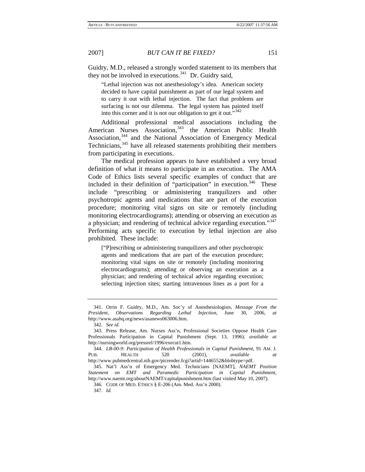Guidry, M.D., released a strongly worded statement to its members that they not be involved in executions. $341$  Dr. Guidry said,

"Lethal injection was not anesthesiology's idea. American society decided to have capital punishment as part of our legal system and to carry it out with lethal injection. The fact that problems are surfacing is not our dilemma. The legal system has painted itself into this corner and it is not our obligation to get it out." $342$ 

Additional professional medical associations including the American Nurses Association,<sup>[343](#page-51-2)</sup> the American Public Health Association,<sup>[344](#page-51-3)</sup> and the National Association of Emergency Medical Technicians,<sup>[345](#page-51-4)</sup> have all released statements prohibiting their members from participating in executions.

The medical profession appears to have established a very broad definition of what it means to participate in an execution. The AMA Code of Ethics lists several specific examples of conduct that are included in their definition of "participation" in execution. $346$  These include "prescribing or administering tranquilizers and other psychotropic agents and medications that are part of the execution procedure; monitoring vital signs on site or remotely (including monitoring electrocardiograms); attending or observing an execution as a physician; and rendering of technical advice regarding execution."[347](#page-51-6) Performing acts specific to execution by lethal injection are also prohibited. These include:

["P]rescribing or administering tranquilizers and other psychotropic agents and medications that are part of the execution procedure; monitoring vital signs on site or remotely (including monitoring electrocardiograms); attending or observing an execution as a physician; and rendering of technical advice regarding execution; selecting injection sites; starting intravenous lines as a port for a

<span id="page-51-0"></span><sup>341.</sup> Orrin F. Guidry, M.D., Am. Soc'y of Anesthesiologists, *Message From the President, Observations Regarding Lethal Injection*, June 30, 2006, *at*  http://www.asahq.org/news/asanews063006.htm.

<sup>342</sup>*. See id.*

<span id="page-51-2"></span><span id="page-51-1"></span><sup>343.</sup> Press Release, Am. Nurses Ass'n, Professional Societies Oppose Health Care Professionals Participation in Capital Punishment (Sept. 13, 1996), *available at*  http://nursingworld.org/pressrel/1996/execut1.htm.

<span id="page-51-3"></span><sup>344</sup>*. LB-00-9: Participation of Health Professionals in Capital Punishment*, 91 AM. J. PUB. HEALTH 520 (2001), *available at* http://www.pubmedcentral.nih.gov/picrender.fcgi?artid=1446552&blobtype=pdf.

<span id="page-51-6"></span><span id="page-51-5"></span><span id="page-51-4"></span><sup>345.</sup> Nat'l Ass'n of Emergency Med. Technicians [NAEMT], *NAEMT Position Statement on EMT and Paramedic Participation in Capital Punishment*, http://www.naemt.org/aboutNAEMT/capitalpunishment.htm (last visited May 10, 2007).

<sup>346.</sup> CODE OF MED. ETHICS § E-206 (Am. Med. Ass'n 2000).

<sup>347</sup>*. Id.*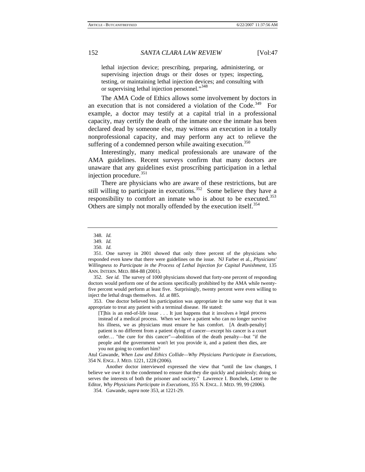lethal injection device; prescribing, preparing, administering, or supervising injection drugs or their doses or types; inspecting, testing, or maintaining lethal injection devices; and consulting with or supervising lethal injection personnel."<sup>[348](#page-52-0)</sup>

The AMA Code of Ethics allows some involvement by doctors in an execution that is not considered a violation of the Code.<sup>[349](#page-52-1)</sup> For example, a doctor may testify at a capital trial in a professional capacity, may certify the death of the inmate once the inmate has been declared dead by someone else, may witness an execution in a totally nonprofessional capacity, and may perform any act to relieve the suffering of a condemned person while awaiting execution.<sup>[350](#page-52-2)</sup>

Interestingly, many medical professionals are unaware of the AMA guidelines. Recent surveys confirm that many doctors are unaware that any guidelines exist proscribing participation in a lethal injection procedure.<sup>[351](#page-52-3)</sup>

There are physicians who are aware of these restrictions, but are still willing to participate in executions.<sup>[352](#page-52-4)</sup> Some believe they have a responsibility to comfort an inmate who is about to be executed.<sup>[353](#page-52-5)</sup> Others are simply not morally offended by the execution itself.<sup>[354](#page-52-6)</sup>

<span id="page-52-4"></span>352*. See id.* The survey of 1000 physicians showed that forty-one percent of responding doctors would perform one of the actions specifically prohibited by the AMA while twentyfive percent would perform at least five. Surprisingly, twenty percent were even willing to inject the lethal drugs themselves. *Id.* at 885.

<span id="page-52-5"></span>353. One doctor believed his participation was appropriate in the same way that it was appropriate to treat any patient with a terminal disease. He stated:

[T]his is an end-of-life issue . . . It just happens that it involves a legal process instead of a medical process. When we have a patient who can no longer survive his illness, we as physicians must ensure he has comfort. [A death-penalty] patient is no different from a patient dying of cancer—except his cancer is a court order… "the cure for this cancer"—abolition of the death penalty—but "if the people and the government won't let you provide it, and a patient then dies, are you not going to comfort him?

Atul Gawande, *When Law and Ethics Collide—Why Physicians Participate in Executions*, 354 N. ENGL. J. MED. 1221, 1228 (2006).

<span id="page-52-6"></span> Another doctor interviewed expressed the view that "until the law changes, I believe we owe it to the condemned to ensure that they die quickly and painlessly; doing so serves the interests of both the prisoner and society." Lawrence I. Bonchek, Letter to the Editor, *Why Physicians Participate in Executions*, 355 N. ENGL. J. MED. 99, 99 (2006).

354. Gawande, *supra* note 353, at 1221-29.

<sup>348</sup>*. Id.*

<sup>349</sup>*. Id.*

<sup>350</sup>*. Id.*

<span id="page-52-3"></span><span id="page-52-2"></span><span id="page-52-1"></span><span id="page-52-0"></span><sup>351.</sup> One survey in 2001 showed that only three percent of the physicians who responded even knew that there were guidelines on the issue. NJ Farber et al., *Physicians' Willingness to Participate in the Process of Lethal Injection for Capital Punishment*, 135 ANN. INTERN. MED. 884-88 (2001).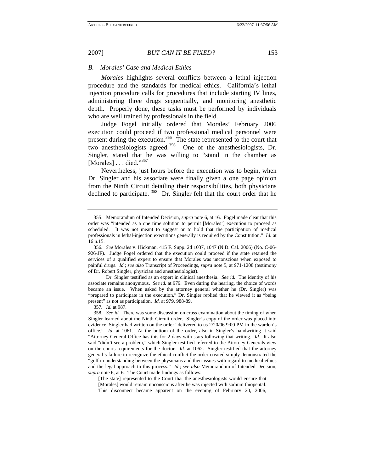#### *B. Morales' Case and Medical Ethics*

*Morales* highlights several conflicts between a lethal injection procedure and the standards for medical ethics. California's lethal injection procedure calls for procedures that include starting IV lines, administering three drugs sequentially, and monitoring anesthetic depth. Properly done, these tasks must be performed by individuals who are well trained by professionals in the field.

Judge Fogel initially ordered that Morales' February 2006 execution could proceed if two professional medical personnel were present during the execution.<sup>[355](#page-53-0)</sup> The state represented to the court that two anesthesiologists agreed.<sup>[356](#page-53-1)</sup> One of the anesthesiologists, Dr. Singler, stated that he was willing to "stand in the chamber as [Morales]  $\dots$  died." $357$ 

Nevertheless, just hours before the execution was to begin, when Dr. Singler and his associate were finally given a one page opinion from the Ninth Circuit detailing their responsibilities, both physicians declined to participate. <sup>[358](#page-53-3)</sup> Dr. Singler felt that the court order that he

 Dr. Singler testified as an expert in clinical anesthesia. *See id.* The identity of his associate remains anonymous. *See id.* at 979. Even during the hearing, the choice of words became an issue. When asked by the attorney general whether he (Dr. Singler) was "prepared to participate in the execution," Dr. Singler replied that he viewed it as "being present" as not as participation. *Id.* at 979, 988-89.

[The state] represented to the Court that the anesthesiologists would ensure that [Morales] would remain unconscious after he was injected with sodium thiopental. This disconnect became apparent on the evening of February 20, 2006,

<span id="page-53-0"></span><sup>355.</sup> Memorandum of Intended Decision, *supra* note 6, at 16. Fogel made clear that this order was "intended as a one time solution to permit [Morales'] execution to proceed as scheduled. It was not meant to suggest or to hold that the participation of medical professionals in lethal-injection executions generally is required by the Constitution." *Id.* at 16 n.15.

<span id="page-53-1"></span><sup>356</sup>*. See* Morales v. Hickman, 415 F. Supp. 2d 1037, 1047 (N.D. Cal. 2006) (No. C-06- 926-JF). Judge Fogel ordered that the execution could proceed if the state retained the services of a qualified expert to ensure that Morales was unconscious when exposed to painful drugs. *Id.*; *see also* Transcript of Proceedings, *supra* note 5, at 971-1208 (testimony of Dr. Robert Singler, physician and anesthesiologist).

<sup>357</sup>*. Id.* at 987.

<span id="page-53-3"></span><span id="page-53-2"></span><sup>358</sup>*. See id.* There was some discussion on cross examination about the timing of when Singler learned about the Ninth Circuit order. Singler's copy of the order was placed into evidence. Singler had written on the order "delivered to us 2/20/06 9:00 PM in the warden's office." *Id.* at 1061. At the bottom of the order, also in Singler's handwriting it said "Attorney General Office has this for 2 days with stars following that writing. *Id.* It also said "didn't see a problem," which Singler testified referred to the Attorney Generals view on the courts requirements for the doctor. *Id.* at 1062. Singler testified that the attorney general's failure to recognize the ethical conflict the order created simply demonstrated the "gulf in understanding between the physicians and their issues with regard to medical ethics and the legal approach to this process." *Id.*; *see also* Memorandum of Intended Decision, *supra* note 6, at 6. The Court made findings as follows: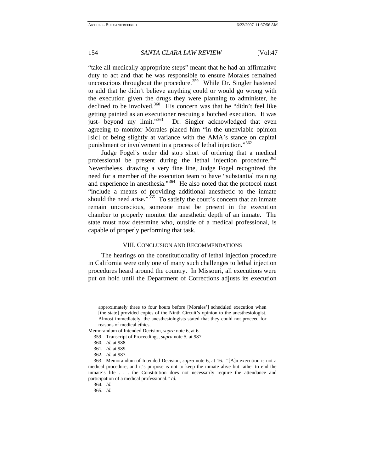"take all medically appropriate steps" meant that he had an affirmative duty to act and that he was responsible to ensure Morales remained unconscious throughout the procedure.<sup>[359](#page-54-0)</sup> While Dr. Singler hastened to add that he didn't believe anything could or would go wrong with the execution given the drugs they were planning to administer, he declined to be involved. $360$  His concern was that he "didn't feel like getting painted as an executioner rescuing a botched execution. It was just- beyond my limit."<sup>[361](#page-54-2)</sup> Dr. Singler acknowledged that even agreeing to monitor Morales placed him "in the unenviable opinion [sic] of being slightly at variance with the AMA's stance on capital punishment or involvement in a process of lethal injection."<sup>[362](#page-54-3)</sup>

Judge Fogel's order did stop short of ordering that a medical professional be present during the lethal injection procedure.<sup>[363](#page-54-4)</sup> Nevertheless, drawing a very fine line, Judge Fogel recognized the need for a member of the execution team to have "substantial training and experience in anesthesia."<sup>[364](#page-54-5)</sup> He also noted that the protocol must "include a means of providing additional anesthetic to the inmate should the need arise."<sup>[365](#page-54-6)</sup> To satisfy the court's concern that an inmate remain unconscious, someone must be present in the execution chamber to properly monitor the anesthetic depth of an inmate. The state must now determine who, outside of a medical professional, is capable of properly performing that task.

## VIII. CONCLUSION AND RECOMMENDATIONS

The hearings on the constitutionality of lethal injection procedure in California were only one of many such challenges to lethal injection procedures heard around the country. In Missouri, all executions were put on hold until the Department of Corrections adjusts its execution

approximately three to four hours before [Morales'] scheduled execution when [the state] provided copies of the Ninth Circuit's opinion to the anesthesiologist. Almost immediately, the anesthesiologists stated that they could not proceed for reasons of medical ethics.

<span id="page-54-1"></span><span id="page-54-0"></span>Memorandum of Intended Decision, *supra* note 6, at 6.

<sup>359.</sup> Transcript of Proceedings, *supra* note 5, at 987.

<sup>360</sup>*. Id.* at 988.

<sup>361</sup>*. Id.* at 989.

<sup>362</sup>*. Id.* at 987.

<span id="page-54-6"></span><span id="page-54-5"></span><span id="page-54-4"></span><span id="page-54-3"></span><span id="page-54-2"></span><sup>363.</sup> Memorandum of Intended Decision, *supra* note 6, at 16. "[A]n execution is not a medical procedure, and it's purpose is not to keep the inmate alive but rather to end the inmate's life . . . the Constitution does not necessarily require the attendance and participation of a medical professional." *Id.* 

<sup>364</sup>*. Id.*

<sup>365</sup>*. Id.*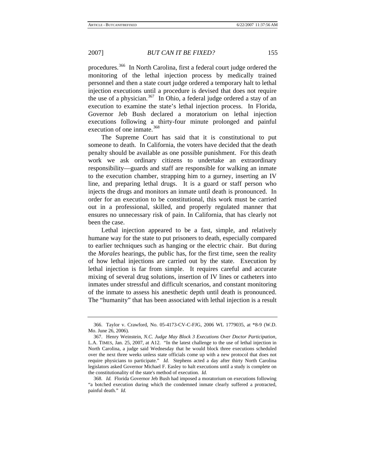procedures.<sup>[366](#page-55-0)</sup> In North Carolina, first a federal court judge ordered the monitoring of the lethal injection process by medically trained personnel and then a state court judge ordered a temporary halt to lethal injection executions until a procedure is devised that does not require the use of a physician.<sup>[367](#page-55-1)</sup> In Ohio, a federal judge ordered a stay of an execution to examine the state's lethal injection process. In Florida, Governor Jeb Bush declared a moratorium on lethal injection executions following a thirty-four minute prolonged and painful execution of one inmate.<sup>[368](#page-55-2)</sup>

The Supreme Court has said that it is constitutional to put someone to death. In California, the voters have decided that the death penalty should be available as one possible punishment. For this death work we ask ordinary citizens to undertake an extraordinary responsibility—guards and staff are responsible for walking an inmate to the execution chamber, strapping him to a gurney, inserting an IV line, and preparing lethal drugs. It is a guard or staff person who injects the drugs and monitors an inmate until death is pronounced. In order for an execution to be constitutional, this work must be carried out in a professional, skilled, and properly regulated manner that ensures no unnecessary risk of pain. In California, that has clearly not been the case.

Lethal injection appeared to be a fast, simple, and relatively humane way for the state to put prisoners to death, especially compared to earlier techniques such as hanging or the electric chair. But during the *Morales* hearings, the public has, for the first time, seen the reality of how lethal injections are carried out by the state. Execution by lethal injection is far from simple. It requires careful and accurate mixing of several drug solutions, insertion of IV lines or catheters into inmates under stressful and difficult scenarios, and constant monitoring of the inmate to assess his anesthetic depth until death is pronounced. The "humanity" that has been associated with lethal injection is a result

<span id="page-55-0"></span><sup>366.</sup> Taylor v. Crawford, No. 05-4173-CV-C-FJG, 2006 WL 1779035, at \*8-9 (W.D. Mo. June 26, 2006).

<span id="page-55-1"></span><sup>367.</sup> Henry Weinstein, *N.C. Judge May Block 3 Executions Over Doctor Participation*, L.A. TIMES, Jan. 25, 2007, at A12. "In the latest challenge to the use of lethal injection in North Carolina, a judge said Wednesday that he would block three executions scheduled over the next three weeks unless state officials come up with a new protocol that does not require physicians to participate." *Id.* Stephens acted a day after thirty North Carolina legislators asked Governor Michael F. Easley to halt executions until a study is complete on the constitutionality of the state's method of execution. *Id.* 

<span id="page-55-2"></span><sup>368</sup>*. Id.* Florida Governor Jeb Bush had imposed a moratorium on executions following "a botched execution during which the condemned inmate clearly suffered a protracted, painful death." *Id.*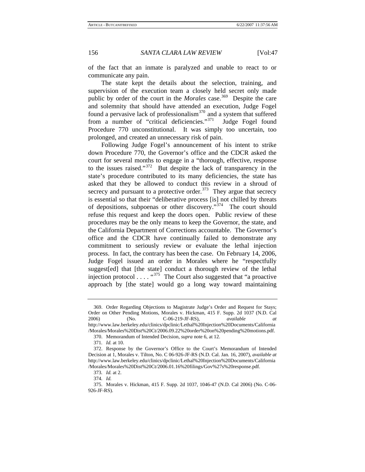of the fact that an inmate is paralyzed and unable to react to or communicate any pain.

The state kept the details about the selection, training, and supervision of the execution team a closely held secret only made public by order of the court in the *Morales* case.<sup>[369](#page-56-0)</sup> Despite the care and solemnity that should have attended an execution, Judge Fogel found a pervasive lack of professionalism $370$  and a system that suffered from a number of "critical deficiencies."<sup>[371](#page-56-2)</sup> Judge Fogel found Procedure 770 unconstitutional. It was simply too uncertain, too prolonged, and created an unnecessary risk of pain.

Following Judge Fogel's announcement of his intent to strike down Procedure 770, the Governor's office and the CDCR asked the court for several months to engage in a "thorough, effective, response to the issues raised."[372](#page-56-3) But despite the lack of transparency in the state's procedure contributed to its many deficiencies, the state has asked that they be allowed to conduct this review in a shroud of secrecy and pursuant to a protective order. $373$  They argue that secrecy is essential so that their "deliberative process [is] not chilled by threats of depositions, subpoenas or other discovery."[374](#page-56-5) The court should refuse this request and keep the doors open. Public review of these procedures may be the only means to keep the Governor, the state, and the California Department of Corrections accountable. The Governor's office and the CDCR have continually failed to demonstrate any commitment to seriously review or evaluate the lethal injection process. In fact, the contrary has been the case. On February 14, 2006, Judge Fogel issued an order in Morales where he "respectfully suggest[ed] that [the state] conduct a thorough review of the lethal injection protocol  $\dots$ .  $4375$  $4375$  The Court also suggested that "a proactive approach by [the state] would go a long way toward maintaining

<span id="page-56-0"></span><sup>369.</sup> Order Regarding Objections to Magistrate Judge's Order and Request for Stays; Order on Other Pending Motions, Morales v. Hickman, 415 F. Supp. 2d 1037 (N.D. Cal 2006) (No. C-06-219-JF-RS), *available at* http://www.law.berkeley.edu/clinics/dpclinic/Lethal%20Injection%20Documents/California /Morales/Morales%20Dist%20Ct/2006.09.22%20order%20on%20pending%20motions.pdf.

<sup>370.</sup> Memorandum of Intended Decision, *supra* note 6, at 12.

<sup>371</sup>*. Id.* at 10.

<span id="page-56-3"></span><span id="page-56-2"></span><span id="page-56-1"></span><sup>372.</sup> Response by the Governor's Office to the Court's Memorandum of Intended Decision at 1, Morales v. Tilton, No. C 06-926-JF-RS (N.D. Cal. Jan. 16, 2007), *available at* http://www.law.berkeley.edu/clinics/dpclinic/Lethal%20Injection%20Documents/California /Morales/Morales%20Dist%20Ct/2006.01.16%20filings/Gov%27s%20response.pdf.

<sup>373</sup>*. Id.* at 2.

<sup>374</sup>*. Id.*

<span id="page-56-6"></span><span id="page-56-5"></span><span id="page-56-4"></span><sup>375.</sup> Morales v. Hickman, 415 F. Supp. 2d 1037, 1046-47 (N.D. Cal 2006) (No. C-06- 926-JF-RS).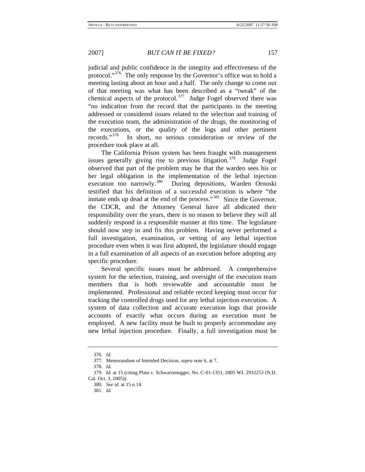judicial and public confidence in the integrity and effectiveness of the protocol."<sup>[376](#page-57-0)</sup> The only response by the Governor's office was to hold a meeting lasting about an hour and a half. The only change to come out of that meeting was what has been described as a "tweak" of the chemical aspects of the protocol.<sup>[377](#page-57-1)</sup> Judge Fogel observed there was "no indication from the record that the participants in the meeting addressed or considered issues related to the selection and training of the execution team, the administration of the drugs, the monitoring of the executions, or the quality of the logs and other pertinent records."[378](#page-57-2) In short, no serious consideration or review of the procedure took place at all.

The California Prison system has been fraught with management issues generally giving rise to previous litigation.<sup>[379](#page-57-3)</sup> Judge Fogel observed that part of the problem may be that the warden sees his or her legal obligation in the implementation of the lethal injection execution too narrowly.<sup>380</sup> During depositions, Warden Ornoski During depositions, Warden Ornoski testified that his definition of a successful execution is where "the inmate ends up dead at the end of the process."<sup>[381](#page-57-5)</sup> Since the Governor, the CDCR, and the Attorney General have all abdicated their responsibility over the years, there is no reason to believe they will all suddenly respond in a responsible manner at this time. The legislature should now step in and fix this problem. Having never performed a full investigation, examination, or vetting of any lethal injection procedure even when it was first adopted, the legislature should engage in a full examination of all aspects of an execution before adopting any specific procedure.

Several specific issues must be addressed. A comprehensive system for the selection, training, and oversight of the execution team members that is both reviewable and accountable must be implemented. Professional and reliable record keeping must occur for tracking the controlled drugs used for any lethal injection execution. A system of data collection and accurate execution logs that provide accounts of exactly what occurs during an execution must be employed. A new facility must be built to properly accommodate any new lethal injection procedure. Finally, a full investigation must be

<sup>376</sup>*. Id.* 

<sup>377.</sup> Memorandum of Intended Decision, *supra* note 6, at 7.

<sup>378</sup>*. Id.*

<span id="page-57-5"></span><span id="page-57-4"></span><span id="page-57-3"></span><span id="page-57-2"></span><span id="page-57-1"></span><span id="page-57-0"></span><sup>379</sup>*. Id.* at 15 (citing Plata v. Schwarzenegger, No. C-01-1351, 2005 WL 2932253 (N.D. Cal. Oct. 3, 2005)).

<sup>380</sup>*. See id.* at 15 n.14.

<sup>381</sup>*. Id.*